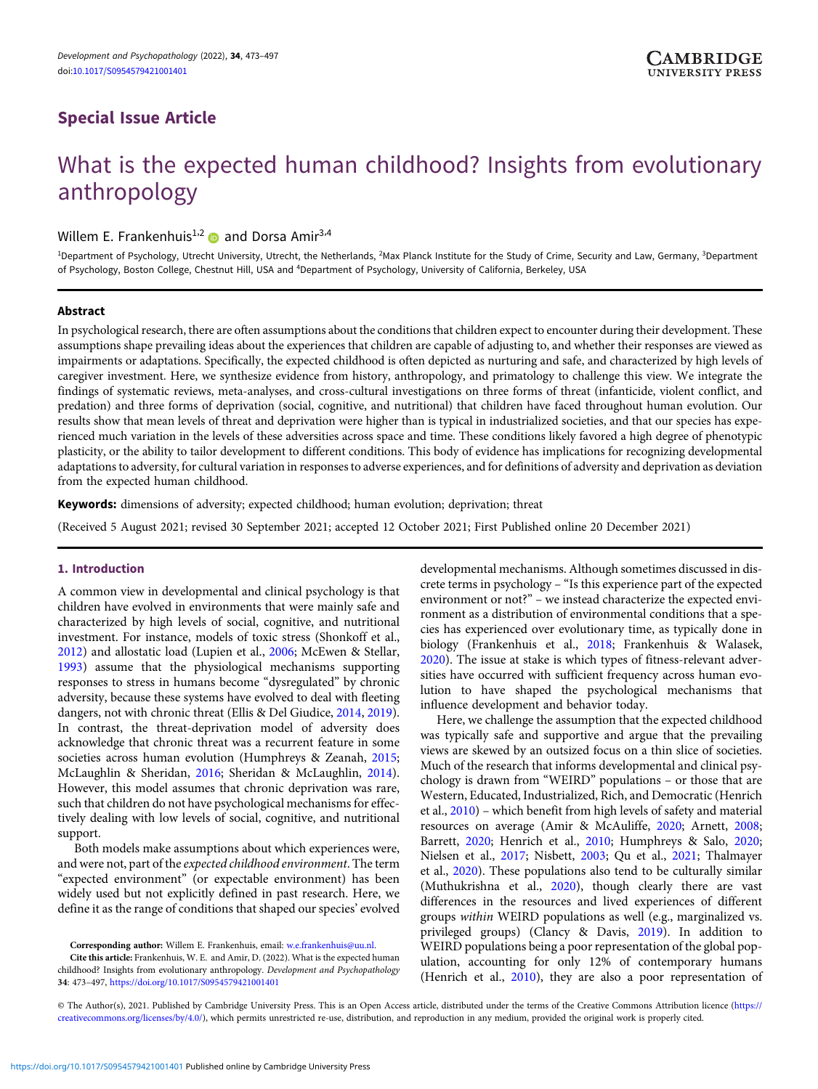# <span id="page-0-0"></span>Special Issue Article

# What is the expected human childhood? Insights from evolutionary anthropology

Willem E. Frankenhuis<sup>1,2</sup> and Dorsa Amir<sup>3,4</sup>

<sup>1</sup>Department of Psychology, Utrecht University, Utrecht, the Netherlands, <sup>2</sup>Max Planck Institute for the Study of Crime, Security and Law, Germany, <sup>3</sup>Department of Psychology, Boston College, Chestnut Hill, USA and <sup>4</sup>Department of Psychology, University of California, Berkeley, USA

# Abstract

In psychological research, there are often assumptions about the conditions that children expect to encounter during their development. These assumptions shape prevailing ideas about the experiences that children are capable of adjusting to, and whether their responses are viewed as impairments or adaptations. Specifically, the expected childhood is often depicted as nurturing and safe, and characterized by high levels of caregiver investment. Here, we synthesize evidence from history, anthropology, and primatology to challenge this view. We integrate the findings of systematic reviews, meta-analyses, and cross-cultural investigations on three forms of threat (infanticide, violent conflict, and predation) and three forms of deprivation (social, cognitive, and nutritional) that children have faced throughout human evolution. Our results show that mean levels of threat and deprivation were higher than is typical in industrialized societies, and that our species has experienced much variation in the levels of these adversities across space and time. These conditions likely favored a high degree of phenotypic plasticity, or the ability to tailor development to different conditions. This body of evidence has implications for recognizing developmental adaptations to adversity, for cultural variation in responses to adverse experiences, and for definitions of adversity and deprivation as deviation from the expected human childhood.

Keywords: dimensions of adversity; expected childhood; human evolution; deprivation; threat

(Received 5 August 2021; revised 30 September 2021; accepted 12 October 2021; First Published online 20 December 2021)

# 1. Introduction

A common view in developmental and clinical psychology is that children have evolved in environments that were mainly safe and characterized by high levels of social, cognitive, and nutritional investment. For instance, models of toxic stress (Shonkoff et al., [2012](#page-22-0)) and allostatic load (Lupien et al., [2006](#page-20-0); McEwen & Stellar, [1993](#page-20-0)) assume that the physiological mechanisms supporting responses to stress in humans become "dysregulated" by chronic adversity, because these systems have evolved to deal with fleeting dangers, not with chronic threat (Ellis & Del Giudice, [2014](#page-17-0), [2019\)](#page-17-0). In contrast, the threat-deprivation model of adversity does acknowledge that chronic threat was a recurrent feature in some societies across human evolution (Humphreys & Zeanah, [2015;](#page-19-0) McLaughlin & Sheridan, [2016;](#page-21-0) Sheridan & McLaughlin, [2014\)](#page-22-0). However, this model assumes that chronic deprivation was rare, such that children do not have psychological mechanisms for effectively dealing with low levels of social, cognitive, and nutritional support.

Both models make assumptions about which experiences were, and were not, part of the expected childhood environment. The term "expected environment" (or expectable environment) has been widely used but not explicitly defined in past research. Here, we define it as the range of conditions that shaped our species' evolved

Cite this article: Frankenhuis, W. E. and Amir, D. (2022). What is the expected human childhood? Insights from evolutionary anthropology. Development and Psychopathology 34: 473–497, <https://doi.org/10.1017/S0954579421001401>

developmental mechanisms. Although sometimes discussed in discrete terms in psychology – "Is this experience part of the expected environment or not?" – we instead characterize the expected environment as a distribution of environmental conditions that a species has experienced over evolutionary time, as typically done in biology (Frankenhuis et al., [2018;](#page-18-0) Frankenhuis & Walasek, [2020](#page-18-0)). The issue at stake is which types of fitness-relevant adversities have occurred with sufficient frequency across human evolution to have shaped the psychological mechanisms that influence development and behavior today.

Here, we challenge the assumption that the expected childhood was typically safe and supportive and argue that the prevailing views are skewed by an outsized focus on a thin slice of societies. Much of the research that informs developmental and clinical psychology is drawn from "WEIRD" populations – or those that are Western, Educated, Industrialized, Rich, and Democratic (Henrich et al., [2010\)](#page-19-0) – which benefit from high levels of safety and material resources on average (Amir & McAuliffe, [2020](#page-15-0); Arnett, [2008;](#page-15-0) Barrett, [2020](#page-15-0); Henrich et al., [2010;](#page-19-0) Humphreys & Salo, [2020;](#page-19-0) Nielsen et al., [2017;](#page-21-0) Nisbett, [2003](#page-21-0); Qu et al., [2021;](#page-22-0) Thalmayer et al., [2020\)](#page-23-0). These populations also tend to be culturally similar (Muthukrishna et al., [2020](#page-21-0)), though clearly there are vast differences in the resources and lived experiences of different groups within WEIRD populations as well (e.g., marginalized vs. privileged groups) (Clancy & Davis, [2019\)](#page-16-0). In addition to WEIRD populations being a poor representation of the global population, accounting for only 12% of contemporary humans (Henrich et al., [2010](#page-19-0)), they are also a poor representation of

© The Author(s), 2021. Published by Cambridge University Press. This is an Open Access article, distributed under the terms of the Creative Commons Attribution licence ([https://](https://creativecommons.org/licenses/by/4.0/) [creativecommons.org/licenses/by/4.0/](https://creativecommons.org/licenses/by/4.0/)), which permits unrestricted re-use, distribution, and reproduction in any medium, provided the original work is properly cited.

Corresponding author: Willem E. Frankenhuis, email: [w.e.frankenhuis@uu.nl](mailto:w.e.frankenhuis@uu.nl).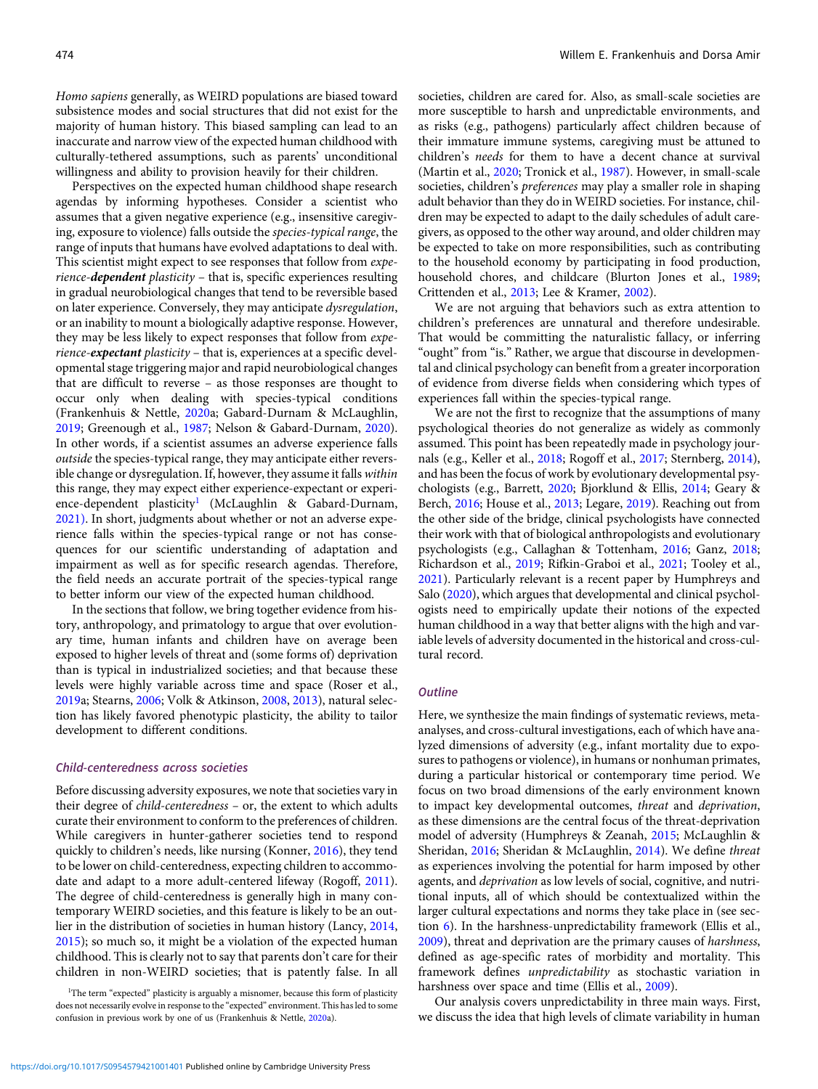Homo sapiens generally, as WEIRD populations are biased toward subsistence modes and social structures that did not exist for the majority of human history. This biased sampling can lead to an inaccurate and narrow view of the expected human childhood with culturally-tethered assumptions, such as parents' unconditional willingness and ability to provision heavily for their children.

Perspectives on the expected human childhood shape research agendas by informing hypotheses. Consider a scientist who assumes that a given negative experience (e.g., insensitive caregiving, exposure to violence) falls outside the species-typical range, the range of inputs that humans have evolved adaptations to deal with. This scientist might expect to see responses that follow from experience-dependent plasticity – that is, specific experiences resulting in gradual neurobiological changes that tend to be reversible based on later experience. Conversely, they may anticipate dysregulation, or an inability to mount a biologically adaptive response. However, they may be less likely to expect responses that follow from experience-expectant plasticity – that is, experiences at a specific developmental stage triggering major and rapid neurobiological changes that are difficult to reverse – as those responses are thought to occur only when dealing with species-typical conditions (Frankenhuis & Nettle, [2020a](#page-18-0); Gabard-Durnam & McLaughlin, [2019;](#page-18-0) Greenough et al., [1987;](#page-18-0) Nelson & Gabard-Durnam, [2020](#page-21-0)). In other words, if a scientist assumes an adverse experience falls outside the species-typical range, they may anticipate either reversible change or dysregulation. If, however, they assume it falls within this range, they may expect either experience-expectant or experience-dependent plasticity<sup>1</sup> (McLaughlin & Gabard-Durnam, [2021\)](#page-20-0). In short, judgments about whether or not an adverse experience falls within the species-typical range or not has consequences for our scientific understanding of adaptation and impairment as well as for specific research agendas. Therefore, the field needs an accurate portrait of the species-typical range to better inform our view of the expected human childhood.

In the sections that follow, we bring together evidence from history, anthropology, and primatology to argue that over evolutionary time, human infants and children have on average been exposed to higher levels of threat and (some forms of) deprivation than is typical in industrialized societies; and that because these levels were highly variable across time and space (Roser et al., [2019a](#page-22-0); Stearns, [2006](#page-23-0); Volk & Atkinson, [2008,](#page-23-0) [2013](#page-23-0)), natural selection has likely favored phenotypic plasticity, the ability to tailor development to different conditions.

# Child-centeredness across societies

Before discussing adversity exposures, we note that societies vary in their degree of child-centeredness – or, the extent to which adults curate their environment to conform to the preferences of children. While caregivers in hunter-gatherer societies tend to respond quickly to children's needs, like nursing (Konner, [2016\)](#page-19-0), they tend to be lower on child-centeredness, expecting children to accommodate and adapt to a more adult-centered lifeway (Rogoff, [2011](#page-22-0)). The degree of child-centeredness is generally high in many contemporary WEIRD societies, and this feature is likely to be an outlier in the distribution of societies in human history (Lancy, [2014](#page-20-0), [2015\)](#page-20-0); so much so, it might be a violation of the expected human childhood. This is clearly not to say that parents don't care for their children in non-WEIRD societies; that is patently false. In all

societies, children are cared for. Also, as small-scale societies are more susceptible to harsh and unpredictable environments, and as risks (e.g., pathogens) particularly affect children because of their immature immune systems, caregiving must be attuned to children's needs for them to have a decent chance at survival (Martin et al., [2020](#page-20-0); Tronick et al., [1987](#page-23-0)). However, in small-scale societies, children's *preferences* may play a smaller role in shaping adult behavior than they do in WEIRD societies. For instance, children may be expected to adapt to the daily schedules of adult caregivers, as opposed to the other way around, and older children may be expected to take on more responsibilities, such as contributing to the household economy by participating in food production, household chores, and childcare (Blurton Jones et al., [1989](#page-16-0); Crittenden et al., [2013;](#page-17-0) Lee & Kramer, [2002\)](#page-20-0).

We are not arguing that behaviors such as extra attention to children's preferences are unnatural and therefore undesirable. That would be committing the naturalistic fallacy, or inferring "ought" from "is." Rather, we argue that discourse in developmental and clinical psychology can benefit from a greater incorporation of evidence from diverse fields when considering which types of experiences fall within the species-typical range.

We are not the first to recognize that the assumptions of many psychological theories do not generalize as widely as commonly assumed. This point has been repeatedly made in psychology journals (e.g., Keller et al., [2018;](#page-19-0) Rogoff et al., [2017;](#page-22-0) Sternberg, [2014](#page-23-0)), and has been the focus of work by evolutionary developmental psychologists (e.g., Barrett, [2020](#page-15-0); Bjorklund & Ellis, [2014;](#page-16-0) Geary & Berch, [2016](#page-18-0); House et al., [2013;](#page-19-0) Legare, [2019](#page-20-0)). Reaching out from the other side of the bridge, clinical psychologists have connected their work with that of biological anthropologists and evolutionary psychologists (e.g., Callaghan & Tottenham, [2016;](#page-16-0) Ganz, [2018](#page-18-0); Richardson et al., [2019;](#page-22-0) Rifkin-Graboi et al., [2021;](#page-22-0) Tooley et al., [2021\)](#page-23-0). Particularly relevant is a recent paper by Humphreys and Salo [\(2020\)](#page-19-0), which argues that developmental and clinical psychologists need to empirically update their notions of the expected human childhood in a way that better aligns with the high and variable levels of adversity documented in the historical and cross-cultural record.

# **Outline**

Here, we synthesize the main findings of systematic reviews, metaanalyses, and cross-cultural investigations, each of which have analyzed dimensions of adversity (e.g., infant mortality due to exposures to pathogens or violence), in humans or nonhuman primates, during a particular historical or contemporary time period. We focus on two broad dimensions of the early environment known to impact key developmental outcomes, threat and deprivation, as these dimensions are the central focus of the threat-deprivation model of adversity (Humphreys & Zeanah, [2015](#page-19-0); McLaughlin & Sheridan, [2016](#page-21-0); Sheridan & McLaughlin, [2014\)](#page-22-0). We define threat as experiences involving the potential for harm imposed by other agents, and *deprivation* as low levels of social, cognitive, and nutritional inputs, all of which should be contextualized within the larger cultural expectations and norms they take place in (see section 6). In the harshness-unpredictability framework (Ellis et al., [2009\)](#page-17-0), threat and deprivation are the primary causes of harshness, defined as age-specific rates of morbidity and mortality. This framework defines unpredictability as stochastic variation in harshness over space and time (Ellis et al., [2009](#page-17-0)).

Our analysis covers unpredictability in three main ways. First, we discuss the idea that high levels of climate variability in human

<sup>&</sup>lt;sup>1</sup>The term "expected" plasticity is arguably a misnomer, because this form of plasticity does not necessarily evolve in response to the "expected" environment. This has led to some confusion in previous work by one of us (Frankenhuis & Nettle, [2020](#page-18-0)a).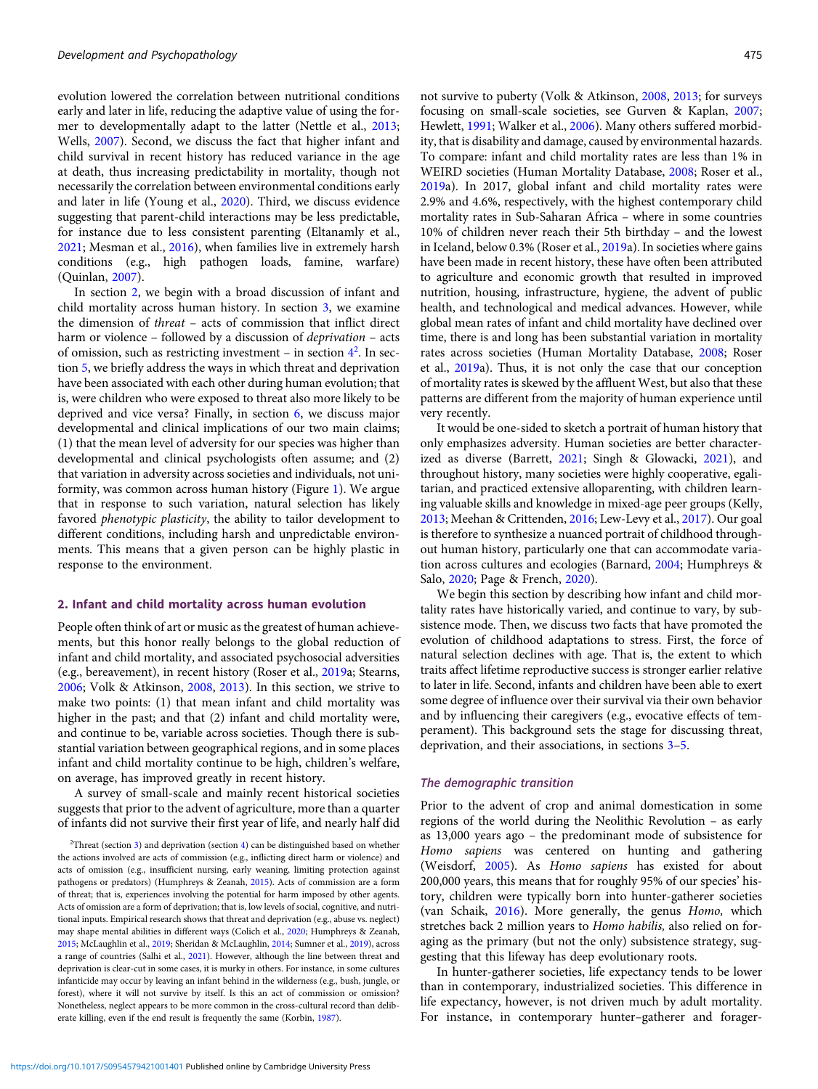evolution lowered the correlation between nutritional conditions early and later in life, reducing the adaptive value of using the former to developmentally adapt to the latter (Nettle et al., [2013;](#page-21-0) Wells, [2007](#page-24-0)). Second, we discuss the fact that higher infant and child survival in recent history has reduced variance in the age at death, thus increasing predictability in mortality, though not necessarily the correlation between environmental conditions early and later in life (Young et al., [2020\)](#page-24-0). Third, we discuss evidence suggesting that parent-child interactions may be less predictable, for instance due to less consistent parenting (Eltanamly et al., [2021](#page-17-0); Mesman et al., [2016](#page-21-0)), when families live in extremely harsh conditions (e.g., high pathogen loads, famine, warfare) (Quinlan, [2007\)](#page-22-0).

In section 2, we begin with a broad discussion of infant and child mortality across human history. In section 3, we examine the dimension of threat – acts of commission that inflict direct harm or violence – followed by a discussion of *deprivation* – acts of omission, such as restricting investment  $-$  in section  $4^2$ . In section 5, we briefly address the ways in which threat and deprivation have been associated with each other during human evolution; that is, were children who were exposed to threat also more likely to be deprived and vice versa? Finally, in section 6, we discuss major developmental and clinical implications of our two main claims; (1) that the mean level of adversity for our species was higher than developmental and clinical psychologists often assume; and (2) that variation in adversity across societies and individuals, not uniformity, was common across human history (Figure [1\)](#page-3-0). We argue that in response to such variation, natural selection has likely favored phenotypic plasticity, the ability to tailor development to different conditions, including harsh and unpredictable environments. This means that a given person can be highly plastic in response to the environment.

# 2. Infant and child mortality across human evolution

People often think of art or music as the greatest of human achievements, but this honor really belongs to the global reduction of infant and child mortality, and associated psychosocial adversities (e.g., bereavement), in recent history (Roser et al., [2019a](#page-22-0); Stearns, [2006](#page-23-0); Volk & Atkinson, [2008,](#page-23-0) [2013](#page-23-0)). In this section, we strive to make two points: (1) that mean infant and child mortality was higher in the past; and that (2) infant and child mortality were, and continue to be, variable across societies. Though there is substantial variation between geographical regions, and in some places infant and child mortality continue to be high, children's welfare, on average, has improved greatly in recent history.

A survey of small-scale and mainly recent historical societies suggests that prior to the advent of agriculture, more than a quarter of infants did not survive their first year of life, and nearly half did

not survive to puberty (Volk & Atkinson, [2008](#page-23-0), [2013](#page-23-0); for surveys focusing on small-scale societies, see Gurven & Kaplan, [2007;](#page-18-0) Hewlett, [1991](#page-19-0); Walker et al., [2006](#page-23-0)). Many others suffered morbidity, that is disability and damage, caused by environmental hazards. To compare: infant and child mortality rates are less than 1% in WEIRD societies (Human Mortality Database, [2008](#page-19-0); Roser et al., [2019](#page-22-0)a). In 2017, global infant and child mortality rates were 2.9% and 4.6%, respectively, with the highest contemporary child mortality rates in Sub-Saharan Africa – where in some countries 10% of children never reach their 5th birthday – and the lowest in Iceland, below 0.3% (Roser et al., [2019](#page-22-0)a). In societies where gains have been made in recent history, these have often been attributed to agriculture and economic growth that resulted in improved nutrition, housing, infrastructure, hygiene, the advent of public health, and technological and medical advances. However, while global mean rates of infant and child mortality have declined over time, there is and long has been substantial variation in mortality rates across societies (Human Mortality Database, [2008](#page-19-0); Roser et al., [2019](#page-22-0)a). Thus, it is not only the case that our conception of mortality rates is skewed by the affluent West, but also that these patterns are different from the majority of human experience until very recently.

It would be one-sided to sketch a portrait of human history that only emphasizes adversity. Human societies are better characterized as diverse (Barrett, [2021;](#page-15-0) Singh & Glowacki, [2021\)](#page-22-0), and throughout history, many societies were highly cooperative, egalitarian, and practiced extensive alloparenting, with children learning valuable skills and knowledge in mixed-age peer groups (Kelly, [2013](#page-19-0); Meehan & Crittenden, [2016;](#page-21-0) Lew-Levy et al., [2017\)](#page-20-0). Our goal is therefore to synthesize a nuanced portrait of childhood throughout human history, particularly one that can accommodate variation across cultures and ecologies (Barnard, [2004](#page-15-0); Humphreys & Salo, [2020;](#page-19-0) Page & French, [2020\)](#page-21-0).

We begin this section by describing how infant and child mortality rates have historically varied, and continue to vary, by subsistence mode. Then, we discuss two facts that have promoted the evolution of childhood adaptations to stress. First, the force of natural selection declines with age. That is, the extent to which traits affect lifetime reproductive success is stronger earlier relative to later in life. Second, infants and children have been able to exert some degree of influence over their survival via their own behavior and by influencing their caregivers (e.g., evocative effects of temperament). This background sets the stage for discussing threat, deprivation, and their associations, in sections 3–5.

#### The demographic transition

Prior to the advent of crop and animal domestication in some regions of the world during the Neolithic Revolution – as early as 13,000 years ago – the predominant mode of subsistence for Homo sapiens was centered on hunting and gathering (Weisdorf, [2005](#page-24-0)). As Homo sapiens has existed for about 200,000 years, this means that for roughly 95% of our species' history, children were typically born into hunter-gatherer societies (van Schaik, [2016\)](#page-23-0). More generally, the genus Homo, which stretches back 2 million years to Homo habilis, also relied on foraging as the primary (but not the only) subsistence strategy, suggesting that this lifeway has deep evolutionary roots.

In hunter-gatherer societies, life expectancy tends to be lower than in contemporary, industrialized societies. This difference in life expectancy, however, is not driven much by adult mortality. For instance, in contemporary hunter–gatherer and forager-

<sup>&</sup>lt;sup>2</sup>Threat (section 3) and deprivation (section 4) can be distinguished based on whether the actions involved are acts of commission (e.g., inflicting direct harm or violence) and acts of omission (e.g., insufficient nursing, early weaning, limiting protection against pathogens or predators) (Humphreys & Zeanah, [2015\)](#page-19-0). Acts of commission are a form of threat; that is, experiences involving the potential for harm imposed by other agents. Acts of omission are a form of deprivation; that is, low levels of social, cognitive, and nutritional inputs. Empirical research shows that threat and deprivation (e.g., abuse vs. neglect) may shape mental abilities in different ways (Colich et al., [2020](#page-16-0); Humphreys & Zeanah, [2015](#page-19-0); McLaughlin et al., [2019](#page-21-0); Sheridan & McLaughlin, [2014](#page-22-0); Sumner et al., [2019](#page-23-0)), across a range of countries (Salhi et al., [2021\)](#page-22-0). However, although the line between threat and deprivation is clear-cut in some cases, it is murky in others. For instance, in some cultures infanticide may occur by leaving an infant behind in the wilderness (e.g., bush, jungle, or forest), where it will not survive by itself. Is this an act of commission or omission? Nonetheless, neglect appears to be more common in the cross-cultural record than deliberate killing, even if the end result is frequently the same (Korbin, [1987\)](#page-19-0).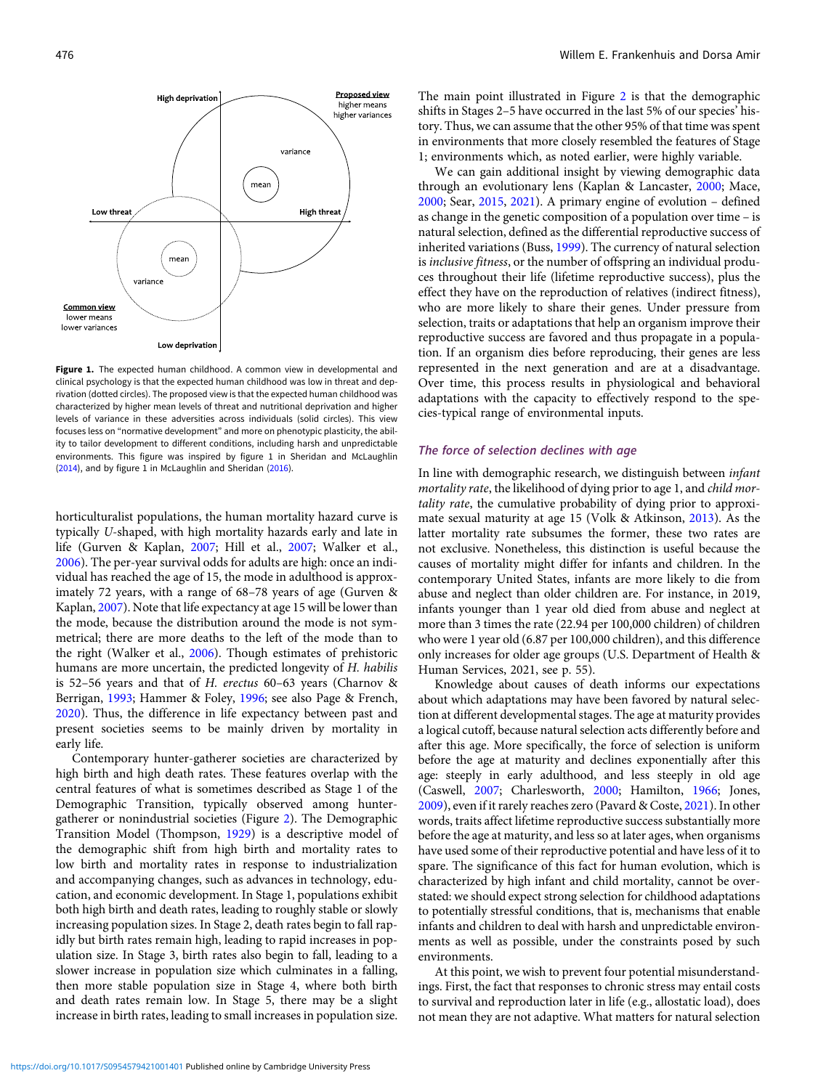<span id="page-3-0"></span>

Figure 1. The expected human childhood. A common view in developmental and clinical psychology is that the expected human childhood was low in threat and deprivation (dotted circles). The proposed view is that the expected human childhood was characterized by higher mean levels of threat and nutritional deprivation and higher levels of variance in these adversities across individuals (solid circles). This view focuses less on "normative development" and more on phenotypic plasticity, the ability to tailor development to different conditions, including harsh and unpredictable environments. This figure was inspired by figure 1 in Sheridan and McLaughlin ([2014](#page-22-0)), and by figure 1 in McLaughlin and Sheridan [\(2016\)](#page-21-0).

horticulturalist populations, the human mortality hazard curve is typically U-shaped, with high mortality hazards early and late in life (Gurven & Kaplan, [2007;](#page-18-0) Hill et al., [2007;](#page-19-0) Walker et al., [2006\)](#page-23-0). The per-year survival odds for adults are high: once an individual has reached the age of 15, the mode in adulthood is approximately 72 years, with a range of 68–78 years of age (Gurven & Kaplan, [2007\)](#page-18-0). Note that life expectancy at age 15 will be lower than the mode, because the distribution around the mode is not symmetrical; there are more deaths to the left of the mode than to the right (Walker et al., [2006\)](#page-23-0). Though estimates of prehistoric humans are more uncertain, the predicted longevity of H. habilis is 52–56 years and that of H. erectus 60–63 years (Charnov & Berrigan, [1993](#page-16-0); Hammer & Foley, [1996;](#page-18-0) see also Page & French, [2020\)](#page-21-0). Thus, the difference in life expectancy between past and present societies seems to be mainly driven by mortality in early life.

Contemporary hunter-gatherer societies are characterized by high birth and high death rates. These features overlap with the central features of what is sometimes described as Stage 1 of the Demographic Transition, typically observed among huntergatherer or nonindustrial societies (Figure [2](#page-4-0)). The Demographic Transition Model (Thompson, [1929\)](#page-23-0) is a descriptive model of the demographic shift from high birth and mortality rates to low birth and mortality rates in response to industrialization and accompanying changes, such as advances in technology, education, and economic development. In Stage 1, populations exhibit both high birth and death rates, leading to roughly stable or slowly increasing population sizes. In Stage 2, death rates begin to fall rapidly but birth rates remain high, leading to rapid increases in population size. In Stage 3, birth rates also begin to fall, leading to a slower increase in population size which culminates in a falling, then more stable population size in Stage 4, where both birth and death rates remain low. In Stage 5, there may be a slight increase in birth rates, leading to small increases in population size.

The main point illustrated in Figure [2](#page-4-0) is that the demographic shifts in Stages 2–5 have occurred in the last 5% of our species' history. Thus, we can assume that the other 95% of that time was spent in environments that more closely resembled the features of Stage 1; environments which, as noted earlier, were highly variable.

We can gain additional insight by viewing demographic data through an evolutionary lens (Kaplan & Lancaster, [2000](#page-19-0); Mace, [2000;](#page-20-0) Sear, [2015,](#page-22-0) [2021\)](#page-22-0). A primary engine of evolution – defined as change in the genetic composition of a population over time – is natural selection, defined as the differential reproductive success of inherited variations (Buss, [1999\)](#page-16-0). The currency of natural selection is inclusive fitness, or the number of offspring an individual produces throughout their life (lifetime reproductive success), plus the effect they have on the reproduction of relatives (indirect fitness), who are more likely to share their genes. Under pressure from selection, traits or adaptations that help an organism improve their reproductive success are favored and thus propagate in a population. If an organism dies before reproducing, their genes are less represented in the next generation and are at a disadvantage. Over time, this process results in physiological and behavioral adaptations with the capacity to effectively respond to the species-typical range of environmental inputs.

# The force of selection declines with age

In line with demographic research, we distinguish between infant mortality rate, the likelihood of dying prior to age 1, and child mortality rate, the cumulative probability of dying prior to approximate sexual maturity at age 15 (Volk & Atkinson, [2013\)](#page-23-0). As the latter mortality rate subsumes the former, these two rates are not exclusive. Nonetheless, this distinction is useful because the causes of mortality might differ for infants and children. In the contemporary United States, infants are more likely to die from abuse and neglect than older children are. For instance, in 2019, infants younger than 1 year old died from abuse and neglect at more than 3 times the rate (22.94 per 100,000 children) of children who were 1 year old (6.87 per 100,000 children), and this difference only increases for older age groups (U.S. Department of Health & Human Services, 2021, see p. 55).

Knowledge about causes of death informs our expectations about which adaptations may have been favored by natural selection at different developmental stages. The age at maturity provides a logical cutoff, because natural selection acts differently before and after this age. More specifically, the force of selection is uniform before the age at maturity and declines exponentially after this age: steeply in early adulthood, and less steeply in old age (Caswell, [2007;](#page-16-0) Charlesworth, [2000](#page-16-0); Hamilton, [1966](#page-18-0); Jones, [2009\)](#page-19-0), even if it rarely reaches zero (Pavard & Coste, [2021](#page-21-0)). In other words, traits affect lifetime reproductive success substantially more before the age at maturity, and less so at later ages, when organisms have used some of their reproductive potential and have less of it to spare. The significance of this fact for human evolution, which is characterized by high infant and child mortality, cannot be overstated: we should expect strong selection for childhood adaptations to potentially stressful conditions, that is, mechanisms that enable infants and children to deal with harsh and unpredictable environments as well as possible, under the constraints posed by such environments.

At this point, we wish to prevent four potential misunderstandings. First, the fact that responses to chronic stress may entail costs to survival and reproduction later in life (e.g., allostatic load), does not mean they are not adaptive. What matters for natural selection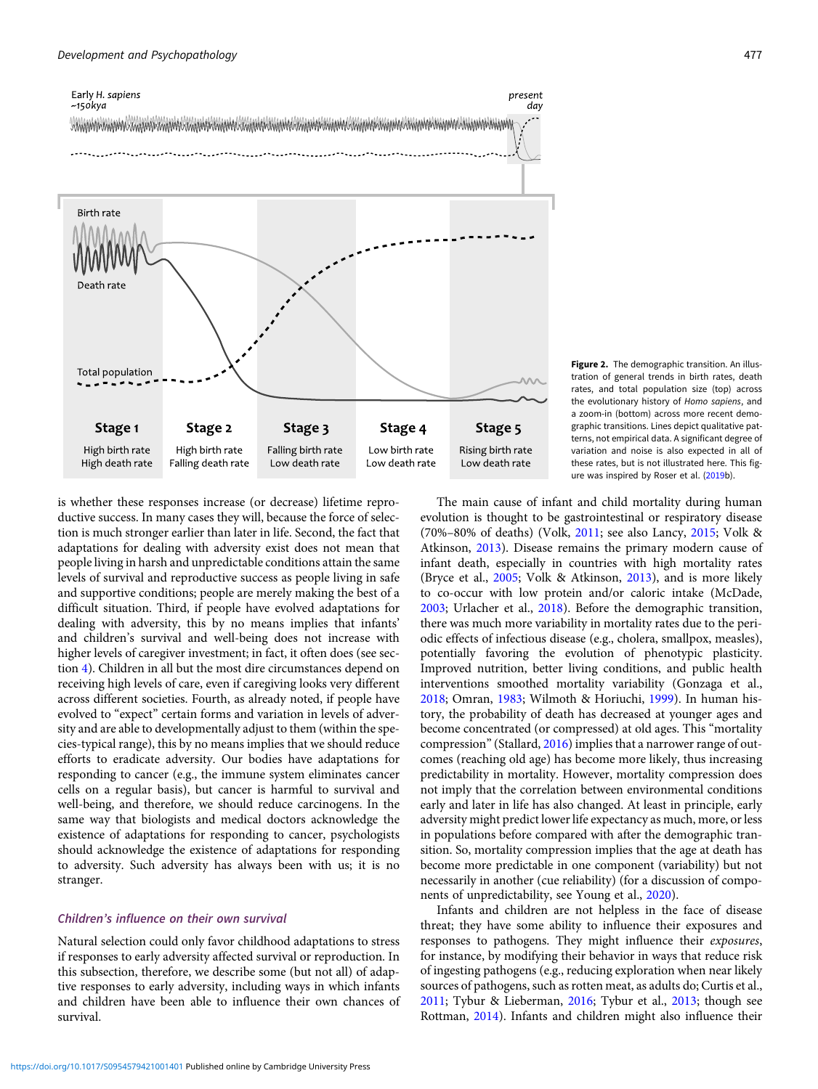<span id="page-4-0"></span>

Figure 2. The demographic transition. An illustration of general trends in birth rates, death rates, and total population size (top) across the evolutionary history of Homo sapiens, and a zoom-in (bottom) across more recent demographic transitions. Lines depict qualitative patterns, not empirical data. A significant degree of variation and noise is also expected in all of these rates, but is not illustrated here. This figure was inspired by Roser et al. ([2019b](#page-22-0)).

is whether these responses increase (or decrease) lifetime reproductive success. In many cases they will, because the force of selection is much stronger earlier than later in life. Second, the fact that adaptations for dealing with adversity exist does not mean that people living in harsh and unpredictable conditions attain the same levels of survival and reproductive success as people living in safe and supportive conditions; people are merely making the best of a difficult situation. Third, if people have evolved adaptations for dealing with adversity, this by no means implies that infants' and children's survival and well-being does not increase with higher levels of caregiver investment; in fact, it often does (see section 4). Children in all but the most dire circumstances depend on receiving high levels of care, even if caregiving looks very different across different societies. Fourth, as already noted, if people have evolved to "expect" certain forms and variation in levels of adversity and are able to developmentally adjust to them (within the species-typical range), this by no means implies that we should reduce efforts to eradicate adversity. Our bodies have adaptations for responding to cancer (e.g., the immune system eliminates cancer cells on a regular basis), but cancer is harmful to survival and well-being, and therefore, we should reduce carcinogens. In the same way that biologists and medical doctors acknowledge the existence of adaptations for responding to cancer, psychologists should acknowledge the existence of adaptations for responding to adversity. Such adversity has always been with us; it is no stranger.

# Children's influence on their own survival

Natural selection could only favor childhood adaptations to stress if responses to early adversity affected survival or reproduction. In this subsection, therefore, we describe some (but not all) of adaptive responses to early adversity, including ways in which infants and children have been able to influence their own chances of survival.

The main cause of infant and child mortality during human evolution is thought to be gastrointestinal or respiratory disease (70%–80% of deaths) (Volk, [2011;](#page-23-0) see also Lancy, [2015](#page-20-0); Volk & Atkinson, [2013\)](#page-23-0). Disease remains the primary modern cause of infant death, especially in countries with high mortality rates (Bryce et al., [2005](#page-16-0); Volk & Atkinson, [2013\)](#page-23-0), and is more likely to co-occur with low protein and/or caloric intake (McDade, [2003](#page-20-0); Urlacher et al., [2018](#page-23-0)). Before the demographic transition, there was much more variability in mortality rates due to the periodic effects of infectious disease (e.g., cholera, smallpox, measles), potentially favoring the evolution of phenotypic plasticity. Improved nutrition, better living conditions, and public health interventions smoothed mortality variability (Gonzaga et al., [2018](#page-18-0); Omran, [1983](#page-21-0); Wilmoth & Horiuchi, [1999\)](#page-24-0). In human history, the probability of death has decreased at younger ages and become concentrated (or compressed) at old ages. This "mortality compression"(Stallard, [2016\)](#page-23-0) implies that a narrower range of outcomes (reaching old age) has become more likely, thus increasing predictability in mortality. However, mortality compression does not imply that the correlation between environmental conditions early and later in life has also changed. At least in principle, early adversity might predict lower life expectancy as much, more, or less in populations before compared with after the demographic transition. So, mortality compression implies that the age at death has become more predictable in one component (variability) but not necessarily in another (cue reliability) (for a discussion of components of unpredictability, see Young et al., [2020\)](#page-24-0).

Infants and children are not helpless in the face of disease threat; they have some ability to influence their exposures and responses to pathogens. They might influence their exposures, for instance, by modifying their behavior in ways that reduce risk of ingesting pathogens (e.g., reducing exploration when near likely sources of pathogens, such as rotten meat, as adults do; Curtis et al., [2011](#page-17-0); Tybur & Lieberman, [2016;](#page-23-0) Tybur et al., [2013](#page-23-0); though see Rottman, [2014](#page-22-0)). Infants and children might also influence their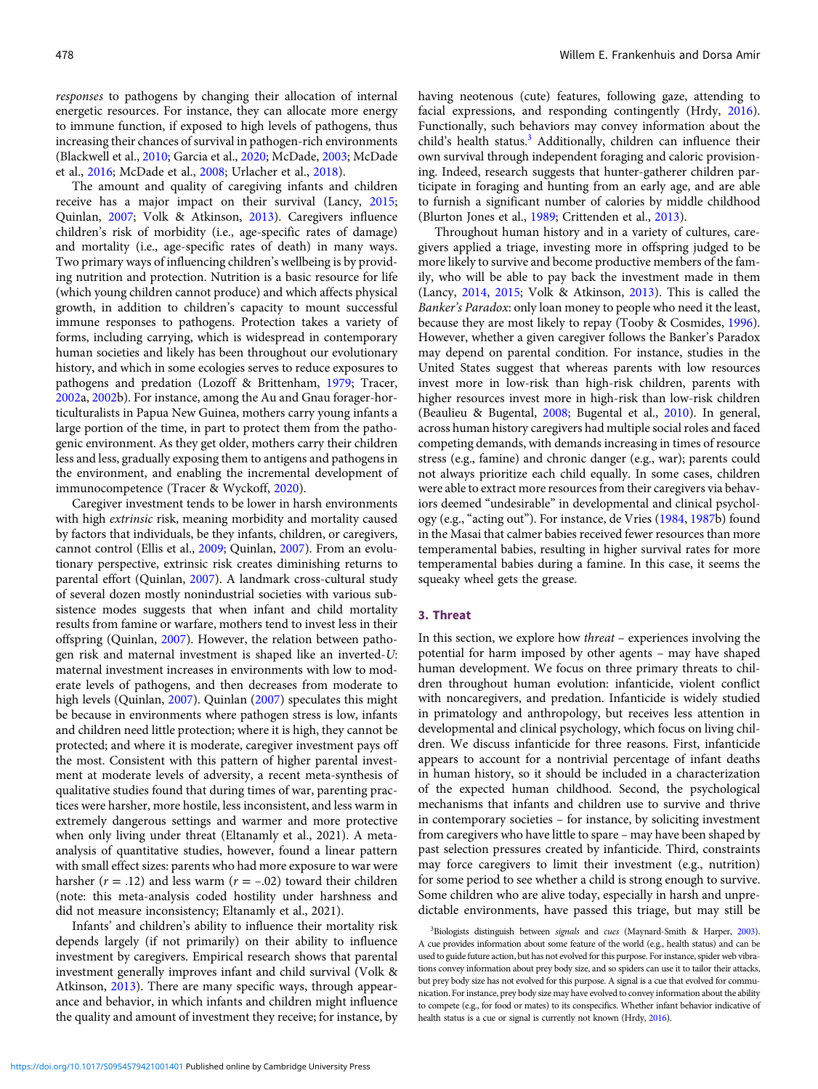responses to pathogens by changing their allocation of internal energetic resources. For instance, they can allocate more energy to immune function, if exposed to high levels of pathogens, thus increasing their chances of survival in pathogen-rich environments (Blackwell et al., [2010](#page-16-0); Garcia et al., [2020;](#page-18-0) McDade, [2003;](#page-20-0) McDade et al., [2016;](#page-20-0) McDade et al., [2008;](#page-20-0) Urlacher et al., [2018](#page-23-0)).

The amount and quality of caregiving infants and children receive has a major impact on their survival (Lancy, [2015](#page-20-0); Quinlan, [2007](#page-22-0); Volk & Atkinson, [2013\)](#page-23-0). Caregivers influence children's risk of morbidity (i.e., age-specific rates of damage) and mortality (i.e., age-specific rates of death) in many ways. Two primary ways of influencing children's wellbeing is by providing nutrition and protection. Nutrition is a basic resource for life (which young children cannot produce) and which affects physical growth, in addition to children's capacity to mount successful immune responses to pathogens. Protection takes a variety of forms, including carrying, which is widespread in contemporary human societies and likely has been throughout our evolutionary history, and which in some ecologies serves to reduce exposures to pathogens and predation (Lozoff & Brittenham, [1979;](#page-20-0) Tracer, [2002a](#page-23-0), [2002](#page-23-0)b). For instance, among the Au and Gnau forager-horticulturalists in Papua New Guinea, mothers carry young infants a large portion of the time, in part to protect them from the pathogenic environment. As they get older, mothers carry their children less and less, gradually exposing them to antigens and pathogens in the environment, and enabling the incremental development of immunocompetence (Tracer & Wyckoff, [2020\)](#page-23-0).

Caregiver investment tends to be lower in harsh environments with high *extrinsic* risk, meaning morbidity and mortality caused by factors that individuals, be they infants, children, or caregivers, cannot control (Ellis et al., [2009;](#page-17-0) Quinlan, [2007\)](#page-22-0). From an evolutionary perspective, extrinsic risk creates diminishing returns to parental effort (Quinlan, [2007](#page-22-0)). A landmark cross-cultural study of several dozen mostly nonindustrial societies with various subsistence modes suggests that when infant and child mortality results from famine or warfare, mothers tend to invest less in their offspring (Quinlan, [2007\)](#page-22-0). However, the relation between pathogen risk and maternal investment is shaped like an inverted-U: maternal investment increases in environments with low to moderate levels of pathogens, and then decreases from moderate to high levels (Quinlan, [2007\)](#page-22-0). Quinlan ([2007\)](#page-22-0) speculates this might be because in environments where pathogen stress is low, infants and children need little protection; where it is high, they cannot be protected; and where it is moderate, caregiver investment pays off the most. Consistent with this pattern of higher parental investment at moderate levels of adversity, a recent meta-synthesis of qualitative studies found that during times of war, parenting practices were harsher, more hostile, less inconsistent, and less warm in extremely dangerous settings and warmer and more protective when only living under threat (Eltanamly et al., 2021). A metaanalysis of quantitative studies, however, found a linear pattern with small effect sizes: parents who had more exposure to war were harsher ( $r = .12$ ) and less warm ( $r = -.02$ ) toward their children (note: this meta-analysis coded hostility under harshness and did not measure inconsistency; Eltanamly et al., 2021).

Infants' and children's ability to influence their mortality risk depends largely (if not primarily) on their ability to influence investment by caregivers. Empirical research shows that parental investment generally improves infant and child survival (Volk & Atkinson, [2013\)](#page-23-0). There are many specific ways, through appearance and behavior, in which infants and children might influence the quality and amount of investment they receive; for instance, by having neotenous (cute) features, following gaze, attending to facial expressions, and responding contingently (Hrdy, [2016](#page-19-0)). Functionally, such behaviors may convey information about the child's health status.<sup>3</sup> Additionally, children can influence their own survival through independent foraging and caloric provisioning. Indeed, research suggests that hunter-gatherer children participate in foraging and hunting from an early age, and are able to furnish a significant number of calories by middle childhood (Blurton Jones et al., [1989;](#page-16-0) Crittenden et al., [2013\)](#page-17-0).

Throughout human history and in a variety of cultures, caregivers applied a triage, investing more in offspring judged to be more likely to survive and become productive members of the family, who will be able to pay back the investment made in them (Lancy, [2014,](#page-20-0) [2015;](#page-20-0) Volk & Atkinson, [2013\)](#page-23-0). This is called the Banker's Paradox: only loan money to people who need it the least, because they are most likely to repay (Tooby & Cosmides, [1996](#page-23-0)). However, whether a given caregiver follows the Banker's Paradox may depend on parental condition. For instance, studies in the United States suggest that whereas parents with low resources invest more in low-risk than high-risk children, parents with higher resources invest more in high-risk than low-risk children (Beaulieu & Bugental, [2008](#page-16-0); Bugental et al., [2010\)](#page-16-0). In general, across human history caregivers had multiple social roles and faced competing demands, with demands increasing in times of resource stress (e.g., famine) and chronic danger (e.g., war); parents could not always prioritize each child equally. In some cases, children were able to extract more resources from their caregivers via behaviors deemed "undesirable" in developmental and clinical psychology (e.g., "acting out"). For instance, de Vries [\(1984](#page-17-0), [1987b](#page-17-0)) found in the Masai that calmer babies received fewer resources than more temperamental babies, resulting in higher survival rates for more temperamental babies during a famine. In this case, it seems the squeaky wheel gets the grease.

# 3. Threat

In this section, we explore how threat – experiences involving the potential for harm imposed by other agents – may have shaped human development. We focus on three primary threats to children throughout human evolution: infanticide, violent conflict with noncaregivers, and predation. Infanticide is widely studied in primatology and anthropology, but receives less attention in developmental and clinical psychology, which focus on living children. We discuss infanticide for three reasons. First, infanticide appears to account for a nontrivial percentage of infant deaths in human history, so it should be included in a characterization of the expected human childhood. Second, the psychological mechanisms that infants and children use to survive and thrive in contemporary societies – for instance, by soliciting investment from caregivers who have little to spare – may have been shaped by past selection pressures created by infanticide. Third, constraints may force caregivers to limit their investment (e.g., nutrition) for some period to see whether a child is strong enough to survive. Some children who are alive today, especially in harsh and unpredictable environments, have passed this triage, but may still be

<sup>3</sup>Biologists distinguish between signals and cues (Maynard-Smith & Harper, [2003\)](#page-20-0). A cue provides information about some feature of the world (e.g., health status) and can be used to guide future action, but has not evolved for this purpose. For instance, spider web vibrations convey information about prey body size, and so spiders can use it to tailor their attacks, but prey body size has not evolved for this purpose. A signal is a cue that evolved for communication. For instance, prey body size may have evolved to convey information about the ability to compete (e.g., for food or mates) to its conspecifics. Whether infant behavior indicative of health status is a cue or signal is currently not known (Hrdy, [2016](#page-19-0)).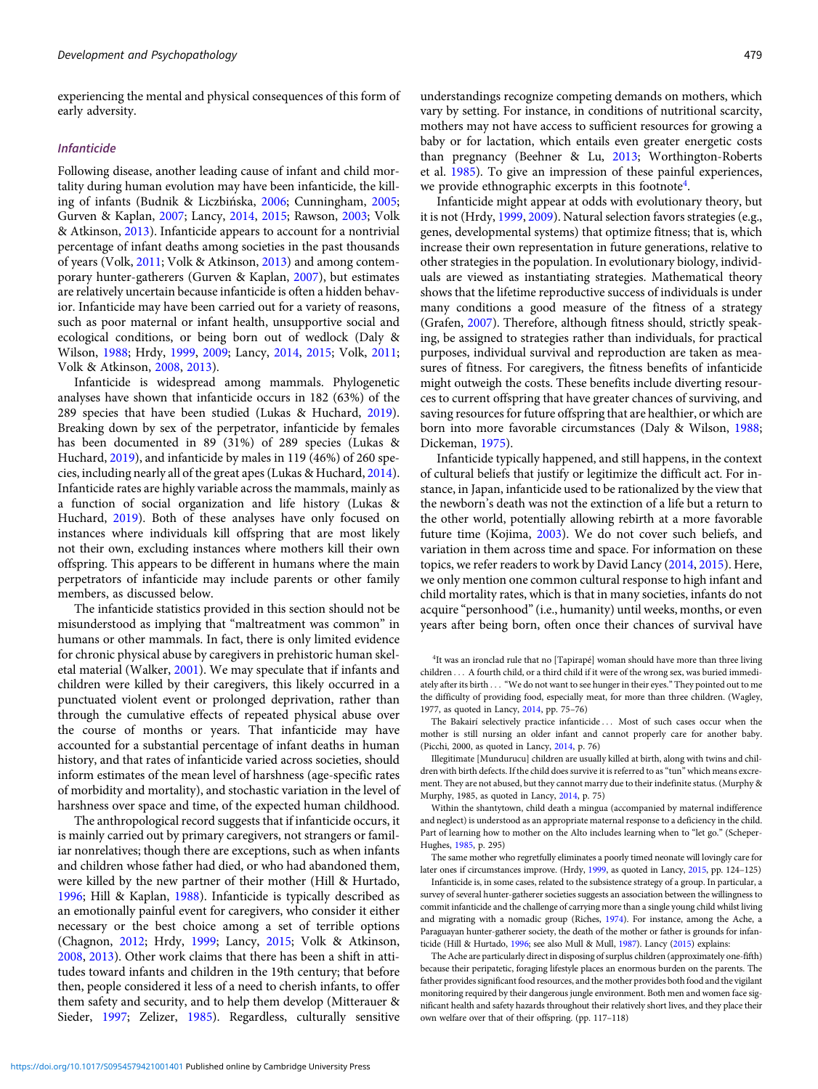experiencing the mental and physical consequences of this form of early adversity.

# Infanticide

Following disease, another leading cause of infant and child mortality during human evolution may have been infanticide, the killing of infants (Budnik & Liczbińska, [2006;](#page-16-0) Cunningham, [2005;](#page-17-0) Gurven & Kaplan, [2007](#page-18-0); Lancy, [2014](#page-20-0), [2015;](#page-20-0) Rawson, [2003](#page-22-0); Volk & Atkinson, [2013\)](#page-23-0). Infanticide appears to account for a nontrivial percentage of infant deaths among societies in the past thousands of years (Volk, [2011;](#page-23-0) Volk & Atkinson, [2013\)](#page-23-0) and among contemporary hunter-gatherers (Gurven & Kaplan, [2007](#page-18-0)), but estimates are relatively uncertain because infanticide is often a hidden behavior. Infanticide may have been carried out for a variety of reasons, such as poor maternal or infant health, unsupportive social and ecological conditions, or being born out of wedlock (Daly & Wilson, [1988](#page-17-0); Hrdy, [1999](#page-19-0), [2009;](#page-19-0) Lancy, [2014,](#page-20-0) [2015](#page-20-0); Volk, [2011;](#page-23-0) Volk & Atkinson, [2008](#page-23-0), [2013](#page-23-0)).

Infanticide is widespread among mammals. Phylogenetic analyses have shown that infanticide occurs in 182 (63%) of the 289 species that have been studied (Lukas & Huchard, [2019\)](#page-20-0). Breaking down by sex of the perpetrator, infanticide by females has been documented in 89 (31%) of 289 species (Lukas & Huchard, [2019](#page-20-0)), and infanticide by males in 119 (46%) of 260 species, including nearly all of the great apes (Lukas & Huchard, [2014\)](#page-20-0). Infanticide rates are highly variable across the mammals, mainly as a function of social organization and life history (Lukas & Huchard, [2019\)](#page-20-0). Both of these analyses have only focused on instances where individuals kill offspring that are most likely not their own, excluding instances where mothers kill their own offspring. This appears to be different in humans where the main perpetrators of infanticide may include parents or other family members, as discussed below.

The infanticide statistics provided in this section should not be misunderstood as implying that "maltreatment was common" in humans or other mammals. In fact, there is only limited evidence for chronic physical abuse by caregivers in prehistoric human skeletal material (Walker, [2001\)](#page-23-0). We may speculate that if infants and children were killed by their caregivers, this likely occurred in a punctuated violent event or prolonged deprivation, rather than through the cumulative effects of repeated physical abuse over the course of months or years. That infanticide may have accounted for a substantial percentage of infant deaths in human history, and that rates of infanticide varied across societies, should inform estimates of the mean level of harshness (age-specific rates of morbidity and mortality), and stochastic variation in the level of harshness over space and time, of the expected human childhood.

The anthropological record suggests that if infanticide occurs, it is mainly carried out by primary caregivers, not strangers or familiar nonrelatives; though there are exceptions, such as when infants and children whose father had died, or who had abandoned them, were killed by the new partner of their mother (Hill & Hurtado, [1996](#page-19-0); Hill & Kaplan, [1988](#page-19-0)). Infanticide is typically described as an emotionally painful event for caregivers, who consider it either necessary or the best choice among a set of terrible options (Chagnon, [2012](#page-16-0); Hrdy, [1999](#page-19-0); Lancy, [2015](#page-20-0); Volk & Atkinson, [2008](#page-23-0), [2013](#page-23-0)). Other work claims that there has been a shift in attitudes toward infants and children in the 19th century; that before then, people considered it less of a need to cherish infants, to offer them safety and security, and to help them develop (Mitterauer & Sieder, [1997;](#page-21-0) Zelizer, [1985\)](#page-24-0). Regardless, culturally sensitive

understandings recognize competing demands on mothers, which vary by setting. For instance, in conditions of nutritional scarcity, mothers may not have access to sufficient resources for growing a baby or for lactation, which entails even greater energetic costs than pregnancy (Beehner & Lu, [2013](#page-16-0); Worthington-Roberts et al. [1985](#page-24-0)). To give an impression of these painful experiences, we provide ethnographic excerpts in this footnote<sup>4</sup>.

Infanticide might appear at odds with evolutionary theory, but it is not (Hrdy, [1999,](#page-19-0) [2009\)](#page-19-0). Natural selection favors strategies (e.g., genes, developmental systems) that optimize fitness; that is, which increase their own representation in future generations, relative to other strategies in the population. In evolutionary biology, individuals are viewed as instantiating strategies. Mathematical theory shows that the lifetime reproductive success of individuals is under many conditions a good measure of the fitness of a strategy (Grafen, [2007\)](#page-18-0). Therefore, although fitness should, strictly speaking, be assigned to strategies rather than individuals, for practical purposes, individual survival and reproduction are taken as measures of fitness. For caregivers, the fitness benefits of infanticide might outweigh the costs. These benefits include diverting resources to current offspring that have greater chances of surviving, and saving resources for future offspring that are healthier, or which are born into more favorable circumstances (Daly & Wilson, [1988;](#page-17-0) Dickeman, [1975](#page-17-0)).

Infanticide typically happened, and still happens, in the context of cultural beliefs that justify or legitimize the difficult act. For instance, in Japan, infanticide used to be rationalized by the view that the newborn's death was not the extinction of a life but a return to the other world, potentially allowing rebirth at a more favorable future time (Kojima, [2003\)](#page-19-0). We do not cover such beliefs, and variation in them across time and space. For information on these topics, we refer readers to work by David Lancy ([2014](#page-20-0), [2015](#page-20-0)). Here, we only mention one common cultural response to high infant and child mortality rates, which is that in many societies, infants do not acquire "personhood"(i.e., humanity) until weeks, months, or even years after being born, often once their chances of survival have

The Bakairí selectively practice infanticide ::: Most of such cases occur when the mother is still nursing an older infant and cannot properly care for another baby. (Picchi, 2000, as quoted in Lancy, [2014](#page-20-0), p. 76)

Illegitimate [Mundurucu] children are usually killed at birth, along with twins and children with birth defects. If the child does survive it is referred to as"tun" which means excrement. They are not abused, but they cannot marry due to their indefinite status. (Murphy & Murphy, 1985, as quoted in Lancy, [2014](#page-20-0), p. 75)

Within the shantytown, child death a mingua (accompanied by maternal indifference and neglect) is understood as an appropriate maternal response to a deficiency in the child. Part of learning how to mother on the Alto includes learning when to "let go." (Scheper-Hughes, [1985](#page-22-0), p. 295)

The same mother who regretfully eliminates a poorly timed neonate will lovingly care for later ones if circumstances improve. (Hrdy, [1999](#page-19-0), as quoted in Lancy, [2015](#page-20-0), pp. 124–125)

Infanticide is, in some cases, related to the subsistence strategy of a group. In particular, a survey of several hunter-gatherer societies suggests an association between the willingness to commit infanticide and the challenge of carrying more than a single young child whilst living and migrating with a nomadic group (Riches, [1974\)](#page-22-0). For instance, among the Ache, a Paraguayan hunter-gatherer society, the death of the mother or father is grounds for infanticide (Hill & Hurtado, [1996;](#page-19-0) see also Mull & Mull, [1987](#page-21-0)). Lancy [\(2015](#page-20-0)) explains:

The Ache are particularly direct in disposing of surplus children (approximately one-fifth) because their peripatetic, foraging lifestyle places an enormous burden on the parents. The father provides significant food resources, and the mother provides both food and the vigilant monitoring required by their dangerous jungle environment. Both men and women face significant health and safety hazards throughout their relatively short lives, and they place their own welfare over that of their offspring. (pp. 117–118)

<sup>&</sup>lt;sup>4</sup>It was an ironclad rule that no [Tapirapé] woman should have more than three living children . . . A fourth child, or a third child if it were of the wrong sex, was buried immediately after its birth . . . "We do not want to see hunger in their eyes." They pointed out to me the difficulty of providing food, especially meat, for more than three children. (Wagley, 1977, as quoted in Lancy, [2014,](#page-20-0) pp. 75–76)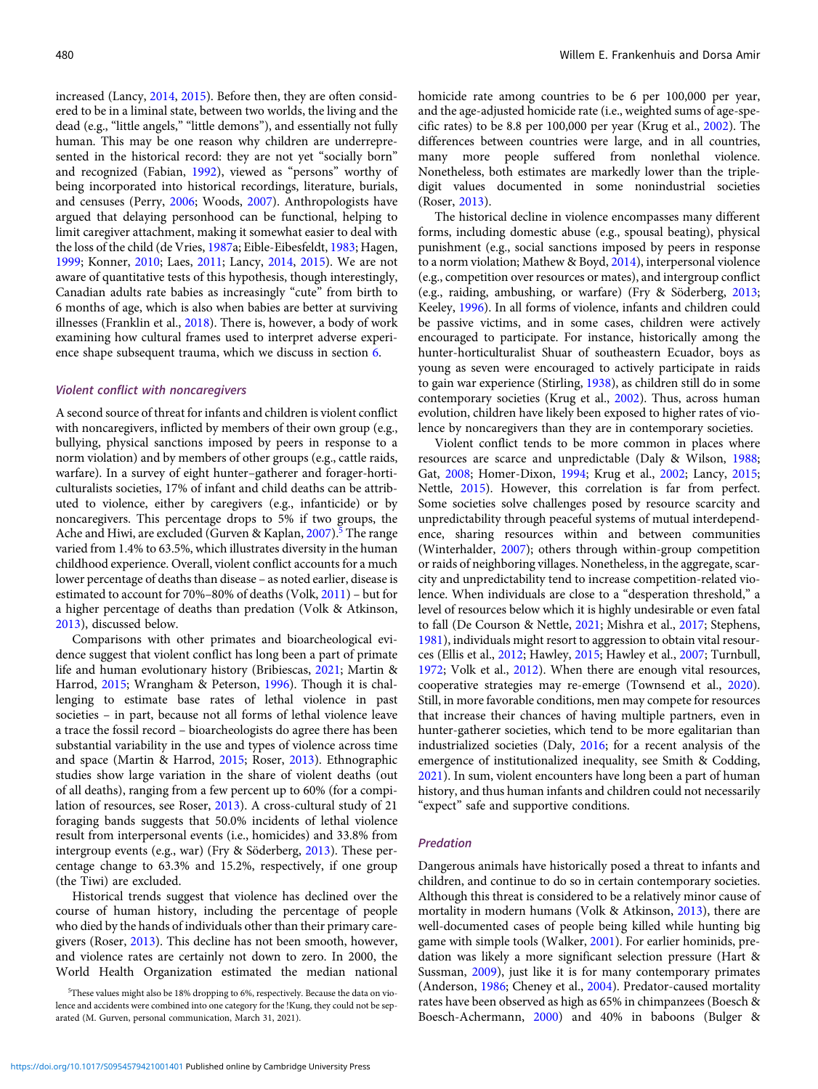increased (Lancy, [2014](#page-20-0), [2015](#page-20-0)). Before then, they are often considered to be in a liminal state, between two worlds, the living and the dead (e.g., "little angels," "little demons"), and essentially not fully human. This may be one reason why children are underrepresented in the historical record: they are not yet "socially born" and recognized (Fabian, [1992\)](#page-17-0), viewed as "persons" worthy of being incorporated into historical recordings, literature, burials, and censuses (Perry, [2006;](#page-21-0) Woods, [2007](#page-24-0)). Anthropologists have argued that delaying personhood can be functional, helping to limit caregiver attachment, making it somewhat easier to deal with the loss of the child (de Vries, [1987](#page-17-0)a; Eible-Eibesfeldt, [1983;](#page-17-0) Hagen, [1999;](#page-18-0) Konner, [2010](#page-19-0); Laes, [2011;](#page-20-0) Lancy, [2014](#page-20-0), [2015\)](#page-20-0). We are not aware of quantitative tests of this hypothesis, though interestingly, Canadian adults rate babies as increasingly "cute" from birth to 6 months of age, which is also when babies are better at surviving illnesses (Franklin et al., [2018\)](#page-18-0). There is, however, a body of work examining how cultural frames used to interpret adverse experience shape subsequent trauma, which we discuss in section 6.

# Violent conflict with noncaregivers

A second source of threat for infants and children is violent conflict with noncaregivers, inflicted by members of their own group (e.g., bullying, physical sanctions imposed by peers in response to a norm violation) and by members of other groups (e.g., cattle raids, warfare). In a survey of eight hunter–gatherer and forager-horticulturalists societies, 17% of infant and child deaths can be attributed to violence, either by caregivers (e.g., infanticide) or by noncaregivers. This percentage drops to 5% if two groups, the Ache and Hiwi, are excluded (Gurven & Kaplan, [2007](#page-18-0)).<sup>5</sup> The range varied from 1.4% to 63.5%, which illustrates diversity in the human childhood experience. Overall, violent conflict accounts for a much lower percentage of deaths than disease – as noted earlier, disease is estimated to account for 70%–80% of deaths (Volk, [2011](#page-23-0)) – but for a higher percentage of deaths than predation (Volk & Atkinson, [2013\)](#page-23-0), discussed below.

Comparisons with other primates and bioarcheological evidence suggest that violent conflict has long been a part of primate life and human evolutionary history (Bribiescas, [2021;](#page-16-0) Martin & Harrod, [2015](#page-20-0); Wrangham & Peterson, [1996\)](#page-24-0). Though it is challenging to estimate base rates of lethal violence in past societies – in part, because not all forms of lethal violence leave a trace the fossil record – bioarcheologists do agree there has been substantial variability in the use and types of violence across time and space (Martin & Harrod, [2015;](#page-20-0) Roser, [2013\)](#page-22-0). Ethnographic studies show large variation in the share of violent deaths (out of all deaths), ranging from a few percent up to 60% (for a compilation of resources, see Roser, [2013\)](#page-22-0). A cross-cultural study of 21 foraging bands suggests that 50.0% incidents of lethal violence result from interpersonal events (i.e., homicides) and 33.8% from intergroup events (e.g., war) (Fry & Söderberg, [2013\)](#page-18-0). These percentage change to 63.3% and 15.2%, respectively, if one group (the Tiwi) are excluded.

Historical trends suggest that violence has declined over the course of human history, including the percentage of people who died by the hands of individuals other than their primary caregivers (Roser, [2013](#page-22-0)). This decline has not been smooth, however, and violence rates are certainly not down to zero. In 2000, the World Health Organization estimated the median national homicide rate among countries to be 6 per 100,000 per year, and the age-adjusted homicide rate (i.e., weighted sums of age-specific rates) to be 8.8 per 100,000 per year (Krug et al., [2002\)](#page-19-0). The differences between countries were large, and in all countries, many more people suffered from nonlethal violence. Nonetheless, both estimates are markedly lower than the tripledigit values documented in some nonindustrial societies (Roser, [2013](#page-22-0)).

The historical decline in violence encompasses many different forms, including domestic abuse (e.g., spousal beating), physical punishment (e.g., social sanctions imposed by peers in response to a norm violation; Mathew & Boyd, [2014](#page-20-0)), interpersonal violence (e.g., competition over resources or mates), and intergroup conflict (e.g., raiding, ambushing, or warfare) (Fry & Söderberg, [2013](#page-18-0); Keeley, [1996](#page-19-0)). In all forms of violence, infants and children could be passive victims, and in some cases, children were actively encouraged to participate. For instance, historically among the hunter-horticulturalist Shuar of southeastern Ecuador, boys as young as seven were encouraged to actively participate in raids to gain war experience (Stirling, [1938\)](#page-23-0), as children still do in some contemporary societies (Krug et al., [2002\)](#page-19-0). Thus, across human evolution, children have likely been exposed to higher rates of violence by noncaregivers than they are in contemporary societies.

Violent conflict tends to be more common in places where resources are scarce and unpredictable (Daly & Wilson, [1988](#page-17-0); Gat, [2008](#page-18-0); Homer-Dixon, [1994;](#page-19-0) Krug et al., [2002;](#page-19-0) Lancy, [2015](#page-20-0); Nettle, [2015\)](#page-21-0). However, this correlation is far from perfect. Some societies solve challenges posed by resource scarcity and unpredictability through peaceful systems of mutual interdependence, sharing resources within and between communities (Winterhalder, [2007\)](#page-24-0); others through within-group competition or raids of neighboring villages. Nonetheless, in the aggregate, scarcity and unpredictability tend to increase competition-related violence. When individuals are close to a "desperation threshold," a level of resources below which it is highly undesirable or even fatal to fall (De Courson & Nettle, [2021](#page-17-0); Mishra et al., [2017;](#page-21-0) Stephens, [1981\)](#page-23-0), individuals might resort to aggression to obtain vital resources (Ellis et al., [2012;](#page-17-0) Hawley, [2015;](#page-18-0) Hawley et al., [2007;](#page-18-0) Turnbull, [1972;](#page-23-0) Volk et al., [2012](#page-23-0)). When there are enough vital resources, cooperative strategies may re-emerge (Townsend et al., [2020](#page-23-0)). Still, in more favorable conditions, men may compete for resources that increase their chances of having multiple partners, even in hunter-gatherer societies, which tend to be more egalitarian than industrialized societies (Daly, [2016;](#page-17-0) for a recent analysis of the emergence of institutionalized inequality, see Smith & Codding, [2021\)](#page-22-0). In sum, violent encounters have long been a part of human history, and thus human infants and children could not necessarily "expect" safe and supportive conditions.

#### Predation

Dangerous animals have historically posed a threat to infants and children, and continue to do so in certain contemporary societies. Although this threat is considered to be a relatively minor cause of mortality in modern humans (Volk & Atkinson, [2013\)](#page-23-0), there are well-documented cases of people being killed while hunting big game with simple tools (Walker, [2001\)](#page-23-0). For earlier hominids, predation was likely a more significant selection pressure (Hart & Sussman, [2009\)](#page-18-0), just like it is for many contemporary primates (Anderson, [1986](#page-15-0); Cheney et al., [2004\)](#page-16-0). Predator-caused mortality rates have been observed as high as 65% in chimpanzees (Boesch & Boesch-Achermann, [2000\)](#page-16-0) and 40% in baboons (Bulger &

<sup>&</sup>lt;sup>5</sup>These values might also be 18% dropping to 6%, respectively. Because the data on violence and accidents were combined into one category for the !Kung, they could not be separated (M. Gurven, personal communication, March 31, 2021).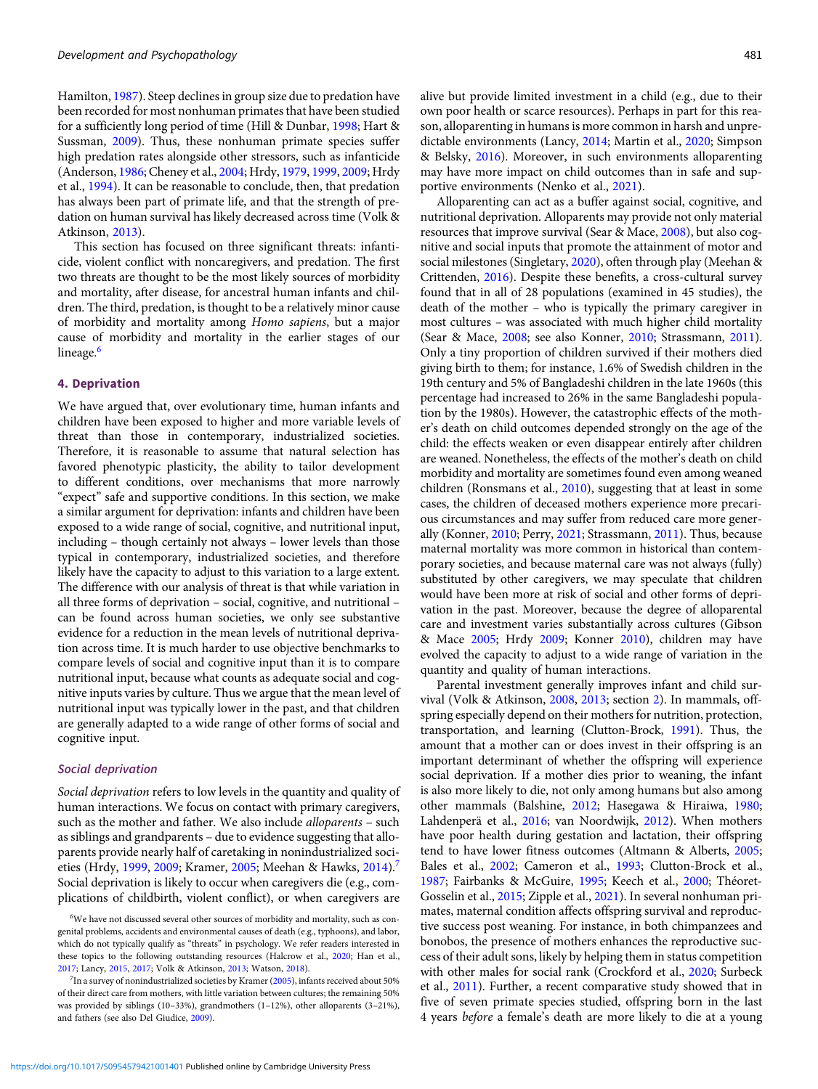Hamilton, [1987\)](#page-16-0). Steep declines in group size due to predation have been recorded for most nonhuman primates that have been studied for a sufficiently long period of time (Hill & Dunbar, [1998](#page-19-0); Hart & Sussman, [2009\)](#page-18-0). Thus, these nonhuman primate species suffer high predation rates alongside other stressors, such as infanticide (Anderson, [1986;](#page-15-0) Cheney et al., [2004;](#page-16-0) Hrdy, [1979](#page-19-0), [1999](#page-19-0), [2009](#page-19-0); Hrdy et al., [1994](#page-19-0)). It can be reasonable to conclude, then, that predation has always been part of primate life, and that the strength of predation on human survival has likely decreased across time (Volk & Atkinson, [2013](#page-23-0)).

This section has focused on three significant threats: infanticide, violent conflict with noncaregivers, and predation. The first two threats are thought to be the most likely sources of morbidity and mortality, after disease, for ancestral human infants and children. The third, predation, is thought to be a relatively minor cause of morbidity and mortality among Homo sapiens, but a major cause of morbidity and mortality in the earlier stages of our lineage.<sup>6</sup>

# 4. Deprivation

We have argued that, over evolutionary time, human infants and children have been exposed to higher and more variable levels of threat than those in contemporary, industrialized societies. Therefore, it is reasonable to assume that natural selection has favored phenotypic plasticity, the ability to tailor development to different conditions, over mechanisms that more narrowly "expect" safe and supportive conditions. In this section, we make a similar argument for deprivation: infants and children have been exposed to a wide range of social, cognitive, and nutritional input, including – though certainly not always – lower levels than those typical in contemporary, industrialized societies, and therefore likely have the capacity to adjust to this variation to a large extent. The difference with our analysis of threat is that while variation in all three forms of deprivation – social, cognitive, and nutritional – can be found across human societies, we only see substantive evidence for a reduction in the mean levels of nutritional deprivation across time. It is much harder to use objective benchmarks to compare levels of social and cognitive input than it is to compare nutritional input, because what counts as adequate social and cognitive inputs varies by culture. Thus we argue that the mean level of nutritional input was typically lower in the past, and that children are generally adapted to a wide range of other forms of social and cognitive input.

# Social deprivation

Social deprivation refers to low levels in the quantity and quality of human interactions. We focus on contact with primary caregivers, such as the mother and father. We also include alloparents – such as siblings and grandparents – due to evidence suggesting that alloparents provide nearly half of caretaking in nonindustrialized soci-eties (Hrdy, [1999](#page-19-0), [2009](#page-19-0); Kramer, [2005;](#page-19-0) Meehan & Hawks, [2014\)](#page-21-0).<sup>7</sup> Social deprivation is likely to occur when caregivers die (e.g., complications of childbirth, violent conflict), or when caregivers are

alive but provide limited investment in a child (e.g., due to their own poor health or scarce resources). Perhaps in part for this reason, alloparenting in humans is more common in harsh and unpredictable environments (Lancy, [2014](#page-20-0); Martin et al., [2020](#page-20-0); Simpson & Belsky, [2016\)](#page-22-0). Moreover, in such environments alloparenting may have more impact on child outcomes than in safe and supportive environments (Nenko et al., [2021](#page-21-0)).

Alloparenting can act as a buffer against social, cognitive, and nutritional deprivation. Alloparents may provide not only material resources that improve survival (Sear & Mace, [2008\)](#page-22-0), but also cognitive and social inputs that promote the attainment of motor and social milestones (Singletary, [2020](#page-22-0)), often through play (Meehan & Crittenden, [2016\)](#page-21-0). Despite these benefits, a cross-cultural survey found that in all of 28 populations (examined in 45 studies), the death of the mother – who is typically the primary caregiver in most cultures – was associated with much higher child mortality (Sear & Mace, [2008;](#page-22-0) see also Konner, [2010;](#page-19-0) Strassmann, [2011\)](#page-23-0). Only a tiny proportion of children survived if their mothers died giving birth to them; for instance, 1.6% of Swedish children in the 19th century and 5% of Bangladeshi children in the late 1960s (this percentage had increased to 26% in the same Bangladeshi population by the 1980s). However, the catastrophic effects of the mother's death on child outcomes depended strongly on the age of the child: the effects weaken or even disappear entirely after children are weaned. Nonetheless, the effects of the mother's death on child morbidity and mortality are sometimes found even among weaned children (Ronsmans et al., [2010](#page-22-0)), suggesting that at least in some cases, the children of deceased mothers experience more precarious circumstances and may suffer from reduced care more generally (Konner, [2010](#page-19-0); Perry, [2021;](#page-21-0) Strassmann, [2011\)](#page-23-0). Thus, because maternal mortality was more common in historical than contemporary societies, and because maternal care was not always (fully) substituted by other caregivers, we may speculate that children would have been more at risk of social and other forms of deprivation in the past. Moreover, because the degree of alloparental care and investment varies substantially across cultures (Gibson & Mace [2005](#page-18-0); Hrdy [2009](#page-19-0); Konner [2010\)](#page-19-0), children may have evolved the capacity to adjust to a wide range of variation in the quantity and quality of human interactions.

Parental investment generally improves infant and child survival (Volk & Atkinson, [2008](#page-23-0), [2013](#page-23-0); section 2). In mammals, offspring especially depend on their mothers for nutrition, protection, transportation, and learning (Clutton-Brock, [1991](#page-16-0)). Thus, the amount that a mother can or does invest in their offspring is an important determinant of whether the offspring will experience social deprivation. If a mother dies prior to weaning, the infant is also more likely to die, not only among humans but also among other mammals (Balshine, [2012;](#page-15-0) Hasegawa & Hiraiwa, [1980;](#page-18-0) Lahdenperä et al., [2016](#page-20-0); van Noordwijk, [2012](#page-23-0)). When mothers have poor health during gestation and lactation, their offspring tend to have lower fitness outcomes (Altmann & Alberts, [2005;](#page-15-0) Bales et al., [2002](#page-15-0); Cameron et al., [1993;](#page-16-0) Clutton-Brock et al., [1987](#page-16-0); Fairbanks & McGuire, [1995;](#page-17-0) Keech et al., [2000;](#page-19-0) Théoret-Gosselin et al., [2015](#page-23-0); Zipple et al., [2021\)](#page-24-0). In several nonhuman primates, maternal condition affects offspring survival and reproductive success post weaning. For instance, in both chimpanzees and bonobos, the presence of mothers enhances the reproductive success of their adult sons, likely by helping them in status competition with other males for social rank (Crockford et al., [2020;](#page-17-0) Surbeck et al., [2011\)](#page-23-0). Further, a recent comparative study showed that in five of seven primate species studied, offspring born in the last 4 years before a female's death are more likely to die at a young

<sup>&</sup>lt;sup>6</sup>We have not discussed several other sources of morbidity and mortality, such as congenital problems, accidents and environmental causes of death (e.g., typhoons), and labor, which do not typically qualify as "threats" in psychology. We refer readers interested in these topics to the following outstanding resources (Halcrow et al., [2020](#page-18-0); Han et al., [2017](#page-18-0); Lancy, [2015,](#page-20-0) [2017;](#page-20-0) Volk & Atkinson, [2013](#page-23-0); Watson, [2018\)](#page-24-0).

 $7$ In a survey of nonindustrialized societies by Kramer ([2005](#page-19-0)), infants received about 50% of their direct care from mothers, with little variation between cultures; the remaining 50% was provided by siblings (10–33%), grandmothers (1–12%), other alloparents (3–21%), and fathers (see also Del Giudice, [2009](#page-17-0)).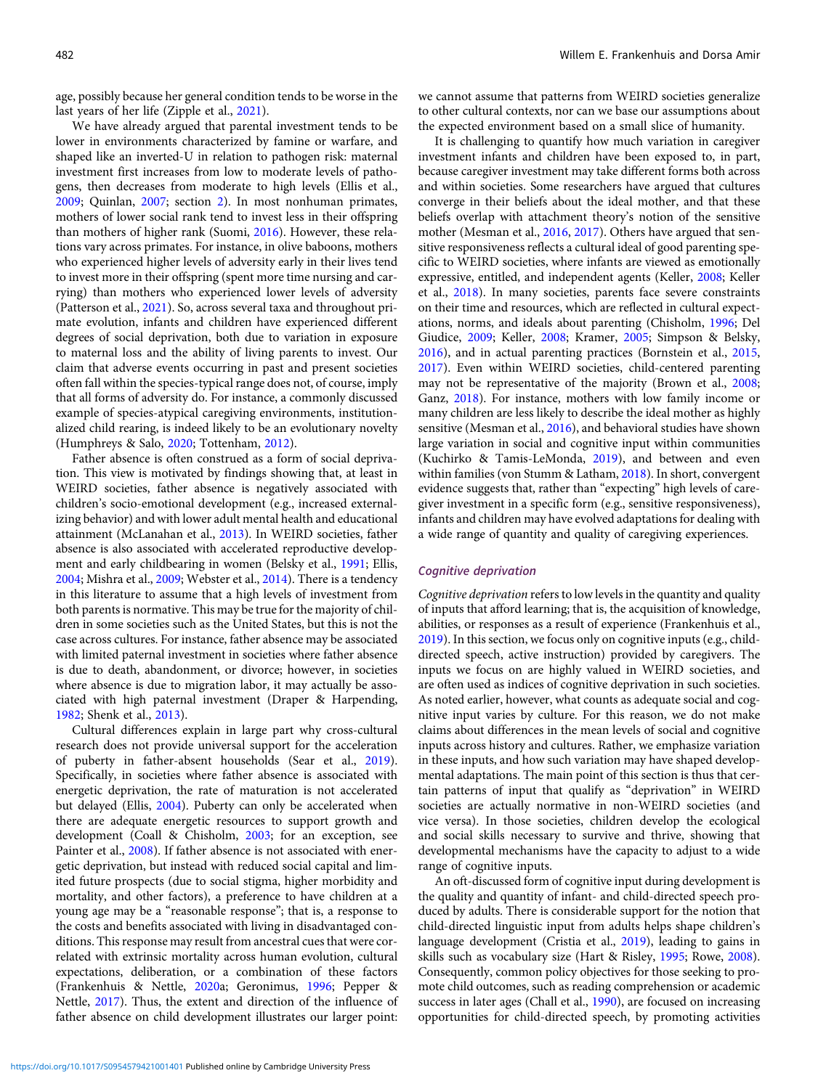age, possibly because her general condition tends to be worse in the last years of her life (Zipple et al., [2021\)](#page-24-0).

We have already argued that parental investment tends to be lower in environments characterized by famine or warfare, and shaped like an inverted-U in relation to pathogen risk: maternal investment first increases from low to moderate levels of pathogens, then decreases from moderate to high levels (Ellis et al., [2009;](#page-17-0) Quinlan, [2007;](#page-22-0) section 2). In most nonhuman primates, mothers of lower social rank tend to invest less in their offspring than mothers of higher rank (Suomi, [2016\)](#page-23-0). However, these relations vary across primates. For instance, in olive baboons, mothers who experienced higher levels of adversity early in their lives tend to invest more in their offspring (spent more time nursing and carrying) than mothers who experienced lower levels of adversity (Patterson et al., [2021\)](#page-21-0). So, across several taxa and throughout primate evolution, infants and children have experienced different degrees of social deprivation, both due to variation in exposure to maternal loss and the ability of living parents to invest. Our claim that adverse events occurring in past and present societies often fall within the species-typical range does not, of course, imply that all forms of adversity do. For instance, a commonly discussed example of species-atypical caregiving environments, institutionalized child rearing, is indeed likely to be an evolutionary novelty (Humphreys & Salo, [2020](#page-19-0); Tottenham, [2012\)](#page-23-0).

Father absence is often construed as a form of social deprivation. This view is motivated by findings showing that, at least in WEIRD societies, father absence is negatively associated with children's socio-emotional development (e.g., increased externalizing behavior) and with lower adult mental health and educational attainment (McLanahan et al., [2013\)](#page-20-0). In WEIRD societies, father absence is also associated with accelerated reproductive development and early childbearing in women (Belsky et al., [1991](#page-16-0); Ellis, [2004;](#page-17-0) Mishra et al., [2009;](#page-21-0) Webster et al., [2014](#page-24-0)). There is a tendency in this literature to assume that a high levels of investment from both parents is normative. This may be true for the majority of children in some societies such as the United States, but this is not the case across cultures. For instance, father absence may be associated with limited paternal investment in societies where father absence is due to death, abandonment, or divorce; however, in societies where absence is due to migration labor, it may actually be associated with high paternal investment (Draper & Harpending, [1982;](#page-17-0) Shenk et al., [2013](#page-22-0)).

Cultural differences explain in large part why cross-cultural research does not provide universal support for the acceleration of puberty in father-absent households (Sear et al., [2019](#page-22-0)). Specifically, in societies where father absence is associated with energetic deprivation, the rate of maturation is not accelerated but delayed (Ellis, [2004](#page-17-0)). Puberty can only be accelerated when there are adequate energetic resources to support growth and development (Coall & Chisholm, [2003](#page-16-0); for an exception, see Painter et al., [2008\)](#page-21-0). If father absence is not associated with energetic deprivation, but instead with reduced social capital and limited future prospects (due to social stigma, higher morbidity and mortality, and other factors), a preference to have children at a young age may be a "reasonable response"; that is, a response to the costs and benefits associated with living in disadvantaged conditions. This response may result from ancestral cues that were correlated with extrinsic mortality across human evolution, cultural expectations, deliberation, or a combination of these factors (Frankenhuis & Nettle, [2020a](#page-18-0); Geronimus, [1996;](#page-18-0) Pepper & Nettle, [2017](#page-21-0)). Thus, the extent and direction of the influence of father absence on child development illustrates our larger point: we cannot assume that patterns from WEIRD societies generalize to other cultural contexts, nor can we base our assumptions about the expected environment based on a small slice of humanity.

It is challenging to quantify how much variation in caregiver investment infants and children have been exposed to, in part, because caregiver investment may take different forms both across and within societies. Some researchers have argued that cultures converge in their beliefs about the ideal mother, and that these beliefs overlap with attachment theory's notion of the sensitive mother (Mesman et al., [2016,](#page-21-0) [2017](#page-21-0)). Others have argued that sensitive responsiveness reflects a cultural ideal of good parenting specific to WEIRD societies, where infants are viewed as emotionally expressive, entitled, and independent agents (Keller, [2008;](#page-19-0) Keller et al., [2018](#page-19-0)). In many societies, parents face severe constraints on their time and resources, which are reflected in cultural expectations, norms, and ideals about parenting (Chisholm, [1996;](#page-16-0) Del Giudice, [2009;](#page-17-0) Keller, [2008](#page-19-0); Kramer, [2005](#page-19-0); Simpson & Belsky, [2016\)](#page-22-0), and in actual parenting practices (Bornstein et al., [2015](#page-16-0), [2017\)](#page-16-0). Even within WEIRD societies, child-centered parenting may not be representative of the majority (Brown et al., [2008](#page-16-0); Ganz, [2018\)](#page-18-0). For instance, mothers with low family income or many children are less likely to describe the ideal mother as highly sensitive (Mesman et al., [2016](#page-21-0)), and behavioral studies have shown large variation in social and cognitive input within communities (Kuchirko & Tamis-LeMonda, [2019\)](#page-20-0), and between and even within families (von Stumm & Latham, [2018\)](#page-23-0). In short, convergent evidence suggests that, rather than "expecting" high levels of caregiver investment in a specific form (e.g., sensitive responsiveness), infants and children may have evolved adaptations for dealing with a wide range of quantity and quality of caregiving experiences.

# Cognitive deprivation

Cognitive deprivation refers to low levels in the quantity and quality of inputs that afford learning; that is, the acquisition of knowledge, abilities, or responses as a result of experience (Frankenhuis et al., [2019\)](#page-18-0). In this section, we focus only on cognitive inputs (e.g., childdirected speech, active instruction) provided by caregivers. The inputs we focus on are highly valued in WEIRD societies, and are often used as indices of cognitive deprivation in such societies. As noted earlier, however, what counts as adequate social and cognitive input varies by culture. For this reason, we do not make claims about differences in the mean levels of social and cognitive inputs across history and cultures. Rather, we emphasize variation in these inputs, and how such variation may have shaped developmental adaptations. The main point of this section is thus that certain patterns of input that qualify as "deprivation" in WEIRD societies are actually normative in non-WEIRD societies (and vice versa). In those societies, children develop the ecological and social skills necessary to survive and thrive, showing that developmental mechanisms have the capacity to adjust to a wide range of cognitive inputs.

An oft-discussed form of cognitive input during development is the quality and quantity of infant- and child-directed speech produced by adults. There is considerable support for the notion that child-directed linguistic input from adults helps shape children's language development (Cristia et al., [2019](#page-17-0)), leading to gains in skills such as vocabulary size (Hart & Risley, [1995;](#page-18-0) Rowe, [2008](#page-22-0)). Consequently, common policy objectives for those seeking to promote child outcomes, such as reading comprehension or academic success in later ages (Chall et al., [1990](#page-16-0)), are focused on increasing opportunities for child-directed speech, by promoting activities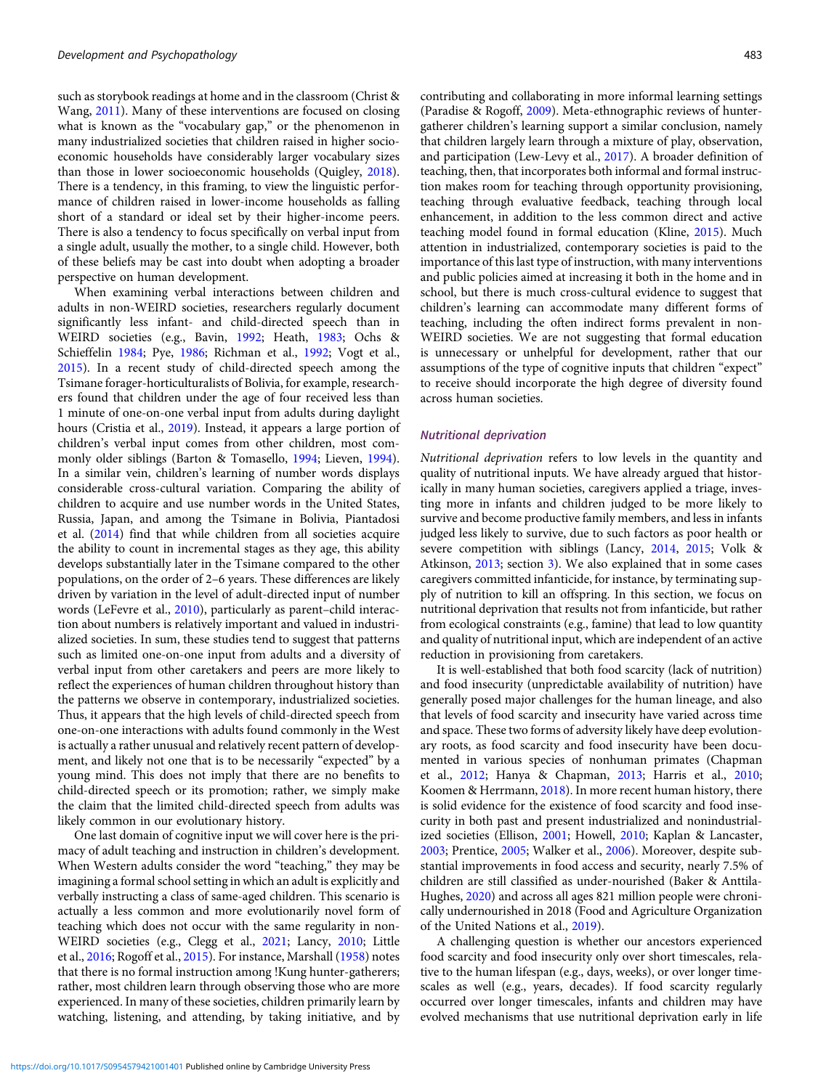such as storybook readings at home and in the classroom (Christ & Wang, [2011\)](#page-16-0). Many of these interventions are focused on closing what is known as the "vocabulary gap," or the phenomenon in many industrialized societies that children raised in higher socioeconomic households have considerably larger vocabulary sizes than those in lower socioeconomic households (Quigley, [2018\)](#page-22-0). There is a tendency, in this framing, to view the linguistic performance of children raised in lower-income households as falling short of a standard or ideal set by their higher-income peers. There is also a tendency to focus specifically on verbal input from a single adult, usually the mother, to a single child. However, both of these beliefs may be cast into doubt when adopting a broader perspective on human development.

When examining verbal interactions between children and adults in non-WEIRD societies, researchers regularly document significantly less infant- and child-directed speech than in WEIRD societies (e.g., Bavin, [1992](#page-15-0); Heath, [1983](#page-18-0); Ochs & Schieffelin [1984](#page-21-0); Pye, [1986](#page-22-0); Richman et al., [1992](#page-22-0); Vogt et al., [2015](#page-23-0)). In a recent study of child-directed speech among the Tsimane forager-horticulturalists of Bolivia, for example, researchers found that children under the age of four received less than 1 minute of one-on-one verbal input from adults during daylight hours (Cristia et al., [2019\)](#page-17-0). Instead, it appears a large portion of children's verbal input comes from other children, most commonly older siblings (Barton & Tomasello, [1994](#page-15-0); Lieven, [1994\)](#page-20-0). In a similar vein, children's learning of number words displays considerable cross-cultural variation. Comparing the ability of children to acquire and use number words in the United States, Russia, Japan, and among the Tsimane in Bolivia, Piantadosi et al. ([2014\)](#page-22-0) find that while children from all societies acquire the ability to count in incremental stages as they age, this ability develops substantially later in the Tsimane compared to the other populations, on the order of 2–6 years. These differences are likely driven by variation in the level of adult-directed input of number words (LeFevre et al., [2010](#page-20-0)), particularly as parent–child interaction about numbers is relatively important and valued in industrialized societies. In sum, these studies tend to suggest that patterns such as limited one-on-one input from adults and a diversity of verbal input from other caretakers and peers are more likely to reflect the experiences of human children throughout history than the patterns we observe in contemporary, industrialized societies. Thus, it appears that the high levels of child-directed speech from one-on-one interactions with adults found commonly in the West is actually a rather unusual and relatively recent pattern of development, and likely not one that is to be necessarily "expected" by a young mind. This does not imply that there are no benefits to child-directed speech or its promotion; rather, we simply make the claim that the limited child-directed speech from adults was likely common in our evolutionary history.

One last domain of cognitive input we will cover here is the primacy of adult teaching and instruction in children's development. When Western adults consider the word "teaching," they may be imagining a formal school setting in which an adult is explicitly and verbally instructing a class of same-aged children. This scenario is actually a less common and more evolutionarily novel form of teaching which does not occur with the same regularity in non-WEIRD societies (e.g., Clegg et al., [2021](#page-16-0); Lancy, [2010](#page-20-0); Little et al., [2016](#page-20-0); Rogoff et al., [2015\)](#page-22-0). For instance, Marshall [\(1958\)](#page-20-0) notes that there is no formal instruction among !Kung hunter-gatherers; rather, most children learn through observing those who are more experienced. In many of these societies, children primarily learn by watching, listening, and attending, by taking initiative, and by

contributing and collaborating in more informal learning settings (Paradise & Rogoff, [2009\)](#page-21-0). Meta-ethnographic reviews of huntergatherer children's learning support a similar conclusion, namely that children largely learn through a mixture of play, observation, and participation (Lew-Levy et al., [2017](#page-20-0)). A broader definition of teaching, then, that incorporates both informal and formal instruction makes room for teaching through opportunity provisioning, teaching through evaluative feedback, teaching through local enhancement, in addition to the less common direct and active teaching model found in formal education (Kline, [2015\)](#page-19-0). Much attention in industrialized, contemporary societies is paid to the importance of this last type of instruction, with many interventions and public policies aimed at increasing it both in the home and in school, but there is much cross-cultural evidence to suggest that children's learning can accommodate many different forms of teaching, including the often indirect forms prevalent in non-WEIRD societies. We are not suggesting that formal education is unnecessary or unhelpful for development, rather that our assumptions of the type of cognitive inputs that children "expect" to receive should incorporate the high degree of diversity found across human societies.

#### Nutritional deprivation

Nutritional deprivation refers to low levels in the quantity and quality of nutritional inputs. We have already argued that historically in many human societies, caregivers applied a triage, investing more in infants and children judged to be more likely to survive and become productive family members, and less in infants judged less likely to survive, due to such factors as poor health or severe competition with siblings (Lancy, [2014](#page-20-0), [2015;](#page-20-0) Volk & Atkinson, [2013](#page-23-0); section 3). We also explained that in some cases caregivers committed infanticide, for instance, by terminating supply of nutrition to kill an offspring. In this section, we focus on nutritional deprivation that results not from infanticide, but rather from ecological constraints (e.g., famine) that lead to low quantity and quality of nutritional input, which are independent of an active reduction in provisioning from caretakers.

It is well-established that both food scarcity (lack of nutrition) and food insecurity (unpredictable availability of nutrition) have generally posed major challenges for the human lineage, and also that levels of food scarcity and insecurity have varied across time and space. These two forms of adversity likely have deep evolutionary roots, as food scarcity and food insecurity have been documented in various species of nonhuman primates (Chapman et al., [2012](#page-16-0); Hanya & Chapman, [2013;](#page-18-0) Harris et al., [2010;](#page-18-0) Koomen & Herrmann, [2018\)](#page-19-0). In more recent human history, there is solid evidence for the existence of food scarcity and food insecurity in both past and present industrialized and nonindustrialized societies (Ellison, [2001](#page-17-0); Howell, [2010;](#page-19-0) Kaplan & Lancaster, [2003](#page-19-0); Prentice, [2005](#page-22-0); Walker et al., [2006](#page-23-0)). Moreover, despite substantial improvements in food access and security, nearly 7.5% of children are still classified as under-nourished (Baker & Anttila-Hughes, [2020\)](#page-15-0) and across all ages 821 million people were chronically undernourished in 2018 (Food and Agriculture Organization of the United Nations et al., [2019\)](#page-17-0).

A challenging question is whether our ancestors experienced food scarcity and food insecurity only over short timescales, relative to the human lifespan (e.g., days, weeks), or over longer timescales as well (e.g., years, decades). If food scarcity regularly occurred over longer timescales, infants and children may have evolved mechanisms that use nutritional deprivation early in life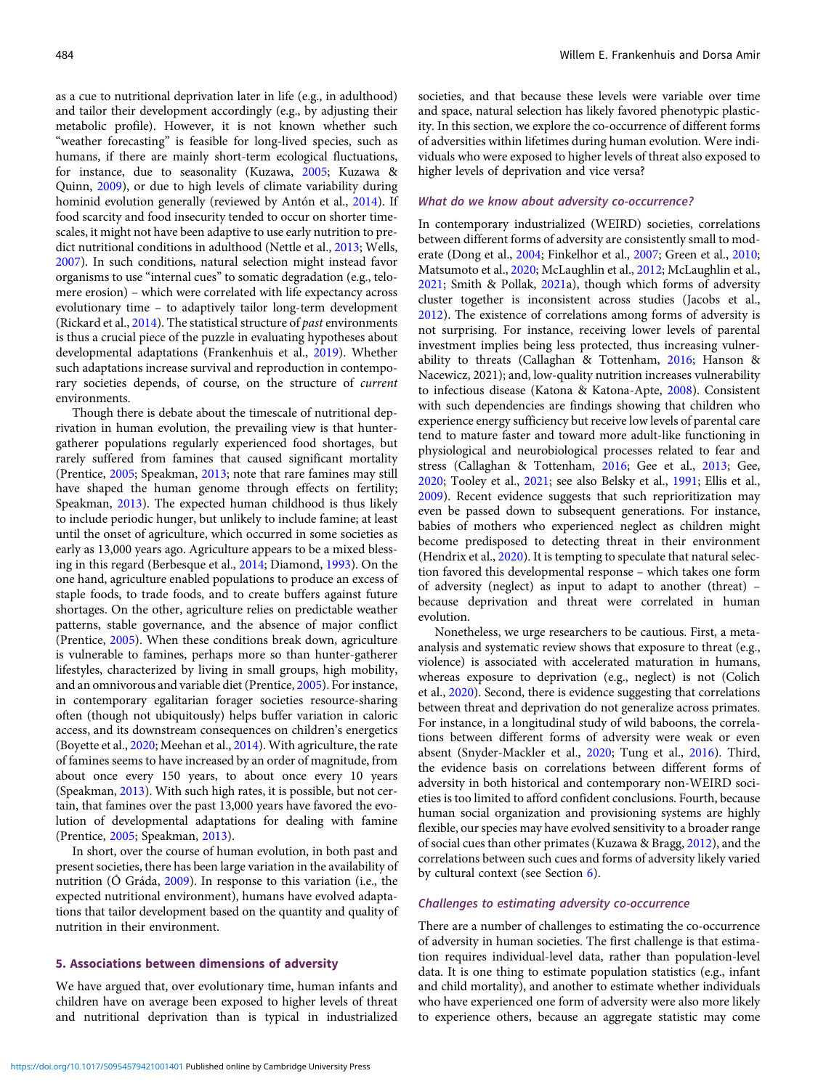as a cue to nutritional deprivation later in life (e.g., in adulthood) and tailor their development accordingly (e.g., by adjusting their metabolic profile). However, it is not known whether such "weather forecasting" is feasible for long-lived species, such as humans, if there are mainly short-term ecological fluctuations, for instance, due to seasonality (Kuzawa, [2005](#page-20-0); Kuzawa & Quinn, [2009\)](#page-20-0), or due to high levels of climate variability during hominid evolution generally (reviewed by Antón et al., [2014\)](#page-15-0). If food scarcity and food insecurity tended to occur on shorter timescales, it might not have been adaptive to use early nutrition to predict nutritional conditions in adulthood (Nettle et al., [2013;](#page-21-0) Wells, [2007\)](#page-24-0). In such conditions, natural selection might instead favor organisms to use "internal cues" to somatic degradation (e.g., telomere erosion) – which were correlated with life expectancy across evolutionary time – to adaptively tailor long-term development (Rickard et al.,  $2014$ ). The statistical structure of *past* environments is thus a crucial piece of the puzzle in evaluating hypotheses about developmental adaptations (Frankenhuis et al., [2019\)](#page-18-0). Whether such adaptations increase survival and reproduction in contemporary societies depends, of course, on the structure of current environments.

Though there is debate about the timescale of nutritional deprivation in human evolution, the prevailing view is that huntergatherer populations regularly experienced food shortages, but rarely suffered from famines that caused significant mortality (Prentice, [2005;](#page-22-0) Speakman, [2013;](#page-23-0) note that rare famines may still have shaped the human genome through effects on fertility; Speakman, [2013\)](#page-23-0). The expected human childhood is thus likely to include periodic hunger, but unlikely to include famine; at least until the onset of agriculture, which occurred in some societies as early as 13,000 years ago. Agriculture appears to be a mixed blessing in this regard (Berbesque et al., [2014](#page-16-0); Diamond, [1993\)](#page-17-0). On the one hand, agriculture enabled populations to produce an excess of staple foods, to trade foods, and to create buffers against future shortages. On the other, agriculture relies on predictable weather patterns, stable governance, and the absence of major conflict (Prentice, [2005](#page-22-0)). When these conditions break down, agriculture is vulnerable to famines, perhaps more so than hunter-gatherer lifestyles, characterized by living in small groups, high mobility, and an omnivorous and variable diet (Prentice, [2005](#page-22-0)). For instance, in contemporary egalitarian forager societies resource-sharing often (though not ubiquitously) helps buffer variation in caloric access, and its downstream consequences on children's energetics (Boyette et al., [2020;](#page-16-0) Meehan et al., [2014](#page-21-0)). With agriculture, the rate of famines seems to have increased by an order of magnitude, from about once every 150 years, to about once every 10 years (Speakman, [2013](#page-23-0)). With such high rates, it is possible, but not certain, that famines over the past 13,000 years have favored the evolution of developmental adaptations for dealing with famine (Prentice, [2005](#page-22-0); Speakman, [2013](#page-23-0)).

In short, over the course of human evolution, in both past and present societies, there has been large variation in the availability of nutrition (Ó Gráda, [2009\)](#page-21-0). In response to this variation (i.e., the expected nutritional environment), humans have evolved adaptations that tailor development based on the quantity and quality of nutrition in their environment.

#### 5. Associations between dimensions of adversity

We have argued that, over evolutionary time, human infants and children have on average been exposed to higher levels of threat and nutritional deprivation than is typical in industrialized societies, and that because these levels were variable over time and space, natural selection has likely favored phenotypic plasticity. In this section, we explore the co-occurrence of different forms of adversities within lifetimes during human evolution. Were individuals who were exposed to higher levels of threat also exposed to higher levels of deprivation and vice versa?

# What do we know about adversity co-occurrence?

In contemporary industrialized (WEIRD) societies, correlations between different forms of adversity are consistently small to moderate (Dong et al., [2004;](#page-17-0) Finkelhor et al., [2007;](#page-17-0) Green et al., [2010](#page-18-0); Matsumoto et al., [2020](#page-20-0); McLaughlin et al., [2012;](#page-20-0) McLaughlin et al., [2021;](#page-21-0) Smith & Pollak, [2021](#page-22-0)a), though which forms of adversity cluster together is inconsistent across studies (Jacobs et al., [2012\)](#page-19-0). The existence of correlations among forms of adversity is not surprising. For instance, receiving lower levels of parental investment implies being less protected, thus increasing vulnerability to threats (Callaghan & Tottenham, [2016](#page-16-0); Hanson & Nacewicz, 2021); and, low-quality nutrition increases vulnerability to infectious disease (Katona & Katona-Apte, [2008](#page-19-0)). Consistent with such dependencies are findings showing that children who experience energy sufficiency but receive low levels of parental care tend to mature faster and toward more adult-like functioning in physiological and neurobiological processes related to fear and stress (Callaghan & Tottenham, [2016](#page-16-0); Gee et al., [2013;](#page-18-0) Gee, [2020;](#page-18-0) Tooley et al., [2021;](#page-23-0) see also Belsky et al., [1991;](#page-16-0) Ellis et al., [2009\)](#page-17-0). Recent evidence suggests that such reprioritization may even be passed down to subsequent generations. For instance, babies of mothers who experienced neglect as children might become predisposed to detecting threat in their environment (Hendrix et al., [2020\)](#page-18-0). It is tempting to speculate that natural selection favored this developmental response – which takes one form of adversity (neglect) as input to adapt to another (threat) – because deprivation and threat were correlated in human evolution.

Nonetheless, we urge researchers to be cautious. First, a metaanalysis and systematic review shows that exposure to threat (e.g., violence) is associated with accelerated maturation in humans, whereas exposure to deprivation (e.g., neglect) is not (Colich et al., [2020\)](#page-16-0). Second, there is evidence suggesting that correlations between threat and deprivation do not generalize across primates. For instance, in a longitudinal study of wild baboons, the correlations between different forms of adversity were weak or even absent (Snyder-Mackler et al., [2020](#page-23-0); Tung et al., [2016](#page-23-0)). Third, the evidence basis on correlations between different forms of adversity in both historical and contemporary non-WEIRD societies is too limited to afford confident conclusions. Fourth, because human social organization and provisioning systems are highly flexible, our species may have evolved sensitivity to a broader range of social cues than other primates (Kuzawa & Bragg, [2012](#page-20-0)), and the correlations between such cues and forms of adversity likely varied by cultural context (see Section 6).

# Challenges to estimating adversity co-occurrence

There are a number of challenges to estimating the co-occurrence of adversity in human societies. The first challenge is that estimation requires individual-level data, rather than population-level data. It is one thing to estimate population statistics (e.g., infant and child mortality), and another to estimate whether individuals who have experienced one form of adversity were also more likely to experience others, because an aggregate statistic may come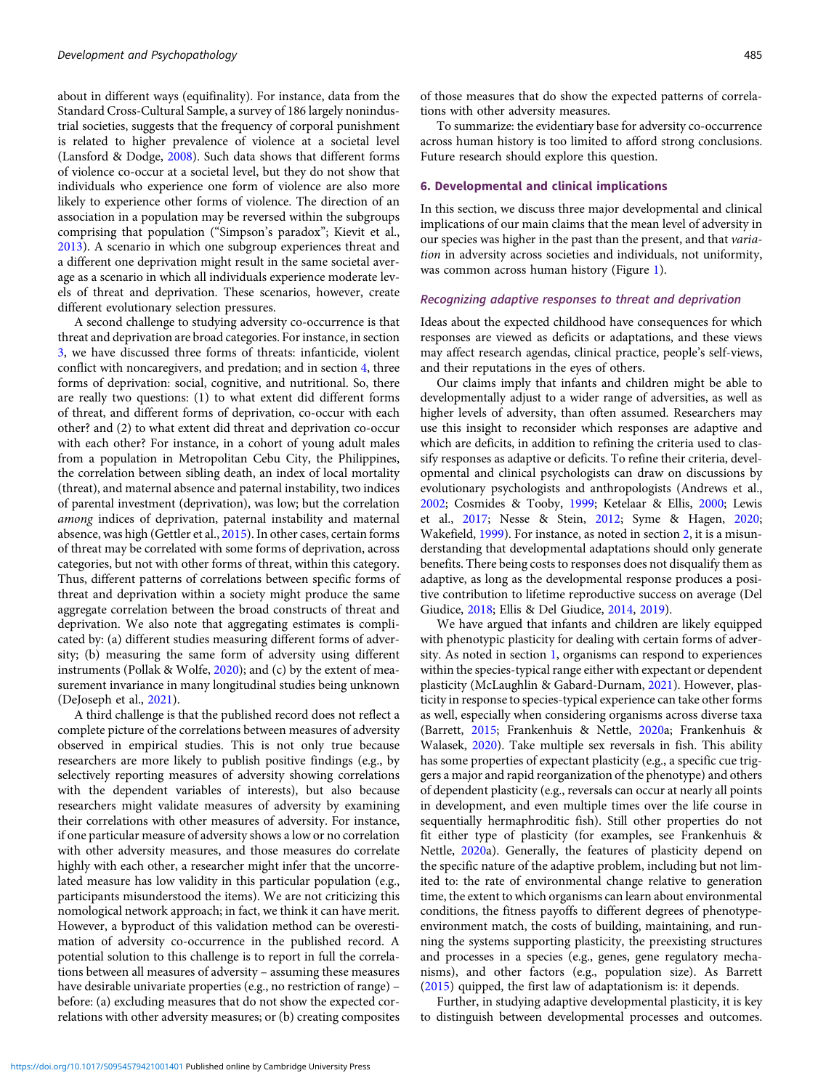about in different ways (equifinality). For instance, data from the Standard Cross-Cultural Sample, a survey of 186 largely nonindustrial societies, suggests that the frequency of corporal punishment is related to higher prevalence of violence at a societal level (Lansford & Dodge, [2008](#page-20-0)). Such data shows that different forms of violence co-occur at a societal level, but they do not show that individuals who experience one form of violence are also more likely to experience other forms of violence. The direction of an association in a population may be reversed within the subgroups comprising that population ("Simpson's paradox"; Kievit et al., [2013](#page-19-0)). A scenario in which one subgroup experiences threat and a different one deprivation might result in the same societal average as a scenario in which all individuals experience moderate levels of threat and deprivation. These scenarios, however, create different evolutionary selection pressures.

A second challenge to studying adversity co-occurrence is that threat and deprivation are broad categories. For instance, in section 3, we have discussed three forms of threats: infanticide, violent conflict with noncaregivers, and predation; and in section 4, three forms of deprivation: social, cognitive, and nutritional. So, there are really two questions: (1) to what extent did different forms of threat, and different forms of deprivation, co-occur with each other? and (2) to what extent did threat and deprivation co-occur with each other? For instance, in a cohort of young adult males from a population in Metropolitan Cebu City, the Philippines, the correlation between sibling death, an index of local mortality (threat), and maternal absence and paternal instability, two indices of parental investment (deprivation), was low; but the correlation among indices of deprivation, paternal instability and maternal absence, was high (Gettler et al., [2015\)](#page-18-0). In other cases, certain forms of threat may be correlated with some forms of deprivation, across categories, but not with other forms of threat, within this category. Thus, different patterns of correlations between specific forms of threat and deprivation within a society might produce the same aggregate correlation between the broad constructs of threat and deprivation. We also note that aggregating estimates is complicated by: (a) different studies measuring different forms of adversity; (b) measuring the same form of adversity using different instruments (Pollak & Wolfe, [2020\)](#page-22-0); and (c) by the extent of measurement invariance in many longitudinal studies being unknown (DeJoseph et al., [2021\)](#page-17-0).

A third challenge is that the published record does not reflect a complete picture of the correlations between measures of adversity observed in empirical studies. This is not only true because researchers are more likely to publish positive findings (e.g., by selectively reporting measures of adversity showing correlations with the dependent variables of interests), but also because researchers might validate measures of adversity by examining their correlations with other measures of adversity. For instance, if one particular measure of adversity shows a low or no correlation with other adversity measures, and those measures do correlate highly with each other, a researcher might infer that the uncorrelated measure has low validity in this particular population (e.g., participants misunderstood the items). We are not criticizing this nomological network approach; in fact, we think it can have merit. However, a byproduct of this validation method can be overestimation of adversity co-occurrence in the published record. A potential solution to this challenge is to report in full the correlations between all measures of adversity – assuming these measures have desirable univariate properties (e.g., no restriction of range) – before: (a) excluding measures that do not show the expected correlations with other adversity measures; or (b) creating composites of those measures that do show the expected patterns of correlations with other adversity measures.

To summarize: the evidentiary base for adversity co-occurrence across human history is too limited to afford strong conclusions. Future research should explore this question.

#### 6. Developmental and clinical implications

In this section, we discuss three major developmental and clinical implications of our main claims that the mean level of adversity in our species was higher in the past than the present, and that *varia*tion in adversity across societies and individuals, not uniformity, was common across human history (Figure [1](#page-3-0)).

#### Recognizing adaptive responses to threat and deprivation

Ideas about the expected childhood have consequences for which responses are viewed as deficits or adaptations, and these views may affect research agendas, clinical practice, people's self-views, and their reputations in the eyes of others.

Our claims imply that infants and children might be able to developmentally adjust to a wider range of adversities, as well as higher levels of adversity, than often assumed. Researchers may use this insight to reconsider which responses are adaptive and which are deficits, in addition to refining the criteria used to classify responses as adaptive or deficits. To refine their criteria, developmental and clinical psychologists can draw on discussions by evolutionary psychologists and anthropologists (Andrews et al., [2002](#page-15-0); Cosmides & Tooby, [1999;](#page-17-0) Ketelaar & Ellis, [2000](#page-19-0); Lewis et al., [2017](#page-20-0); Nesse & Stein, [2012;](#page-21-0) Syme & Hagen, [2020;](#page-23-0) Wakefield, [1999\)](#page-23-0). For instance, as noted in section 2, it is a misunderstanding that developmental adaptations should only generate benefits. There being costs to responses does not disqualify them as adaptive, as long as the developmental response produces a positive contribution to lifetime reproductive success on average (Del Giudice, [2018;](#page-17-0) Ellis & Del Giudice, [2014,](#page-17-0) [2019](#page-17-0)).

We have argued that infants and children are likely equipped with phenotypic plasticity for dealing with certain forms of adversity. As noted in section [1](#page-0-0), organisms can respond to experiences within the species-typical range either with expectant or dependent plasticity (McLaughlin & Gabard-Durnam, [2021](#page-20-0)). However, plasticity in response to species-typical experience can take other forms as well, especially when considering organisms across diverse taxa (Barrett, [2015;](#page-15-0) Frankenhuis & Nettle, [2020](#page-18-0)a; Frankenhuis & Walasek, [2020\)](#page-18-0). Take multiple sex reversals in fish. This ability has some properties of expectant plasticity (e.g., a specific cue triggers a major and rapid reorganization of the phenotype) and others of dependent plasticity (e.g., reversals can occur at nearly all points in development, and even multiple times over the life course in sequentially hermaphroditic fish). Still other properties do not fit either type of plasticity (for examples, see Frankenhuis & Nettle, [2020a](#page-18-0)). Generally, the features of plasticity depend on the specific nature of the adaptive problem, including but not limited to: the rate of environmental change relative to generation time, the extent to which organisms can learn about environmental conditions, the fitness payoffs to different degrees of phenotypeenvironment match, the costs of building, maintaining, and running the systems supporting plasticity, the preexisting structures and processes in a species (e.g., genes, gene regulatory mechanisms), and other factors (e.g., population size). As Barrett [\(2015\)](#page-15-0) quipped, the first law of adaptationism is: it depends.

Further, in studying adaptive developmental plasticity, it is key to distinguish between developmental processes and outcomes.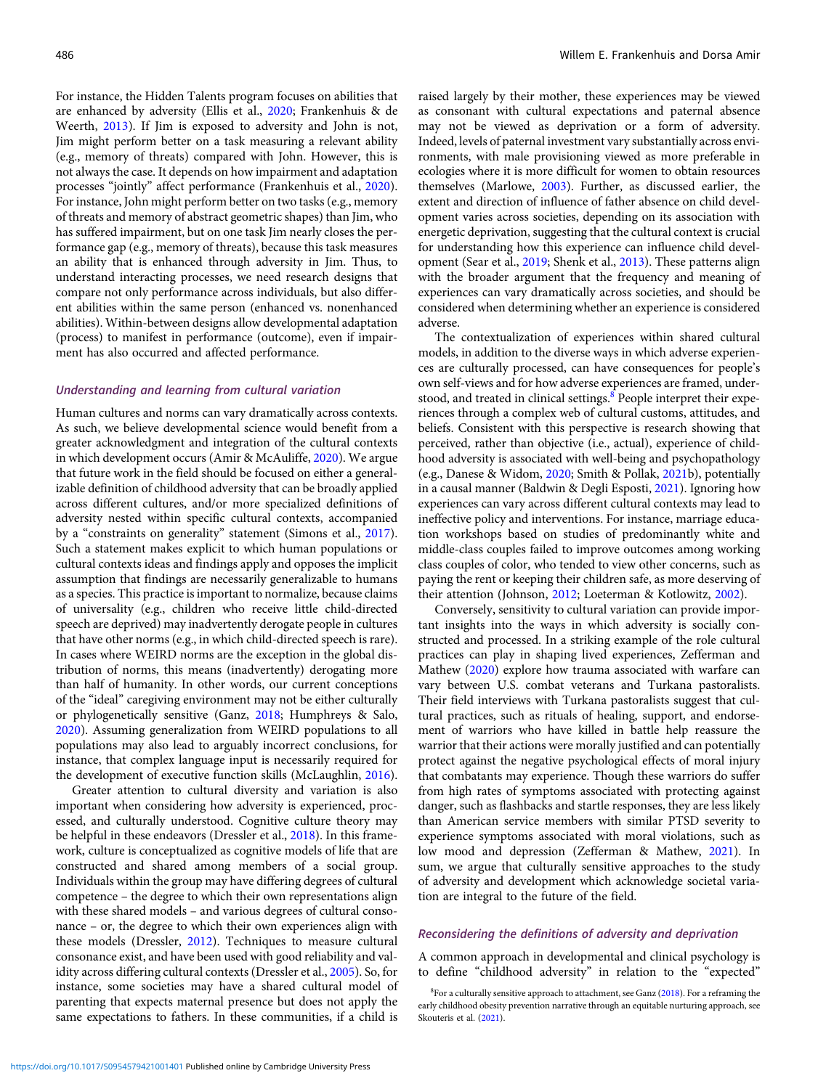For instance, the Hidden Talents program focuses on abilities that are enhanced by adversity (Ellis et al., [2020](#page-17-0); Frankenhuis & de Weerth, [2013](#page-18-0)). If Jim is exposed to adversity and John is not, Jim might perform better on a task measuring a relevant ability (e.g., memory of threats) compared with John. However, this is not always the case. It depends on how impairment and adaptation processes "jointly" affect performance (Frankenhuis et al., [2020](#page-18-0)). For instance, John might perform better on two tasks (e.g., memory of threats and memory of abstract geometric shapes) than Jim, who has suffered impairment, but on one task Jim nearly closes the performance gap (e.g., memory of threats), because this task measures an ability that is enhanced through adversity in Jim. Thus, to understand interacting processes, we need research designs that compare not only performance across individuals, but also different abilities within the same person (enhanced vs. nonenhanced abilities). Within-between designs allow developmental adaptation (process) to manifest in performance (outcome), even if impairment has also occurred and affected performance.

# Understanding and learning from cultural variation

Human cultures and norms can vary dramatically across contexts. As such, we believe developmental science would benefit from a greater acknowledgment and integration of the cultural contexts in which development occurs (Amir & McAuliffe, [2020](#page-15-0)). We argue that future work in the field should be focused on either a generalizable definition of childhood adversity that can be broadly applied across different cultures, and/or more specialized definitions of adversity nested within specific cultural contexts, accompanied by a "constraints on generality" statement (Simons et al., [2017](#page-22-0)). Such a statement makes explicit to which human populations or cultural contexts ideas and findings apply and opposes the implicit assumption that findings are necessarily generalizable to humans as a species. This practice is important to normalize, because claims of universality (e.g., children who receive little child-directed speech are deprived) may inadvertently derogate people in cultures that have other norms (e.g., in which child-directed speech is rare). In cases where WEIRD norms are the exception in the global distribution of norms, this means (inadvertently) derogating more than half of humanity. In other words, our current conceptions of the "ideal" caregiving environment may not be either culturally or phylogenetically sensitive (Ganz, [2018](#page-18-0); Humphreys & Salo, [2020\)](#page-19-0). Assuming generalization from WEIRD populations to all populations may also lead to arguably incorrect conclusions, for instance, that complex language input is necessarily required for the development of executive function skills (McLaughlin, [2016](#page-20-0)).

Greater attention to cultural diversity and variation is also important when considering how adversity is experienced, processed, and culturally understood. Cognitive culture theory may be helpful in these endeavors (Dressler et al., [2018\)](#page-17-0). In this framework, culture is conceptualized as cognitive models of life that are constructed and shared among members of a social group. Individuals within the group may have differing degrees of cultural competence – the degree to which their own representations align with these shared models – and various degrees of cultural consonance – or, the degree to which their own experiences align with these models (Dressler, [2012\)](#page-17-0). Techniques to measure cultural consonance exist, and have been used with good reliability and validity across differing cultural contexts (Dressler et al., [2005](#page-17-0)). So, for instance, some societies may have a shared cultural model of parenting that expects maternal presence but does not apply the same expectations to fathers. In these communities, if a child is raised largely by their mother, these experiences may be viewed as consonant with cultural expectations and paternal absence may not be viewed as deprivation or a form of adversity. Indeed, levels of paternal investment vary substantially across environments, with male provisioning viewed as more preferable in ecologies where it is more difficult for women to obtain resources themselves (Marlowe, [2003](#page-20-0)). Further, as discussed earlier, the extent and direction of influence of father absence on child development varies across societies, depending on its association with energetic deprivation, suggesting that the cultural context is crucial for understanding how this experience can influence child development (Sear et al., [2019;](#page-22-0) Shenk et al., [2013](#page-22-0)). These patterns align with the broader argument that the frequency and meaning of experiences can vary dramatically across societies, and should be considered when determining whether an experience is considered adverse.

The contextualization of experiences within shared cultural models, in addition to the diverse ways in which adverse experiences are culturally processed, can have consequences for people's own self-views and for how adverse experiences are framed, understood, and treated in clinical settings.<sup>8</sup> People interpret their experiences through a complex web of cultural customs, attitudes, and beliefs. Consistent with this perspective is research showing that perceived, rather than objective (i.e., actual), experience of childhood adversity is associated with well-being and psychopathology (e.g., Danese & Widom, [2020;](#page-17-0) Smith & Pollak, [2021b](#page-22-0)), potentially in a causal manner (Baldwin & Degli Esposti, [2021\)](#page-15-0). Ignoring how experiences can vary across different cultural contexts may lead to ineffective policy and interventions. For instance, marriage education workshops based on studies of predominantly white and middle-class couples failed to improve outcomes among working class couples of color, who tended to view other concerns, such as paying the rent or keeping their children safe, as more deserving of their attention (Johnson, [2012](#page-19-0); Loeterman & Kotlowitz, [2002\)](#page-20-0).

Conversely, sensitivity to cultural variation can provide important insights into the ways in which adversity is socially constructed and processed. In a striking example of the role cultural practices can play in shaping lived experiences, Zefferman and Mathew ([2020](#page-24-0)) explore how trauma associated with warfare can vary between U.S. combat veterans and Turkana pastoralists. Their field interviews with Turkana pastoralists suggest that cultural practices, such as rituals of healing, support, and endorsement of warriors who have killed in battle help reassure the warrior that their actions were morally justified and can potentially protect against the negative psychological effects of moral injury that combatants may experience. Though these warriors do suffer from high rates of symptoms associated with protecting against danger, such as flashbacks and startle responses, they are less likely than American service members with similar PTSD severity to experience symptoms associated with moral violations, such as low mood and depression (Zefferman & Mathew, [2021](#page-24-0)). In sum, we argue that culturally sensitive approaches to the study of adversity and development which acknowledge societal variation are integral to the future of the field.

# Reconsidering the definitions of adversity and deprivation

A common approach in developmental and clinical psychology is to define "childhood adversity" in relation to the "expected"

<sup>&</sup>lt;sup>8</sup>For a culturally sensitive approach to attachment, see Ganz [\(2018\)](#page-18-0). For a reframing the early childhood obesity prevention narrative through an equitable nurturing approach, see Skouteris et al. [\(2021\)](#page-22-0).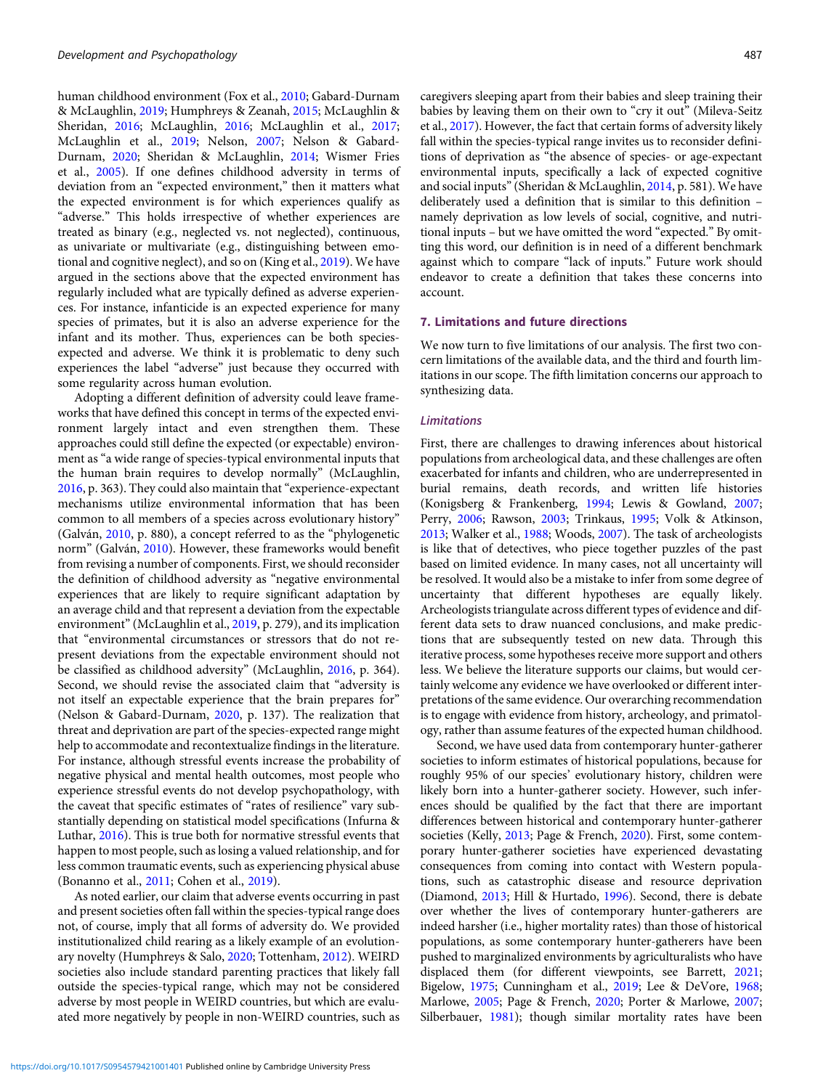human childhood environment (Fox et al., [2010;](#page-18-0) Gabard-Durnam & McLaughlin, [2019;](#page-18-0) Humphreys & Zeanah, [2015;](#page-19-0) McLaughlin & Sheridan, [2016;](#page-21-0) McLaughlin, [2016;](#page-20-0) McLaughlin et al., [2017;](#page-21-0) McLaughlin et al., [2019;](#page-21-0) Nelson, [2007;](#page-21-0) Nelson & Gabard-Durnam, [2020;](#page-21-0) Sheridan & McLaughlin, [2014;](#page-22-0) Wismer Fries et al., [2005](#page-24-0)). If one defines childhood adversity in terms of deviation from an "expected environment," then it matters what the expected environment is for which experiences qualify as "adverse." This holds irrespective of whether experiences are treated as binary (e.g., neglected vs. not neglected), continuous, as univariate or multivariate (e.g., distinguishing between emotional and cognitive neglect), and so on (King et al., [2019](#page-19-0)). We have argued in the sections above that the expected environment has regularly included what are typically defined as adverse experiences. For instance, infanticide is an expected experience for many species of primates, but it is also an adverse experience for the infant and its mother. Thus, experiences can be both speciesexpected and adverse. We think it is problematic to deny such experiences the label "adverse" just because they occurred with some regularity across human evolution.

Adopting a different definition of adversity could leave frameworks that have defined this concept in terms of the expected environment largely intact and even strengthen them. These approaches could still define the expected (or expectable) environment as "a wide range of species-typical environmental inputs that the human brain requires to develop normally" (McLaughlin, [2016](#page-20-0), p. 363). They could also maintain that"experience-expectant mechanisms utilize environmental information that has been common to all members of a species across evolutionary history" (Galván, [2010](#page-18-0), p. 880), a concept referred to as the "phylogenetic norm" (Galván, [2010\)](#page-18-0). However, these frameworks would benefit from revising a number of components. First, we should reconsider the definition of childhood adversity as "negative environmental experiences that are likely to require significant adaptation by an average child and that represent a deviation from the expectable environment"(McLaughlin et al., [2019](#page-21-0), p. 279), and its implication that "environmental circumstances or stressors that do not represent deviations from the expectable environment should not be classified as childhood adversity" (McLaughlin, [2016,](#page-20-0) p. 364). Second, we should revise the associated claim that "adversity is not itself an expectable experience that the brain prepares for" (Nelson & Gabard-Durnam, [2020](#page-21-0), p. 137). The realization that threat and deprivation are part of the species-expected range might help to accommodate and recontextualize findings in the literature. For instance, although stressful events increase the probability of negative physical and mental health outcomes, most people who experience stressful events do not develop psychopathology, with the caveat that specific estimates of "rates of resilience" vary substantially depending on statistical model specifications (Infurna & Luthar, [2016](#page-19-0)). This is true both for normative stressful events that happen to most people, such as losing a valued relationship, and for less common traumatic events, such as experiencing physical abuse (Bonanno et al., [2011](#page-16-0); Cohen et al., [2019\)](#page-16-0).

As noted earlier, our claim that adverse events occurring in past and present societies often fall within the species-typical range does not, of course, imply that all forms of adversity do. We provided institutionalized child rearing as a likely example of an evolutionary novelty (Humphreys & Salo, [2020;](#page-19-0) Tottenham, [2012\)](#page-23-0). WEIRD societies also include standard parenting practices that likely fall outside the species-typical range, which may not be considered adverse by most people in WEIRD countries, but which are evaluated more negatively by people in non-WEIRD countries, such as

caregivers sleeping apart from their babies and sleep training their babies by leaving them on their own to "cry it out" (Mileva-Seitz et al., [2017\)](#page-21-0). However, the fact that certain forms of adversity likely fall within the species-typical range invites us to reconsider definitions of deprivation as "the absence of species- or age-expectant environmental inputs, specifically a lack of expected cognitive and social inputs"(Sheridan & McLaughlin, [2014](#page-22-0), p. 581). We have deliberately used a definition that is similar to this definition – namely deprivation as low levels of social, cognitive, and nutritional inputs – but we have omitted the word "expected." By omitting this word, our definition is in need of a different benchmark against which to compare "lack of inputs." Future work should endeavor to create a definition that takes these concerns into account.

# 7. Limitations and future directions

We now turn to five limitations of our analysis. The first two concern limitations of the available data, and the third and fourth limitations in our scope. The fifth limitation concerns our approach to synthesizing data.

# **Limitations**

First, there are challenges to drawing inferences about historical populations from archeological data, and these challenges are often exacerbated for infants and children, who are underrepresented in burial remains, death records, and written life histories (Konigsberg & Frankenberg, [1994;](#page-19-0) Lewis & Gowland, [2007;](#page-20-0) Perry, [2006](#page-21-0); Rawson, [2003](#page-22-0); Trinkaus, [1995;](#page-23-0) Volk & Atkinson, [2013](#page-23-0); Walker et al., [1988](#page-23-0); Woods, [2007\)](#page-24-0). The task of archeologists is like that of detectives, who piece together puzzles of the past based on limited evidence. In many cases, not all uncertainty will be resolved. It would also be a mistake to infer from some degree of uncertainty that different hypotheses are equally likely. Archeologists triangulate across different types of evidence and different data sets to draw nuanced conclusions, and make predictions that are subsequently tested on new data. Through this iterative process, some hypotheses receive more support and others less. We believe the literature supports our claims, but would certainly welcome any evidence we have overlooked or different interpretations of the same evidence. Our overarching recommendation is to engage with evidence from history, archeology, and primatology, rather than assume features of the expected human childhood.

Second, we have used data from contemporary hunter-gatherer societies to inform estimates of historical populations, because for roughly 95% of our species' evolutionary history, children were likely born into a hunter-gatherer society. However, such inferences should be qualified by the fact that there are important differences between historical and contemporary hunter-gatherer societies (Kelly, [2013;](#page-19-0) Page & French, [2020](#page-21-0)). First, some contemporary hunter-gatherer societies have experienced devastating consequences from coming into contact with Western populations, such as catastrophic disease and resource deprivation (Diamond, [2013;](#page-17-0) Hill & Hurtado, [1996\)](#page-19-0). Second, there is debate over whether the lives of contemporary hunter-gatherers are indeed harsher (i.e., higher mortality rates) than those of historical populations, as some contemporary hunter-gatherers have been pushed to marginalized environments by agriculturalists who have displaced them (for different viewpoints, see Barrett, [2021;](#page-15-0) Bigelow, [1975](#page-16-0); Cunningham et al., [2019;](#page-17-0) Lee & DeVore, [1968;](#page-20-0) Marlowe, [2005;](#page-20-0) Page & French, [2020;](#page-21-0) Porter & Marlowe, [2007;](#page-22-0) Silberbauer, [1981\)](#page-22-0); though similar mortality rates have been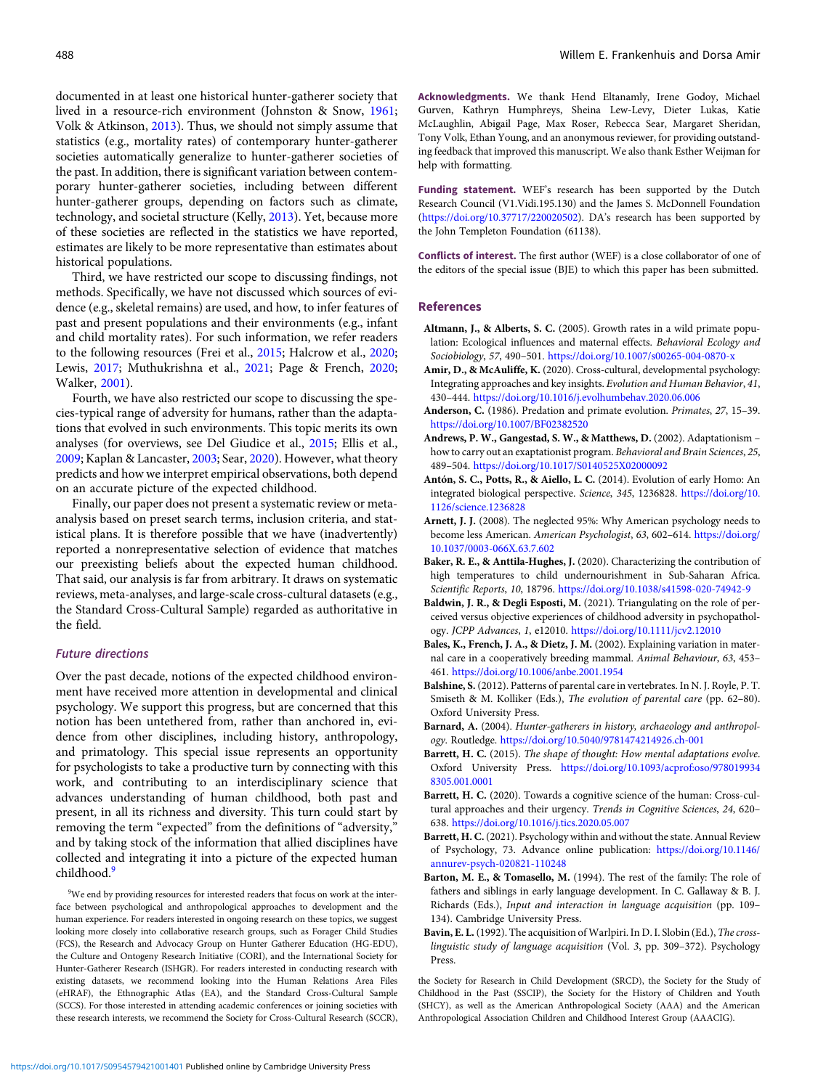<span id="page-15-0"></span>documented in at least one historical hunter-gatherer society that lived in a resource-rich environment (Johnston & Snow, [1961](#page-19-0); Volk & Atkinson, [2013\)](#page-23-0). Thus, we should not simply assume that statistics (e.g., mortality rates) of contemporary hunter-gatherer societies automatically generalize to hunter-gatherer societies of the past. In addition, there is significant variation between contemporary hunter-gatherer societies, including between different hunter-gatherer groups, depending on factors such as climate, technology, and societal structure (Kelly, [2013\)](#page-19-0). Yet, because more of these societies are reflected in the statistics we have reported, estimates are likely to be more representative than estimates about historical populations.

Third, we have restricted our scope to discussing findings, not methods. Specifically, we have not discussed which sources of evidence (e.g., skeletal remains) are used, and how, to infer features of past and present populations and their environments (e.g., infant and child mortality rates). For such information, we refer readers to the following resources (Frei et al., [2015](#page-18-0); Halcrow et al., [2020](#page-18-0); Lewis, [2017;](#page-20-0) Muthukrishna et al., [2021](#page-21-0); Page & French, [2020](#page-21-0); Walker, [2001\)](#page-23-0).

Fourth, we have also restricted our scope to discussing the species-typical range of adversity for humans, rather than the adaptations that evolved in such environments. This topic merits its own analyses (for overviews, see Del Giudice et al., [2015](#page-17-0); Ellis et al., [2009;](#page-17-0) Kaplan & Lancaster, [2003](#page-19-0); Sear, [2020\)](#page-22-0). However, what theory predicts and how we interpret empirical observations, both depend on an accurate picture of the expected childhood.

Finally, our paper does not present a systematic review or metaanalysis based on preset search terms, inclusion criteria, and statistical plans. It is therefore possible that we have (inadvertently) reported a nonrepresentative selection of evidence that matches our preexisting beliefs about the expected human childhood. That said, our analysis is far from arbitrary. It draws on systematic reviews, meta-analyses, and large-scale cross-cultural datasets (e.g., the Standard Cross-Cultural Sample) regarded as authoritative in the field.

# Future directions

Over the past decade, notions of the expected childhood environment have received more attention in developmental and clinical psychology. We support this progress, but are concerned that this notion has been untethered from, rather than anchored in, evidence from other disciplines, including history, anthropology, and primatology. This special issue represents an opportunity for psychologists to take a productive turn by connecting with this work, and contributing to an interdisciplinary science that advances understanding of human childhood, both past and present, in all its richness and diversity. This turn could start by removing the term "expected" from the definitions of "adversity," and by taking stock of the information that allied disciplines have collected and integrating it into a picture of the expected human childhood.<sup>9</sup>

<sup>9</sup>We end by providing resources for interested readers that focus on work at the interface between psychological and anthropological approaches to development and the human experience. For readers interested in ongoing research on these topics, we suggest looking more closely into collaborative research groups, such as Forager Child Studies (FCS), the Research and Advocacy Group on Hunter Gatherer Education (HG-EDU), the Culture and Ontogeny Research Initiative (CORI), and the International Society for Hunter-Gatherer Research (ISHGR). For readers interested in conducting research with existing datasets, we recommend looking into the Human Relations Area Files (eHRAF), the Ethnographic Atlas (EA), and the Standard Cross-Cultural Sample (SCCS). For those interested in attending academic conferences or joining societies with these research interests, we recommend the Society for Cross-Cultural Research (SCCR),

Acknowledgments. We thank Hend Eltanamly, Irene Godoy, Michael Gurven, Kathryn Humphreys, Sheina Lew-Levy, Dieter Lukas, Katie McLaughlin, Abigail Page, Max Roser, Rebecca Sear, Margaret Sheridan, Tony Volk, Ethan Young, and an anonymous reviewer, for providing outstanding feedback that improved this manuscript. We also thank Esther Weijman for help with formatting.

Funding statement. WEF's research has been supported by the Dutch Research Council (V1.Vidi.195.130) and the James S. McDonnell Foundation [\(https://doi.org/10.37717/220020502\)](https://doi.org/10.37717/220020502). DA's research has been supported by the John Templeton Foundation (61138).

Conflicts of interest. The first author (WEF) is a close collaborator of one of the editors of the special issue (BJE) to which this paper has been submitted.

#### References

- Altmann, J., & Alberts, S. C. (2005). Growth rates in a wild primate population: Ecological influences and maternal effects. Behavioral Ecology and Sociobiology, 57, 490–501. <https://doi.org/10.1007/s00265-004-0870-x>
- Amir, D., & McAuliffe, K. (2020). Cross-cultural, developmental psychology: Integrating approaches and key insights. Evolution and Human Behavior, 41, 430–444. <https://doi.org/10.1016/j.evolhumbehav.2020.06.006>
- Anderson, C. (1986). Predation and primate evolution. Primates, 27, 15-39. <https://doi.org/10.1007/BF02382520>
- Andrews, P. W., Gangestad, S. W., & Matthews, D. (2002). Adaptationism how to carry out an exaptationist program. Behavioral and Brain Sciences, 25, 489–504. <https://doi.org/10.1017/S0140525X02000092>
- Antón, S. C., Potts, R., & Aiello, L. C. (2014). Evolution of early Homo: An integrated biological perspective. Science, 345, 1236828. [https://doi.org/10.](https://doi.org/10.1126/science.1236828) [1126/science.1236828](https://doi.org/10.1126/science.1236828)
- Arnett, J. J. (2008). The neglected 95%: Why American psychology needs to become less American. American Psychologist, 63, 602–614. [https://doi.org/](https://doi.org/10.1037/0003-066X.63.7.602) [10.1037/0003-066X.63.7.602](https://doi.org/10.1037/0003-066X.63.7.602)
- Baker, R. E., & Anttila-Hughes, J. (2020). Characterizing the contribution of high temperatures to child undernourishment in Sub-Saharan Africa. Scientific Reports, 10, 18796. <https://doi.org/10.1038/s41598-020-74942-9>
- Baldwin, J. R., & Degli Esposti, M. (2021). Triangulating on the role of perceived versus objective experiences of childhood adversity in psychopathology. JCPP Advances, 1, e12010. <https://doi.org/10.1111/jcv2.12010>
- Bales, K., French, J. A., & Dietz, J. M. (2002). Explaining variation in maternal care in a cooperatively breeding mammal. Animal Behaviour, 63, 453– 461. <https://doi.org/10.1006/anbe.2001.1954>
- Balshine, S. (2012). Patterns of parental care in vertebrates. In N. J. Royle, P. T. Smiseth & M. Kolliker (Eds.), The evolution of parental care (pp. 62–80). Oxford University Press.
- Barnard, A. (2004). Hunter-gatherers in history, archaeology and anthropology. Routledge. <https://doi.org/10.5040/9781474214926.ch-001>
- Barrett, H. C. (2015). The shape of thought: How mental adaptations evolve. Oxford University Press. [https://doi.org/10.1093/acprof:oso/978019934](https://doi.org/10.1093/acprof:oso/9780199348305.001.0001) [8305.001.0001](https://doi.org/10.1093/acprof:oso/9780199348305.001.0001)
- Barrett, H. C. (2020). Towards a cognitive science of the human: Cross-cultural approaches and their urgency. Trends in Cognitive Sciences, 24, 620– 638. <https://doi.org/10.1016/j.tics.2020.05.007>
- Barrett, H. C. (2021). Psychology within and without the state. Annual Review of Psychology, 73. Advance online publication: [https://doi.org/10.1146/](https://doi.org/10.1146/annurev-psych-020821-110248) [annurev-psych-020821-110248](https://doi.org/10.1146/annurev-psych-020821-110248)
- Barton, M. E., & Tomasello, M. (1994). The rest of the family: The role of fathers and siblings in early language development. In C. Gallaway & B. J. Richards (Eds.), Input and interaction in language acquisition (pp. 109– 134). Cambridge University Press.
- Bavin, E. L. (1992). The acquisition of Warlpiri. In D. I. Slobin (Ed.), The crosslinguistic study of language acquisition (Vol. 3, pp. 309–372). Psychology Press.

the Society for Research in Child Development (SRCD), the Society for the Study of Childhood in the Past (SSCIP), the Society for the History of Children and Youth (SHCY), as well as the American Anthropological Society (AAA) and the American Anthropological Association Children and Childhood Interest Group (AAACIG).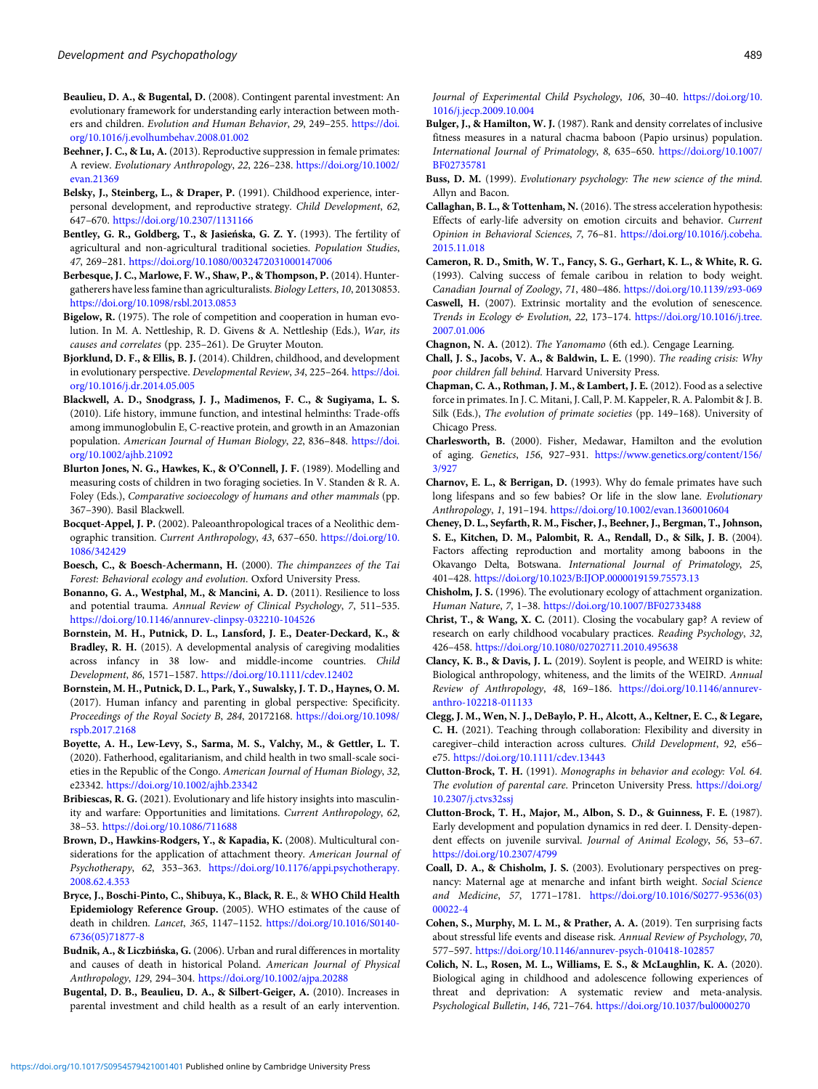- <span id="page-16-0"></span>Beaulieu, D. A., & Bugental, D. (2008). Contingent parental investment: An evolutionary framework for understanding early interaction between mothers and children. Evolution and Human Behavior, 29, 249–255. [https://doi.](https://doi.org/10.1016/j.evolhumbehav.2008.01.002) [org/10.1016/j.evolhumbehav.2008.01.002](https://doi.org/10.1016/j.evolhumbehav.2008.01.002)
- Beehner, J. C., & Lu, A. (2013). Reproductive suppression in female primates: A review. Evolutionary Anthropology, 22, 226–238. [https://doi.org/10.1002/](https://doi.org/10.1002/evan.21369) [evan.21369](https://doi.org/10.1002/evan.21369)
- Belsky, J., Steinberg, L., & Draper, P. (1991). Childhood experience, interpersonal development, and reproductive strategy. Child Development, 62, 647–670. <https://doi.org/10.2307/1131166>
- Bentley, G. R., Goldberg, T., & Jasieńska, G. Z. Y. (1993). The fertility of agricultural and non-agricultural traditional societies. Population Studies, 47, 269–281. <https://doi.org/10.1080/0032472031000147006>
- Berbesque, J. C., Marlowe, F. W., Shaw, P., & Thompson, P. (2014). Huntergatherers have less famine than agriculturalists. Biology Letters, 10, 20130853. <https://doi.org/10.1098/rsbl.2013.0853>
- Bigelow, R. (1975). The role of competition and cooperation in human evolution. In M. A. Nettleship, R. D. Givens & A. Nettleship (Eds.), War, its causes and correlates (pp. 235–261). De Gruyter Mouton.
- Bjorklund, D. F., & Ellis, B. J. (2014). Children, childhood, and development in evolutionary perspective. Developmental Review, 34, 225–264. [https://doi.](https://doi.org/10.1016/j.dr.2014.05.005) [org/10.1016/j.dr.2014.05.005](https://doi.org/10.1016/j.dr.2014.05.005)
- Blackwell, A. D., Snodgrass, J. J., Madimenos, F. C., & Sugiyama, L. S. (2010). Life history, immune function, and intestinal helminths: Trade-offs among immunoglobulin E, C-reactive protein, and growth in an Amazonian population. American Journal of Human Biology, 22, 836–848. [https://doi.](https://doi.org/10.1002/ajhb.21092) [org/10.1002/ajhb.21092](https://doi.org/10.1002/ajhb.21092)
- Blurton Jones, N. G., Hawkes, K., & O'Connell, J. F. (1989). Modelling and measuring costs of children in two foraging societies. In V. Standen & R. A. Foley (Eds.), Comparative socioecology of humans and other mammals (pp. 367–390). Basil Blackwell.
- Bocquet-Appel, J. P. (2002). Paleoanthropological traces of a Neolithic demographic transition. Current Anthropology, 43, 637–650. [https://doi.org/10.](https://doi.org/10.1086/342429) [1086/342429](https://doi.org/10.1086/342429)
- Boesch, C., & Boesch-Achermann, H. (2000). The chimpanzees of the Tai Forest: Behavioral ecology and evolution. Oxford University Press.
- Bonanno, G. A., Westphal, M., & Mancini, A. D. (2011). Resilience to loss and potential trauma. Annual Review of Clinical Psychology, 7, 511–535. <https://doi.org/10.1146/annurev-clinpsy-032210-104526>
- Bornstein, M. H., Putnick, D. L., Lansford, J. E., Deater-Deckard, K., & Bradley, R. H. (2015). A developmental analysis of caregiving modalities across infancy in 38 low- and middle-income countries. Child Development, 86, 1571–1587. <https://doi.org/10.1111/cdev.12402>
- Bornstein, M. H., Putnick, D. L., Park, Y., Suwalsky, J. T. D., Haynes, O. M. (2017). Human infancy and parenting in global perspective: Specificity. Proceedings of the Royal Society B, 284, 20172168. [https://doi.org/10.1098/](https://doi.org/10.1098/rspb.2017.2168) [rspb.2017.2168](https://doi.org/10.1098/rspb.2017.2168)
- Boyette, A. H., Lew-Levy, S., Sarma, M. S., Valchy, M., & Gettler, L. T. (2020). Fatherhood, egalitarianism, and child health in two small-scale societies in the Republic of the Congo. American Journal of Human Biology, 32, e23342. <https://doi.org/10.1002/ajhb.23342>
- Bribiescas, R. G. (2021). Evolutionary and life history insights into masculinity and warfare: Opportunities and limitations. Current Anthropology, 62, 38–53. <https://doi.org/10.1086/711688>
- Brown, D., Hawkins-Rodgers, Y., & Kapadia, K. (2008). Multicultural considerations for the application of attachment theory. American Journal of Psychotherapy, 62, 353–363. [https://doi.org/10.1176/appi.psychotherapy.](https://doi.org/10.1176/appi.psychotherapy.2008.62.4.353) [2008.62.4.353](https://doi.org/10.1176/appi.psychotherapy.2008.62.4.353)
- Bryce, J., Boschi-Pinto, C., Shibuya, K., Black, R. E., & WHO Child Health Epidemiology Reference Group. (2005). WHO estimates of the cause of death in children. Lancet, 365, 1147–1152. [https://doi.org/10.1016/S0140-](https://doi.org/10.1016/S0140-6736(05)71877-8) [6736\(05\)71877-8](https://doi.org/10.1016/S0140-6736(05)71877-8)
- Budnik, A., & Liczbińska, G. (2006). Urban and rural differences in mortality and causes of death in historical Poland. American Journal of Physical Anthropology, 129, 294–304. <https://doi.org/10.1002/ajpa.20288>
- Bugental, D. B., Beaulieu, D. A., & Silbert-Geiger, A. (2010). Increases in parental investment and child health as a result of an early intervention.

Journal of Experimental Child Psychology, 106, 30–40. [https://doi.org/10.](https://doi.org/10.1016/j.jecp.2009.10.004) [1016/j.jecp.2009.10.004](https://doi.org/10.1016/j.jecp.2009.10.004)

- Bulger, J., & Hamilton, W. J. (1987). Rank and density correlates of inclusive fitness measures in a natural chacma baboon (Papio ursinus) population. International Journal of Primatology, 8, 635–650. [https://doi.org/10.1007/](https://doi.org/10.1007/BF02735781) [BF02735781](https://doi.org/10.1007/BF02735781)
- Buss, D. M. (1999). Evolutionary psychology: The new science of the mind. Allyn and Bacon.
- Callaghan, B. L., & Tottenham, N. (2016). The stress acceleration hypothesis: Effects of early-life adversity on emotion circuits and behavior. Current Opinion in Behavioral Sciences, 7, 76–81. [https://doi.org/10.1016/j.cobeha.](https://doi.org/10.1016/j.cobeha.2015.11.018) [2015.11.018](https://doi.org/10.1016/j.cobeha.2015.11.018)
- Cameron, R. D., Smith, W. T., Fancy, S. G., Gerhart, K. L., & White, R. G. (1993). Calving success of female caribou in relation to body weight. Canadian Journal of Zoology, 71, 480–486. <https://doi.org/10.1139/z93-069>
- Caswell, H. (2007). Extrinsic mortality and the evolution of senescence. Trends in Ecology & Evolution, 22, 173–174. [https://doi.org/10.1016/j.tree.](https://doi.org/10.1016/j.tree.2007.01.006) [2007.01.006](https://doi.org/10.1016/j.tree.2007.01.006)
- Chagnon, N. A. (2012). The Yanomamo (6th ed.). Cengage Learning.
- Chall, J. S., Jacobs, V. A., & Baldwin, L. E. (1990). The reading crisis: Why poor children fall behind. Harvard University Press.
- Chapman, C. A., Rothman, J. M., & Lambert, J. E. (2012). Food as a selective force in primates. In J. C. Mitani, J. Call, P. M. Kappeler, R. A. Palombit & J. B. Silk (Eds.), The evolution of primate societies (pp. 149–168). University of Chicago Press.
- Charlesworth, B. (2000). Fisher, Medawar, Hamilton and the evolution of aging. Genetics, 156, 927–931. [https://www.genetics.org/content/156/](https://www.genetics.org/content/156/3/927) [3/927](https://www.genetics.org/content/156/3/927)
- Charnov, E. L., & Berrigan, D. (1993). Why do female primates have such long lifespans and so few babies? Or life in the slow lane. Evolutionary Anthropology, 1, 191–194. <https://doi.org/10.1002/evan.1360010604>
- Cheney, D. L., Seyfarth, R. M., Fischer, J., Beehner, J., Bergman, T., Johnson, S. E., Kitchen, D. M., Palombit, R. A., Rendall, D., & Silk, J. B. (2004). Factors affecting reproduction and mortality among baboons in the Okavango Delta, Botswana. International Journal of Primatology, 25, 401–428. <https://doi.org/10.1023/B:IJOP.0000019159.75573.13>
- Chisholm, J. S. (1996). The evolutionary ecology of attachment organization. Human Nature, 7, 1–38. <https://doi.org/10.1007/BF02733488>
- Christ, T., & Wang, X. C. (2011). Closing the vocabulary gap? A review of research on early childhood vocabulary practices. Reading Psychology, 32, 426–458. <https://doi.org/10.1080/02702711.2010.495638>
- Clancy, K. B., & Davis, J. L. (2019). Soylent is people, and WEIRD is white: Biological anthropology, whiteness, and the limits of the WEIRD. Annual Review of Anthropology, 48, 169–186. [https://doi.org/10.1146/annurev](https://doi.org/10.1146/annurev-anthro-102218-011133)[anthro-102218-011133](https://doi.org/10.1146/annurev-anthro-102218-011133)
- Clegg, J. M., Wen, N. J., DeBaylo, P. H., Alcott, A., Keltner, E. C., & Legare, C. H. (2021). Teaching through collaboration: Flexibility and diversity in caregiver–child interaction across cultures. Child Development, 92, e56– e75. <https://doi.org/10.1111/cdev.13443>
- Clutton-Brock, T. H. (1991). Monographs in behavior and ecology: Vol. 64. The evolution of parental care. Princeton University Press. [https://doi.org/](https://doi.org/10.2307/j.ctvs32ssj) [10.2307/j.ctvs32ssj](https://doi.org/10.2307/j.ctvs32ssj)
- Clutton-Brock, T. H., Major, M., Albon, S. D., & Guinness, F. E. (1987). Early development and population dynamics in red deer. I. Density-dependent effects on juvenile survival. Journal of Animal Ecology, 56, 53–67. <https://doi.org/10.2307/4799>
- Coall, D. A., & Chisholm, J. S. (2003). Evolutionary perspectives on pregnancy: Maternal age at menarche and infant birth weight. Social Science and Medicine, 57, 1771–1781. [https://doi.org/10.1016/S0277-9536\(03\)](https://doi.org/10.1016/S0277-9536(03)00022-4) [00022-4](https://doi.org/10.1016/S0277-9536(03)00022-4)
- Cohen, S., Murphy, M. L. M., & Prather, A. A. (2019). Ten surprising facts about stressful life events and disease risk. Annual Review of Psychology, 70, 577–597. <https://doi.org/10.1146/annurev-psych-010418-102857>
- Colich, N. L., Rosen, M. L., Williams, E. S., & McLaughlin, K. A. (2020). Biological aging in childhood and adolescence following experiences of threat and deprivation: A systematic review and meta-analysis. Psychological Bulletin, 146, 721–764. <https://doi.org/10.1037/bul0000270>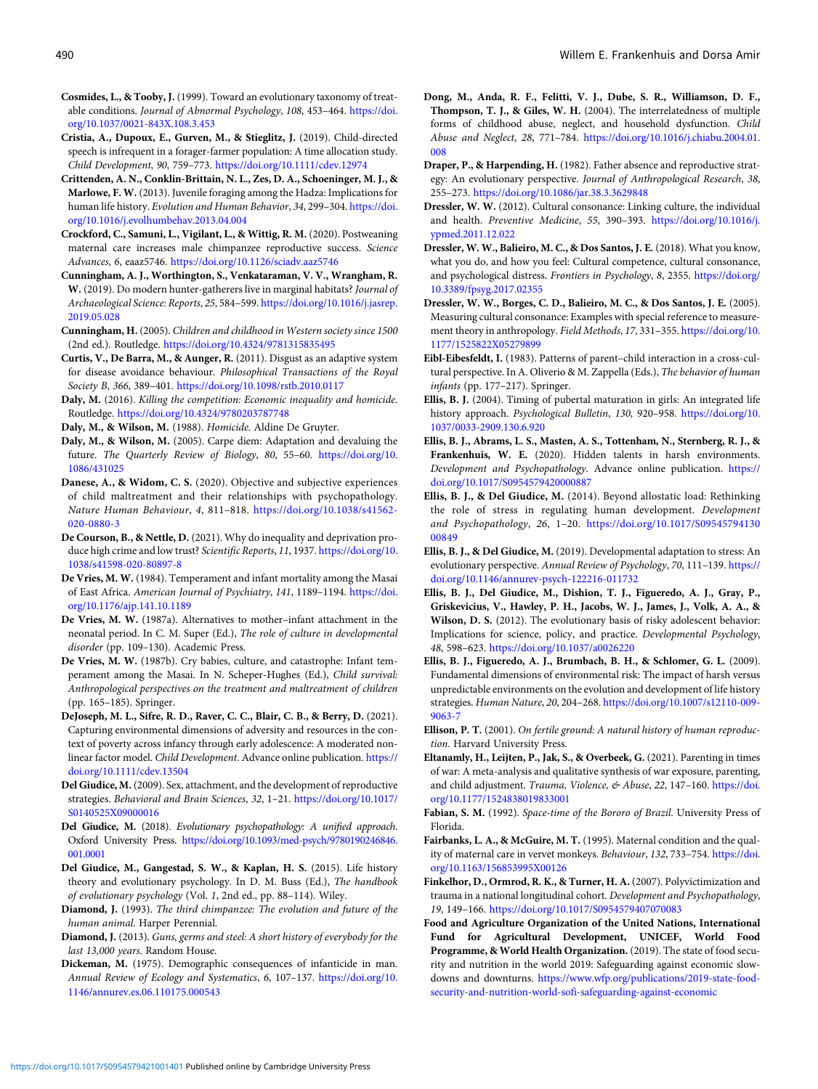- <span id="page-17-0"></span>Cosmides, L., & Tooby, J. (1999). Toward an evolutionary taxonomy of treatable conditions. Journal of Abnormal Psychology, 108, 453–464. [https://doi.](https://doi.org/10.1037/0021-843X.108.3.453) [org/10.1037/0021-843X.108.3.453](https://doi.org/10.1037/0021-843X.108.3.453)
- Cristia, A., Dupoux, E., Gurven, M., & Stieglitz, J. (2019). Child-directed speech is infrequent in a forager-farmer population: A time allocation study. Child Development, 90, 759–773. <https://doi.org/10.1111/cdev.12974>
- Crittenden, A. N., Conklin-Brittain, N. L., Zes, D. A., Schoeninger, M. J., & Marlowe, F. W. (2013). Juvenile foraging among the Hadza: Implications for human life history. Evolution and Human Behavior, 34, 299–304. [https://doi.](https://doi.org/10.1016/j.evolhumbehav.2013.04.004) [org/10.1016/j.evolhumbehav.2013.04.004](https://doi.org/10.1016/j.evolhumbehav.2013.04.004)
- Crockford, C., Samuni, L., Vigilant, L., & Wittig, R. M. (2020). Postweaning maternal care increases male chimpanzee reproductive success. Science Advances, 6, eaaz5746. <https://doi.org/10.1126/sciadv.aaz5746>
- Cunningham, A. J., Worthington, S., Venkataraman, V. V., Wrangham, R. W. (2019). Do modern hunter-gatherers live in marginal habitats? Journal of Archaeological Science: Reports, 25, 584–599. [https://doi.org/10.1016/j.jasrep.](https://doi.org/10.1016/j.jasrep.2019.05.028) [2019.05.028](https://doi.org/10.1016/j.jasrep.2019.05.028)
- Cunningham, H. (2005). Children and childhood in Western society since 1500 (2nd ed.). Routledge. <https://doi.org/10.4324/9781315835495>
- Curtis, V., De Barra, M., & Aunger, R. (2011). Disgust as an adaptive system for disease avoidance behaviour. Philosophical Transactions of the Royal Society B, 366, 389–401. <https://doi.org/10.1098/rstb.2010.0117>
- Daly, M. (2016). Killing the competition: Economic inequality and homicide. Routledge. <https://doi.org/10.4324/9780203787748>
- Daly, M., & Wilson, M. (1988). Homicide. Aldine De Gruyter.
- Daly, M., & Wilson, M. (2005). Carpe diem: Adaptation and devaluing the future. The Quarterly Review of Biology, 80, 55–60. [https://doi.org/10.](https://doi.org/10.1086/431025) [1086/431025](https://doi.org/10.1086/431025)
- Danese, A., & Widom, C. S. (2020). Objective and subjective experiences of child maltreatment and their relationships with psychopathology. Nature Human Behaviour, 4, 811–818. [https://doi.org/10.1038/s41562-](https://doi.org/10.1038/s41562-020-0880-3) [020-0880-3](https://doi.org/10.1038/s41562-020-0880-3)
- De Courson, B., & Nettle, D. (2021). Why do inequality and deprivation produce high crime and low trust? Scientific Reports, 11, 1937. [https://doi.org/10.](https://doi.org/10.1038/s41598-020-80897-8) [1038/s41598-020-80897-8](https://doi.org/10.1038/s41598-020-80897-8)
- De Vries, M. W. (1984). Temperament and infant mortality among the Masai of East Africa. American Journal of Psychiatry, 141, 1189–1194. [https://doi.](https://doi.org/10.1176/ajp.141.10.1189) [org/10.1176/ajp.141.10.1189](https://doi.org/10.1176/ajp.141.10.1189)
- De Vries, M. W. (1987a). Alternatives to mother–infant attachment in the neonatal period. In C. M. Super (Ed.), The role of culture in developmental disorder (pp. 109–130). Academic Press.
- De Vries, M. W. (1987b). Cry babies, culture, and catastrophe: Infant temperament among the Masai. In N. Scheper-Hughes (Ed.), Child survival: Anthropological perspectives on the treatment and maltreatment of children (pp. 165–185). Springer.
- DeJoseph, M. L., Sifre, R. D., Raver, C. C., Blair, C. B., & Berry, D. (2021). Capturing environmental dimensions of adversity and resources in the context of poverty across infancy through early adolescence: A moderated nonlinear factor model. Child Development. Advance online publication. [https://](https://doi.org/10.1111/cdev.13504) [doi.org/10.1111/cdev.13504](https://doi.org/10.1111/cdev.13504)
- Del Giudice, M. (2009). Sex, attachment, and the development of reproductive strategies. Behavioral and Brain Sciences, 32, 1–21. [https://doi.org/10.1017/](https://doi.org/10.1017/S0140525X09000016) [S0140525X09000016](https://doi.org/10.1017/S0140525X09000016)
- Del Giudice, M. (2018). Evolutionary psychopathology: A unified approach. Oxford University Press. [https://doi.org/10.1093/med-psych/9780190246846.](https://doi.org/10.1093/med-psych/9780190246846.001.0001) [001.0001](https://doi.org/10.1093/med-psych/9780190246846.001.0001)
- Del Giudice, M., Gangestad, S. W., & Kaplan, H. S. (2015). Life history theory and evolutionary psychology. In D. M. Buss (Ed.), The handbook of evolutionary psychology (Vol. 1, 2nd ed., pp. 88–114). Wiley.
- Diamond, J. (1993). The third chimpanzee: The evolution and future of the human animal. Harper Perennial.
- Diamond, J. (2013). Guns, germs and steel: A short history of everybody for the last 13,000 years. Random House.
- Dickeman, M. (1975). Demographic consequences of infanticide in man. Annual Review of Ecology and Systematics, 6, 107–137. [https://doi.org/10.](https://doi.org/10.1146/annurev.es.06.110175.000543) [1146/annurev.es.06.110175.000543](https://doi.org/10.1146/annurev.es.06.110175.000543)
- Dong, M., Anda, R. F., Felitti, V. J., Dube, S. R., Williamson, D. F., Thompson, T. J., & Giles, W. H. (2004). The interrelatedness of multiple forms of childhood abuse, neglect, and household dysfunction. Child Abuse and Neglect, 28, 771–784. [https://doi.org/10.1016/j.chiabu.2004.01.](https://doi.org/10.1016/j.chiabu.2004.01.008) [008](https://doi.org/10.1016/j.chiabu.2004.01.008)
- Draper, P., & Harpending, H. (1982). Father absence and reproductive strategy: An evolutionary perspective. Journal of Anthropological Research, 38, 255–273. <https://doi.org/10.1086/jar.38.3.3629848>
- Dressler, W. W. (2012). Cultural consonance: Linking culture, the individual and health. Preventive Medicine, 55, 390–393. [https://doi.org/10.1016/j.](https://doi.org/10.1016/j.ypmed.2011.12.022) [ypmed.2011.12.022](https://doi.org/10.1016/j.ypmed.2011.12.022)
- Dressler, W. W., Balieiro, M. C., & Dos Santos, J. E. (2018). What you know, what you do, and how you feel: Cultural competence, cultural consonance, and psychological distress. Frontiers in Psychology, 8, 2355. [https://doi.org/](https://doi.org/10.3389/fpsyg.2017.02355) [10.3389/fpsyg.2017.02355](https://doi.org/10.3389/fpsyg.2017.02355)
- Dressler, W. W., Borges, C. D., Balieiro, M. C., & Dos Santos, J. E. (2005). Measuring cultural consonance: Examples with special reference to measurement theory in anthropology. Field Methods, 17, 331–355. [https://doi.org/10.](https://doi.org/10.1177/1525822X05279899) [1177/1525822X05279899](https://doi.org/10.1177/1525822X05279899)
- Eibl-Eibesfeldt, I. (1983). Patterns of parent–child interaction in a cross-cultural perspective. In A. Oliverio & M. Zappella (Eds.), The behavior of human infants (pp. 177–217). Springer.
- Ellis, B. J. (2004). Timing of pubertal maturation in girls: An integrated life history approach. Psychological Bulletin, 130, 920–958. [https://doi.org/10.](https://doi.org/10.1037/0033-2909.130.6.920) [1037/0033-2909.130.6.920](https://doi.org/10.1037/0033-2909.130.6.920)
- Ellis, B. J., Abrams, L. S., Masten, A. S., Tottenham, N., Sternberg, R. J., & Frankenhuis, W. E. (2020). Hidden talents in harsh environments. Development and Psychopathology. Advance online publication. [https://](https://doi.org/10.1017/S0954579420000887) [doi.org/10.1017/S0954579420000887](https://doi.org/10.1017/S0954579420000887)
- Ellis, B. J., & Del Giudice, M. (2014). Beyond allostatic load: Rethinking the role of stress in regulating human development. Development and Psychopathology, 26, 1–20. [https://doi.org/10.1017/S09545794130](https://doi.org/10.1017/S0954579413000849) [00849](https://doi.org/10.1017/S0954579413000849)
- Ellis, B. J., & Del Giudice, M. (2019). Developmental adaptation to stress: An evolutionary perspective. Annual Review of Psychology, 70, 111–139. [https://](https://doi.org/10.1146/annurev-psych-122216-011732) [doi.org/10.1146/annurev-psych-122216-011732](https://doi.org/10.1146/annurev-psych-122216-011732)
- Ellis, B. J., Del Giudice, M., Dishion, T. J., Figueredo, A. J., Gray, P., Griskevicius, V., Hawley, P. H., Jacobs, W. J., James, J., Volk, A. A., & Wilson, D. S. (2012). The evolutionary basis of risky adolescent behavior: Implications for science, policy, and practice. Developmental Psychology, 48, 598–623. <https://doi.org/10.1037/a0026220>
- Ellis, B. J., Figueredo, A. J., Brumbach, B. H., & Schlomer, G. L. (2009). Fundamental dimensions of environmental risk: The impact of harsh versus unpredictable environments on the evolution and development of life history strategies. Human Nature, 20, 204–268. [https://doi.org/10.1007/s12110-009-](https://doi.org/10.1007/s12110-009-9063-7) [9063-7](https://doi.org/10.1007/s12110-009-9063-7)
- Ellison, P. T. (2001). On fertile ground: A natural history of human reproduction. Harvard University Press.
- Eltanamly, H., Leijten, P., Jak, S., & Overbeek, G. (2021). Parenting in times of war: A meta-analysis and qualitative synthesis of war exposure, parenting, and child adjustment. Trauma, Violence, & Abuse, 22, 147-160. [https://doi.](https://doi.org/10.1177/1524838019833001) [org/10.1177/1524838019833001](https://doi.org/10.1177/1524838019833001)
- Fabian, S. M. (1992). Space-time of the Bororo of Brazil. University Press of Florida.
- Fairbanks, L. A., & McGuire, M. T. (1995). Maternal condition and the quality of maternal care in vervet monkeys. Behaviour, 132, 733–754. [https://doi.](https://doi.org/10.1163/156853995X00126) [org/10.1163/156853995X00126](https://doi.org/10.1163/156853995X00126)
- Finkelhor, D., Ormrod, R. K., & Turner, H. A. (2007). Polyvictimization and trauma in a national longitudinal cohort. Development and Psychopathology, 19, 149–166. <https://doi.org/10.1017/S0954579407070083>
- Food and Agriculture Organization of the United Nations, International Fund for Agricultural Development, UNICEF, World Food Programme, & World Health Organization. (2019). The state of food security and nutrition in the world 2019: Safeguarding against economic slowdowns and downturns. [https://www.wfp.org/publications/2019-state-food](https://www.wfp.org/publications/2019-state-food-security-and-nutrition-world-sofi-safeguarding-against-economic)[security-and-nutrition-world-sofi-safeguarding-against-economic](https://www.wfp.org/publications/2019-state-food-security-and-nutrition-world-sofi-safeguarding-against-economic)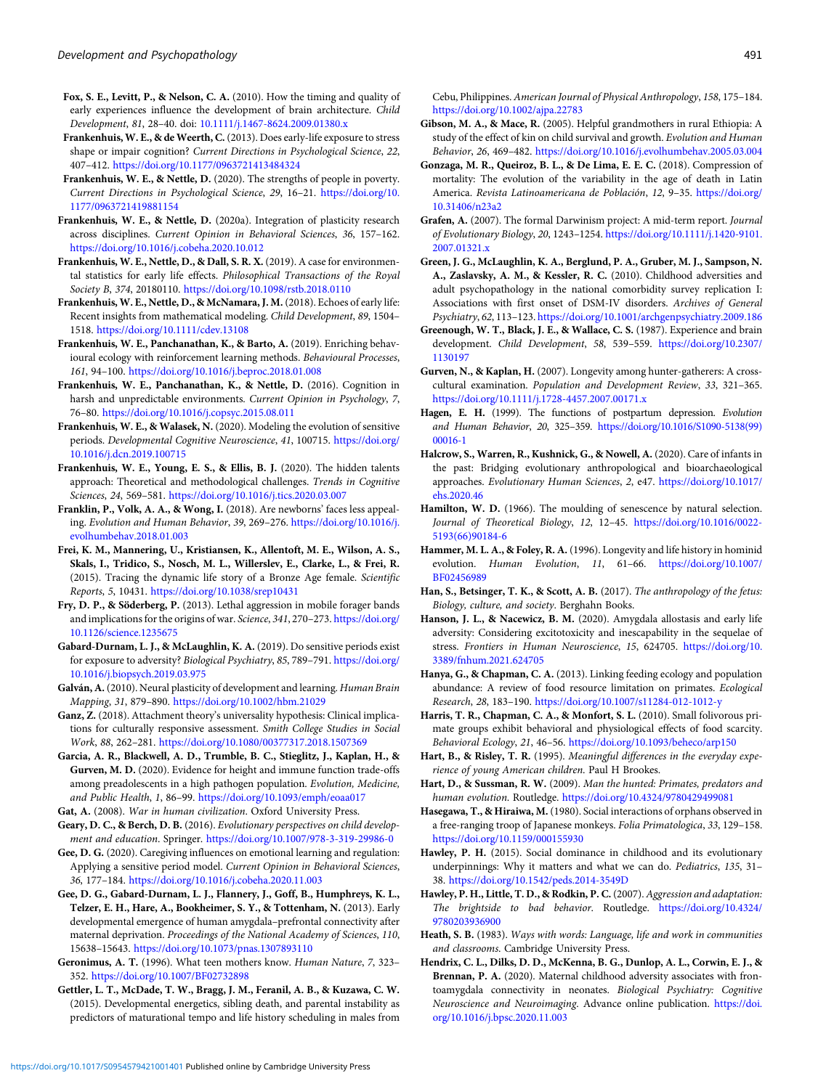- <span id="page-18-0"></span>Fox, S. E., Levitt, P., & Nelson, C. A. (2010). How the timing and quality of early experiences influence the development of brain architecture. Child Development, 81, 28–40. doi: [10.1111/j.1467-8624.2009.01380.x](https://doi.org/10.1111/j.1467-8624.2009.01380.x)
- Frankenhuis, W. E., & de Weerth, C. (2013). Does early-life exposure to stress shape or impair cognition? Current Directions in Psychological Science, 22, 407–412. <https://doi.org/10.1177/0963721413484324>
- Frankenhuis, W. E., & Nettle, D. (2020). The strengths of people in poverty. Current Directions in Psychological Science, 29, 16–21. [https://doi.org/10.](https://doi.org/10.1177/0963721419881154) [1177/0963721419881154](https://doi.org/10.1177/0963721419881154)
- Frankenhuis, W. E., & Nettle, D. (2020a). Integration of plasticity research across disciplines. Current Opinion in Behavioral Sciences, 36, 157–162. <https://doi.org/10.1016/j.cobeha.2020.10.012>
- Frankenhuis, W. E., Nettle, D., & Dall, S. R. X. (2019). A case for environmental statistics for early life effects. Philosophical Transactions of the Royal Society B, 374, 20180110. <https://doi.org/10.1098/rstb.2018.0110>
- Frankenhuis, W. E., Nettle, D., & McNamara, J. M. (2018). Echoes of early life: Recent insights from mathematical modeling. Child Development, 89, 1504– 1518. <https://doi.org/10.1111/cdev.13108>
- Frankenhuis, W. E., Panchanathan, K., & Barto, A. (2019). Enriching behavioural ecology with reinforcement learning methods. Behavioural Processes, 161, 94–100. <https://doi.org/10.1016/j.beproc.2018.01.008>
- Frankenhuis, W. E., Panchanathan, K., & Nettle, D. (2016). Cognition in harsh and unpredictable environments. Current Opinion in Psychology, 7, 76–80. <https://doi.org/10.1016/j.copsyc.2015.08.011>
- Frankenhuis, W. E., & Walasek, N. (2020). Modeling the evolution of sensitive periods. Developmental Cognitive Neuroscience, 41, 100715. [https://doi.org/](https://doi.org/10.1016/j.dcn.2019.100715) [10.1016/j.dcn.2019.100715](https://doi.org/10.1016/j.dcn.2019.100715)
- Frankenhuis, W. E., Young, E. S., & Ellis, B. J. (2020). The hidden talents approach: Theoretical and methodological challenges. Trends in Cognitive Sciences, 24, 569–581. <https://doi.org/10.1016/j.tics.2020.03.007>
- Franklin, P., Volk, A. A., & Wong, I. (2018). Are newborns' faces less appealing. Evolution and Human Behavior, 39, 269–276. [https://doi.org/10.1016/j.](https://doi.org/10.1016/j.evolhumbehav.2018.01.003) [evolhumbehav.2018.01.003](https://doi.org/10.1016/j.evolhumbehav.2018.01.003)
- Frei, K. M., Mannering, U., Kristiansen, K., Allentoft, M. E., Wilson, A. S., Skals, I., Tridico, S., Nosch, M. L., Willerslev, E., Clarke, L., & Frei, R. (2015). Tracing the dynamic life story of a Bronze Age female. Scientific Reports, 5, 10431. <https://doi.org/10.1038/srep10431>
- Fry, D. P., & Söderberg, P. (2013). Lethal aggression in mobile forager bands and implications for the origins of war. Science, 341, 270–273. [https://doi.org/](https://doi.org/10.1126/science.1235675) [10.1126/science.1235675](https://doi.org/10.1126/science.1235675)
- Gabard-Durnam, L. J., & McLaughlin, K. A. (2019). Do sensitive periods exist for exposure to adversity? Biological Psychiatry, 85, 789-791. [https://doi.org/](https://doi.org/10.1016/j.biopsych.2019.03.975) [10.1016/j.biopsych.2019.03.975](https://doi.org/10.1016/j.biopsych.2019.03.975)
- Galván, A. (2010). Neural plasticity of development and learning. Human Brain Mapping, 31, 879–890. <https://doi.org/10.1002/hbm.21029>
- Ganz, Z. (2018). Attachment theory's universality hypothesis: Clinical implications for culturally responsive assessment. Smith College Studies in Social Work, 88, 262–281. <https://doi.org/10.1080/00377317.2018.1507369>
- Garcia, A. R., Blackwell, A. D., Trumble, B. C., Stieglitz, J., Kaplan, H., & Gurven, M. D. (2020). Evidence for height and immune function trade-offs among preadolescents in a high pathogen population. Evolution, Medicine, and Public Health, 1, 86–99. <https://doi.org/10.1093/emph/eoaa017>
- Gat, A. (2008). War in human civilization. Oxford University Press. Geary, D. C., & Berch, D. B. (2016). Evolutionary perspectives on child development and education. Springer. <https://doi.org/10.1007/978-3-319-29986-0>
- Gee, D. G. (2020). Caregiving influences on emotional learning and regulation: Applying a sensitive period model. Current Opinion in Behavioral Sciences, 36, 177–184. <https://doi.org/10.1016/j.cobeha.2020.11.003>
- Gee, D. G., Gabard-Durnam, L. J., Flannery, J., Goff, B., Humphreys, K. L., Telzer, E. H., Hare, A., Bookheimer, S. Y., & Tottenham, N. (2013). Early developmental emergence of human amygdala–prefrontal connectivity after maternal deprivation. Proceedings of the National Academy of Sciences, 110, 15638–15643. <https://doi.org/10.1073/pnas.1307893110>
- Geronimus, A. T. (1996). What teen mothers know. Human Nature, 7, 323– 352. <https://doi.org/10.1007/BF02732898>
- Gettler, L. T., McDade, T. W., Bragg, J. M., Feranil, A. B., & Kuzawa, C. W. (2015). Developmental energetics, sibling death, and parental instability as predictors of maturational tempo and life history scheduling in males from

Cebu, Philippines. American Journal of Physical Anthropology, 158, 175–184. <https://doi.org/10.1002/ajpa.22783>

- Gibson, M. A., & Mace, R. (2005). Helpful grandmothers in rural Ethiopia: A study of the effect of kin on child survival and growth. Evolution and Human Behavior, 26, 469–482. <https://doi.org/10.1016/j.evolhumbehav.2005.03.004>
- Gonzaga, M. R., Queiroz, B. L., & De Lima, E. E. C. (2018). Compression of mortality: The evolution of the variability in the age of death in Latin America. Revista Latinoamericana de Población, 12, 9-35. [https://doi.org/](https://doi.org/10.31406/n23a2) [10.31406/n23a2](https://doi.org/10.31406/n23a2)
- Grafen, A. (2007). The formal Darwinism project: A mid-term report. Journal of Evolutionary Biology, 20, 1243–1254. [https://doi.org/10.1111/j.1420-9101.](https://doi.org/10.1111/j.1420-9101.2007.01321.x) [2007.01321.x](https://doi.org/10.1111/j.1420-9101.2007.01321.x)
- Green, J. G., McLaughlin, K. A., Berglund, P. A., Gruber, M. J., Sampson, N. A., Zaslavsky, A. M., & Kessler, R. C. (2010). Childhood adversities and adult psychopathology in the national comorbidity survey replication I: Associations with first onset of DSM-IV disorders. Archives of General Psychiatry, 62, 113–123. <https://doi.org/10.1001/archgenpsychiatry.2009.186>
- Greenough, W. T., Black, J. E., & Wallace, C. S. (1987). Experience and brain development. Child Development, 58, 539-559. [https://doi.org/10.2307/](https://doi.org/10.2307/1130197) [1130197](https://doi.org/10.2307/1130197)
- Gurven, N., & Kaplan, H. (2007). Longevity among hunter-gatherers: A crosscultural examination. Population and Development Review, 33, 321–365. <https://doi.org/10.1111/j.1728-4457.2007.00171.x>
- Hagen, E. H. (1999). The functions of postpartum depression. Evolution and Human Behavior, 20, 325–359. [https://doi.org/10.1016/S1090-5138\(99\)](https://doi.org/10.1016/S1090-5138(99)00016-1) [00016-1](https://doi.org/10.1016/S1090-5138(99)00016-1)
- Halcrow, S., Warren, R., Kushnick, G., & Nowell, A. (2020). Care of infants in the past: Bridging evolutionary anthropological and bioarchaeological approaches. Evolutionary Human Sciences, 2, e47. [https://doi.org/10.1017/](https://doi.org/10.1017/ehs.2020.46) [ehs.2020.46](https://doi.org/10.1017/ehs.2020.46)
- Hamilton, W. D. (1966). The moulding of senescence by natural selection. Journal of Theoretical Biology, 12, 12–45. [https://doi.org/10.1016/0022-](https://doi.org/10.1016/0022-5193(66)90184-6) [5193\(66\)90184-6](https://doi.org/10.1016/0022-5193(66)90184-6)
- Hammer, M. L. A., & Foley, R. A. (1996). Longevity and life history in hominid evolution. Human Evolution, 11, 61–66. [https://doi.org/10.1007/](https://doi.org/10.1007/BF02456989) [BF02456989](https://doi.org/10.1007/BF02456989)
- Han, S., Betsinger, T. K., & Scott, A. B. (2017). The anthropology of the fetus: Biology, culture, and society. Berghahn Books.
- Hanson, J. L., & Nacewicz, B. M. (2020). Amygdala allostasis and early life adversity: Considering excitotoxicity and inescapability in the sequelae of stress. Frontiers in Human Neuroscience, 15, 624705. [https://doi.org/10.](https://doi.org/10.3389/fnhum.2021.624705) [3389/fnhum.2021.624705](https://doi.org/10.3389/fnhum.2021.624705)
- Hanya, G., & Chapman, C. A. (2013). Linking feeding ecology and population abundance: A review of food resource limitation on primates. Ecological Research, 28, 183–190. <https://doi.org/10.1007/s11284-012-1012-y>
- Harris, T. R., Chapman, C. A., & Monfort, S. L. (2010). Small folivorous primate groups exhibit behavioral and physiological effects of food scarcity. Behavioral Ecology, 21, 46–56. <https://doi.org/10.1093/beheco/arp150>
- Hart, B., & Risley, T. R. (1995). Meaningful differences in the everyday experience of young American children. Paul H Brookes.
- Hart, D., & Sussman, R. W. (2009). Man the hunted: Primates, predators and human evolution. Routledge. <https://doi.org/10.4324/9780429499081>
- Hasegawa, T., & Hiraiwa, M. (1980). Social interactions of orphans observed in a free-ranging troop of Japanese monkeys. Folia Primatologica, 33, 129–158. <https://doi.org/10.1159/000155930>
- Hawley, P. H. (2015). Social dominance in childhood and its evolutionary underpinnings: Why it matters and what we can do. Pediatrics, 135, 31– 38. <https://doi.org/10.1542/peds.2014-3549D>
- Hawley, P. H., Little, T. D., & Rodkin, P. C. (2007). Aggression and adaptation: The brightside to bad behavior. Routledge. [https://doi.org/10.4324/](https://doi.org/10.4324/9780203936900) [9780203936900](https://doi.org/10.4324/9780203936900)
- Heath, S. B. (1983). Ways with words: Language, life and work in communities and classrooms. Cambridge University Press.
- Hendrix, C. L., Dilks, D. D., McKenna, B. G., Dunlop, A. L., Corwin, E. J., & Brennan, P. A. (2020). Maternal childhood adversity associates with frontoamygdala connectivity in neonates. Biological Psychiatry: Cognitive Neuroscience and Neuroimaging. Advance online publication. [https://doi.](https://doi.org/10.1016/j.bpsc.2020.11.003) [org/10.1016/j.bpsc.2020.11.003](https://doi.org/10.1016/j.bpsc.2020.11.003)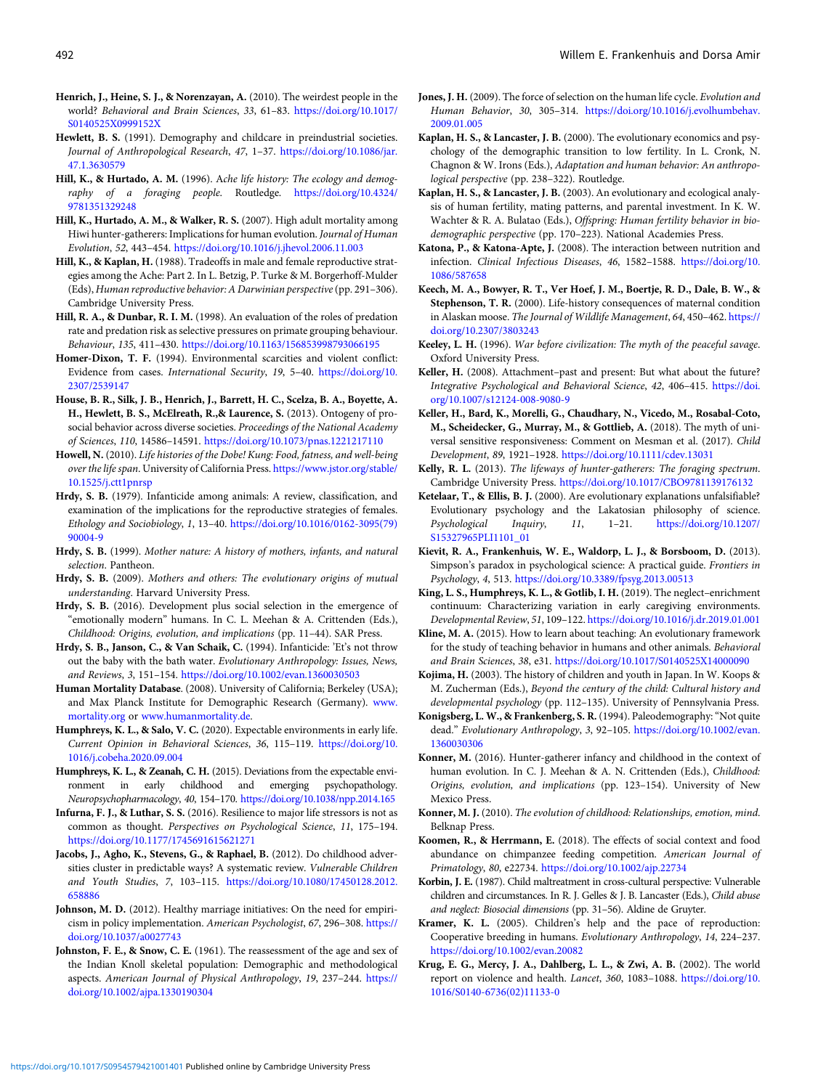- <span id="page-19-0"></span>Henrich, J., Heine, S. J., & Norenzayan, A. (2010). The weirdest people in the world? Behavioral and Brain Sciences, 33, 61–83. [https://doi.org/10.1017/](https://doi.org/10.1017/S0140525X0999152X) [S0140525X0999152X](https://doi.org/10.1017/S0140525X0999152X)
- Hewlett, B. S. (1991). Demography and childcare in preindustrial societies. Journal of Anthropological Research, 47, 1–37. [https://doi.org/10.1086/jar.](https://doi.org/10.1086/jar.47.1.3630579) [47.1.3630579](https://doi.org/10.1086/jar.47.1.3630579)
- Hill, K., & Hurtado, A. M. (1996). Ache life history: The ecology and demography of a foraging people. Routledge. [https://doi.org/10.4324/](https://doi.org/10.4324/9781351329248) [9781351329248](https://doi.org/10.4324/9781351329248)
- Hill, K., Hurtado, A. M., & Walker, R. S. (2007). High adult mortality among Hiwi hunter-gatherers: Implications for human evolution. Journal of Human Evolution, 52, 443–454. <https://doi.org/10.1016/j.jhevol.2006.11.003>
- Hill, K., & Kaplan, H. (1988). Tradeoffs in male and female reproductive strategies among the Ache: Part 2. In L. Betzig, P. Turke & M. Borgerhoff-Mulder (Eds), Human reproductive behavior: A Darwinian perspective(pp. 291–306). Cambridge University Press.
- Hill, R. A., & Dunbar, R. I. M. (1998). An evaluation of the roles of predation rate and predation risk as selective pressures on primate grouping behaviour. Behaviour, 135, 411–430. <https://doi.org/10.1163/156853998793066195>
- Homer-Dixon, T. F. (1994). Environmental scarcities and violent conflict: Evidence from cases. International Security, 19, 5–40. [https://doi.org/10.](https://doi.org/10.2307/2539147) [2307/2539147](https://doi.org/10.2307/2539147)
- House, B. R., Silk, J. B., Henrich, J., Barrett, H. C., Scelza, B. A., Boyette, A. H., Hewlett, B. S., McElreath, R.,& Laurence, S. (2013). Ontogeny of prosocial behavior across diverse societies. Proceedings of the National Academy of Sciences, 110, 14586–14591. <https://doi.org/10.1073/pnas.1221217110>
- Howell, N. (2010). Life histories of the Dobe! Kung: Food, fatness, and well-being over the life span. University of California Press. [https://www.jstor.org/stable/](https://www.jstor.org/stable/10.1525/j.ctt1pnrsp) [10.1525/j.ctt1pnrsp](https://www.jstor.org/stable/10.1525/j.ctt1pnrsp)
- Hrdy, S. B. (1979). Infanticide among animals: A review, classification, and examination of the implications for the reproductive strategies of females. Ethology and Sociobiology, 1, 13–40. [https://doi.org/10.1016/0162-3095\(79\)](https://doi.org/10.1016/0162-3095(79)90004-9) [90004-9](https://doi.org/10.1016/0162-3095(79)90004-9)
- Hrdy, S. B. (1999). Mother nature: A history of mothers, infants, and natural selection. Pantheon.
- Hrdy, S. B. (2009). Mothers and others: The evolutionary origins of mutual understanding. Harvard University Press.
- Hrdy, S. B. (2016). Development plus social selection in the emergence of "emotionally modern" humans. In C. L. Meehan & A. Crittenden (Eds.), Childhood: Origins, evolution, and implications (pp. 11–44). SAR Press.
- Hrdy, S. B., Janson, C., & Van Schaik, C. (1994). Infanticide: 'Et's not throw out the baby with the bath water. Evolutionary Anthropology: Issues, News, and Reviews, 3, 151–154. <https://doi.org/10.1002/evan.1360030503>
- Human Mortality Database. (2008). University of California; Berkeley (USA); and Max Planck Institute for Demographic Research (Germany). [www.](http://www.mortality.org) [mortality.org](http://www.mortality.org) or [www.humanmortality.de](http://www.humanmortality.de).
- Humphreys, K. L., & Salo, V. C. (2020). Expectable environments in early life. Current Opinion in Behavioral Sciences, 36, 115–119. [https://doi.org/10.](https://doi.org/10.1016/j.cobeha.2020.09.004) [1016/j.cobeha.2020.09.004](https://doi.org/10.1016/j.cobeha.2020.09.004)
- Humphreys, K. L., & Zeanah, C. H. (2015). Deviations from the expectable environment in early childhood and emerging psychopathology. Neuropsychopharmacology, 40, 154–170. <https://doi.org/10.1038/npp.2014.165>
- Infurna, F. J., & Luthar, S. S. (2016). Resilience to major life stressors is not as common as thought. Perspectives on Psychological Science, 11, 175–194. <https://doi.org/10.1177/1745691615621271>
- Jacobs, J., Agho, K., Stevens, G., & Raphael, B. (2012). Do childhood adversities cluster in predictable ways? A systematic review. Vulnerable Children and Youth Studies, 7, 103–115. [https://doi.org/10.1080/17450128.2012.](https://doi.org/10.1080/17450128.2012.658886) [658886](https://doi.org/10.1080/17450128.2012.658886)
- Johnson, M. D. (2012). Healthy marriage initiatives: On the need for empiricism in policy implementation. American Psychologist, 67, 296–308. [https://](https://doi.org/10.1037/a0027743) [doi.org/10.1037/a0027743](https://doi.org/10.1037/a0027743)
- Johnston, F. E., & Snow, C. E. (1961). The reassessment of the age and sex of the Indian Knoll skeletal population: Demographic and methodological aspects. American Journal of Physical Anthropology, 19, 237-244. [https://](https://doi.org/10.1002/ajpa.1330190304) [doi.org/10.1002/ajpa.1330190304](https://doi.org/10.1002/ajpa.1330190304)
- Jones, J. H. (2009). The force of selection on the human life cycle. Evolution and Human Behavior, 30, 305–314. [https://doi.org/10.1016/j.evolhumbehav.](https://doi.org/10.1016/j.evolhumbehav.2009.01.005) [2009.01.005](https://doi.org/10.1016/j.evolhumbehav.2009.01.005)
- Kaplan, H. S., & Lancaster, J. B. (2000). The evolutionary economics and psychology of the demographic transition to low fertility. In L. Cronk, N. Chagnon & W. Irons (Eds.), Adaptation and human behavior: An anthropological perspective (pp. 238–322). Routledge.
- Kaplan, H. S., & Lancaster, J. B. (2003). An evolutionary and ecological analysis of human fertility, mating patterns, and parental investment. In K. W. Wachter & R. A. Bulatao (Eds.), Offspring: Human fertility behavior in biodemographic perspective (pp. 170–223). National Academies Press.
- Katona, P., & Katona-Apte, J. (2008). The interaction between nutrition and infection. Clinical Infectious Diseases, 46, 1582–1588. [https://doi.org/10.](https://doi.org/10.1086/587658) [1086/587658](https://doi.org/10.1086/587658)
- Keech, M. A., Bowyer, R. T., Ver Hoef, J. M., Boertje, R. D., Dale, B. W., & Stephenson, T. R. (2000). Life-history consequences of maternal condition in Alaskan moose. The Journal of Wildlife Management, 64, 450–462. [https://](https://doi.org/10.2307/3803243) [doi.org/10.2307/3803243](https://doi.org/10.2307/3803243)
- Keeley, L. H. (1996). War before civilization: The myth of the peaceful savage. Oxford University Press.
- Keller, H. (2008). Attachment–past and present: But what about the future? Integrative Psychological and Behavioral Science, 42, 406–415. [https://doi.](https://doi.org/10.1007/s12124-008-9080-9) [org/10.1007/s12124-008-9080-9](https://doi.org/10.1007/s12124-008-9080-9)
- Keller, H., Bard, K., Morelli, G., Chaudhary, N., Vicedo, M., Rosabal-Coto, M., Scheidecker, G., Murray, M., & Gottlieb, A. (2018). The myth of universal sensitive responsiveness: Comment on Mesman et al. (2017). Child Development, 89, 1921–1928. <https://doi.org/10.1111/cdev.13031>
- Kelly, R. L. (2013). The lifeways of hunter-gatherers: The foraging spectrum. Cambridge University Press. <https://doi.org/10.1017/CBO9781139176132>
- Ketelaar, T., & Ellis, B. J. (2000). Are evolutionary explanations unfalsifiable? Evolutionary psychology and the Lakatosian philosophy of science. Psychological Inquiry, 11, 1–21. [https://doi.org/10.1207/](https://doi.org/10.1207/S15327965PLI1101_01) [S15327965PLI1101\\_01](https://doi.org/10.1207/S15327965PLI1101_01)
- Kievit, R. A., Frankenhuis, W. E., Waldorp, L. J., & Borsboom, D. (2013). Simpson's paradox in psychological science: A practical guide. Frontiers in Psychology, 4, 513. <https://doi.org/10.3389/fpsyg.2013.00513>
- King, L. S., Humphreys, K. L., & Gotlib, I. H. (2019). The neglect–enrichment continuum: Characterizing variation in early caregiving environments. Developmental Review, 51, 109–122. <https://doi.org/10.1016/j.dr.2019.01.001>
- Kline, M. A. (2015). How to learn about teaching: An evolutionary framework for the study of teaching behavior in humans and other animals. Behavioral and Brain Sciences, 38, e31. <https://doi.org/10.1017/S0140525X14000090>
- Kojima, H. (2003). The history of children and youth in Japan. In W. Koops & M. Zucherman (Eds.), Beyond the century of the child: Cultural history and developmental psychology (pp. 112–135). University of Pennsylvania Press.
- Konigsberg, L. W., & Frankenberg, S. R. (1994). Paleodemography:"Not quite dead." Evolutionary Anthropology, 3, 92–105. [https://doi.org/10.1002/evan.](https://doi.org/10.1002/evan.1360030306) [1360030306](https://doi.org/10.1002/evan.1360030306)
- Konner, M. (2016). Hunter-gatherer infancy and childhood in the context of human evolution. In C. J. Meehan & A. N. Crittenden (Eds.), Childhood: Origins, evolution, and implications (pp. 123–154). University of New Mexico Press.
- Konner, M. J. (2010). The evolution of childhood: Relationships, emotion, mind. Belknap Press.
- Koomen, R., & Herrmann, E. (2018). The effects of social context and food abundance on chimpanzee feeding competition. American Journal of Primatology, 80, e22734. <https://doi.org/10.1002/ajp.22734>
- Korbin, J. E. (1987). Child maltreatment in cross-cultural perspective: Vulnerable children and circumstances. In R. J. Gelles & J. B. Lancaster (Eds.), Child abuse and neglect: Biosocial dimensions (pp. 31–56). Aldine de Gruyter.
- Kramer, K. L. (2005). Children's help and the pace of reproduction: Cooperative breeding in humans. Evolutionary Anthropology, 14, 224–237. <https://doi.org/10.1002/evan.20082>
- Krug, E. G., Mercy, J. A., Dahlberg, L. L., & Zwi, A. B. (2002). The world report on violence and health. Lancet, 360, 1083–1088. [https://doi.org/10.](https://doi.org/10.1016/S0140-6736(02)11133-0) [1016/S0140-6736\(02\)11133-0](https://doi.org/10.1016/S0140-6736(02)11133-0)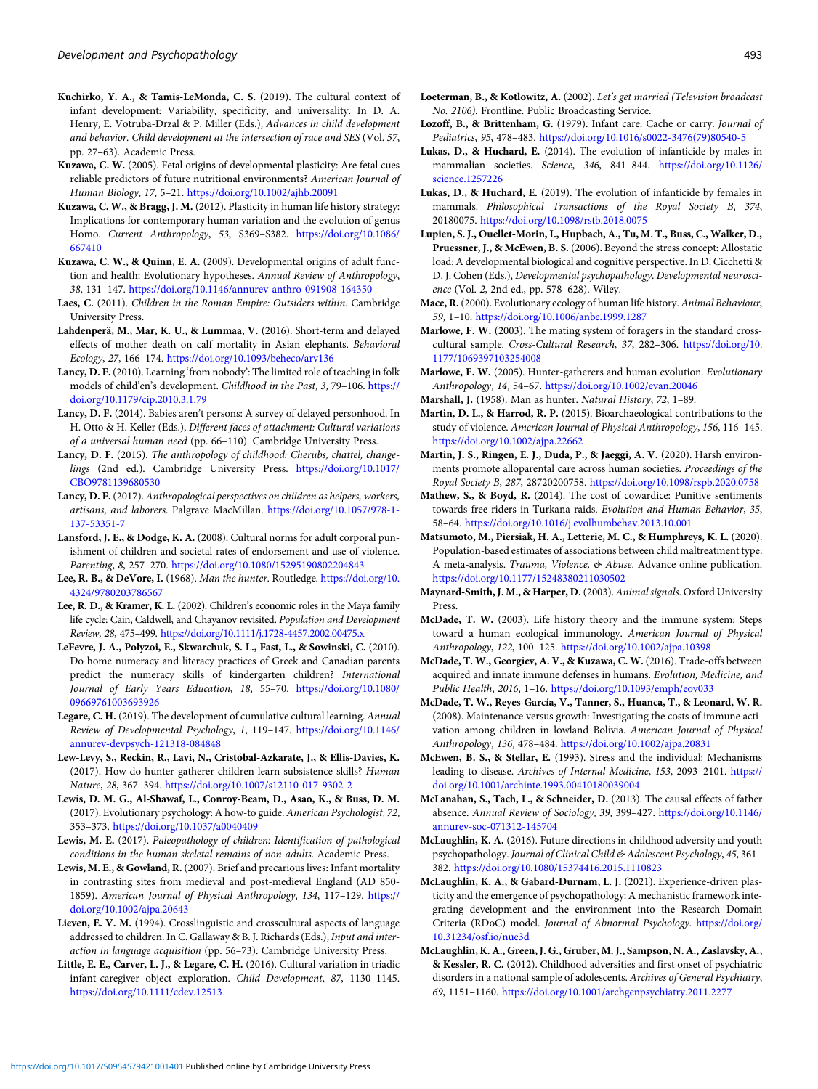- <span id="page-20-0"></span>Kuchirko, Y. A., & Tamis-LeMonda, C. S. (2019). The cultural context of infant development: Variability, specificity, and universality. In D. A. Henry, E. Votruba-Drzal & P. Miller (Eds.), Advances in child development and behavior. Child development at the intersection of race and SES (Vol. 57, pp. 27–63). Academic Press.
- Kuzawa, C. W. (2005). Fetal origins of developmental plasticity: Are fetal cues reliable predictors of future nutritional environments? American Journal of Human Biology, 17, 5–21. <https://doi.org/10.1002/ajhb.20091>
- Kuzawa, C. W., & Bragg, J. M. (2012). Plasticity in human life history strategy: Implications for contemporary human variation and the evolution of genus Homo. Current Anthropology, 53, S369–S382. [https://doi.org/10.1086/](https://doi.org/10.1086/667410) [667410](https://doi.org/10.1086/667410)
- Kuzawa, C. W., & Quinn, E. A. (2009). Developmental origins of adult function and health: Evolutionary hypotheses. Annual Review of Anthropology, 38, 131–147. <https://doi.org/10.1146/annurev-anthro-091908-164350>
- Laes, C. (2011). Children in the Roman Empire: Outsiders within. Cambridge University Press.
- Lahdenperä, M., Mar, K. U., & Lummaa, V. (2016). Short-term and delayed effects of mother death on calf mortality in Asian elephants. Behavioral Ecology, 27, 166–174. <https://doi.org/10.1093/beheco/arv136>
- Lancy, D. F.(2010). Learning 'from nobody': The limited role of teaching in folk models of child'en's development. Childhood in the Past, 3, 79-106. [https://](https://doi.org/10.1179/cip.2010.3.1.79) [doi.org/10.1179/cip.2010.3.1.79](https://doi.org/10.1179/cip.2010.3.1.79)
- Lancy, D. F. (2014). Babies aren't persons: A survey of delayed personhood. In H. Otto & H. Keller (Eds.), Different faces of attachment: Cultural variations of a universal human need (pp. 66–110). Cambridge University Press.
- Lancy, D. F. (2015). The anthropology of childhood: Cherubs, chattel, changelings (2nd ed.). Cambridge University Press. [https://doi.org/10.1017/](https://doi.org/10.1017/CBO9781139680530) [CBO9781139680530](https://doi.org/10.1017/CBO9781139680530)
- Lancy, D. F. (2017). Anthropological perspectives on children as helpers, workers, artisans, and laborers. Palgrave MacMillan. [https://doi.org/10.1057/978-1-](https://doi.org/10.1057/978-1-137-53351-7) [137-53351-7](https://doi.org/10.1057/978-1-137-53351-7)
- Lansford, J. E., & Dodge, K. A. (2008). Cultural norms for adult corporal punishment of children and societal rates of endorsement and use of violence. Parenting, 8, 257–270. <https://doi.org/10.1080/15295190802204843>
- Lee, R. B., & DeVore, I. (1968). Man the hunter. Routledge. [https://doi.org/10.](https://doi.org/10.4324/9780203786567) [4324/9780203786567](https://doi.org/10.4324/9780203786567)
- Lee, R. D., & Kramer, K. L. (2002). Children's economic roles in the Maya family life cycle: Cain, Caldwell, and Chayanov revisited. Population and Development Review, 28, 475–499. <https://doi.org/10.1111/j.1728-4457.2002.00475.x>
- LeFevre, J. A., Polyzoi, E., Skwarchuk, S. L., Fast, L., & Sowinski, C. (2010). Do home numeracy and literacy practices of Greek and Canadian parents predict the numeracy skills of kindergarten children? International Journal of Early Years Education, 18, 55–70. [https://doi.org/10.1080/](https://doi.org/10.1080/09669761003693926) [09669761003693926](https://doi.org/10.1080/09669761003693926)
- Legare, C. H. (2019). The development of cumulative cultural learning. Annual Review of Developmental Psychology, 1, 119–147. [https://doi.org/10.1146/](https://doi.org/10.1146/annurev-devpsych-121318-084848) [annurev-devpsych-121318-084848](https://doi.org/10.1146/annurev-devpsych-121318-084848)
- Lew-Levy, S., Reckin, R., Lavi, N., Cristóbal-Azkarate, J., & Ellis-Davies, K. (2017). How do hunter-gatherer children learn subsistence skills? Human Nature, 28, 367–394. <https://doi.org/10.1007/s12110-017-9302-2>
- Lewis, D. M. G., Al-Shawaf, L., Conroy-Beam, D., Asao, K., & Buss, D. M. (2017). Evolutionary psychology: A how-to guide. American Psychologist, 72, 353–373. <https://doi.org/10.1037/a0040409>
- Lewis, M. E. (2017). Paleopathology of children: Identification of pathological conditions in the human skeletal remains of non-adults. Academic Press.
- Lewis, M. E., & Gowland, R. (2007). Brief and precarious lives: Infant mortality in contrasting sites from medieval and post-medieval England (AD 850- 1859). American Journal of Physical Anthropology, 134, 117–129. [https://](https://doi.org/10.1002/ajpa.20643) [doi.org/10.1002/ajpa.20643](https://doi.org/10.1002/ajpa.20643)
- Lieven, E. V. M. (1994). Crosslinguistic and crosscultural aspects of language addressed to children. In C. Gallaway & B. J. Richards (Eds.), Input and interaction in language acquisition (pp. 56–73). Cambridge University Press.
- Little, E. E., Carver, L. J., & Legare, C. H. (2016). Cultural variation in triadic infant-caregiver object exploration. Child Development, 87, 1130–1145. <https://doi.org/10.1111/cdev.12513>
- Loeterman, B., & Kotlowitz, A. (2002). Let's get married (Television broadcast No. 2106). Frontline. Public Broadcasting Service.
- Lozoff, B., & Brittenham, G. (1979). Infant care: Cache or carry. Journal of Pediatrics, 95, 478–483. [https://doi.org/10.1016/s0022-3476\(79\)80540-5](https://doi.org/10.1016/s0022-3476(79)80540-5)
- Lukas, D., & Huchard, E. (2014). The evolution of infanticide by males in mammalian societies. Science, 346, 841–844. [https://doi.org/10.1126/](https://doi.org/10.1126/science.1257226) [science.1257226](https://doi.org/10.1126/science.1257226)
- Lukas, D., & Huchard, E. (2019). The evolution of infanticide by females in mammals. Philosophical Transactions of the Royal Society B, 374, 20180075. <https://doi.org/10.1098/rstb.2018.0075>
- Lupien, S. J., Ouellet-Morin, I., Hupbach, A., Tu, M. T., Buss, C., Walker, D., Pruessner, J., & McEwen, B. S. (2006). Beyond the stress concept: Allostatic load: A developmental biological and cognitive perspective. In D. Cicchetti & D. J. Cohen (Eds.), Developmental psychopathology. Developmental neuroscience (Vol. 2, 2nd ed., pp. 578–628). Wiley.
- Mace, R. (2000). Evolutionary ecology of human life history. Animal Behaviour, 59, 1–10. <https://doi.org/10.1006/anbe.1999.1287>
- Marlowe, F. W. (2003). The mating system of foragers in the standard crosscultural sample. Cross-Cultural Research, 37, 282–306. [https://doi.org/10.](https://doi.org/10.1177/1069397103254008) [1177/1069397103254008](https://doi.org/10.1177/1069397103254008)
- Marlowe, F. W. (2005). Hunter-gatherers and human evolution. Evolutionary Anthropology, 14, 54–67. <https://doi.org/10.1002/evan.20046>
- Marshall, J. (1958). Man as hunter. Natural History, 72, 1–89.
- Martin, D. L., & Harrod, R. P. (2015). Bioarchaeological contributions to the study of violence. American Journal of Physical Anthropology, 156, 116–145. <https://doi.org/10.1002/ajpa.22662>
- Martin, J. S., Ringen, E. J., Duda, P., & Jaeggi, A. V. (2020). Harsh environments promote alloparental care across human societies. Proceedings of the Royal Society B, 287, 28720200758. <https://doi.org/10.1098/rspb.2020.0758>
- Mathew, S., & Boyd, R. (2014). The cost of cowardice: Punitive sentiments towards free riders in Turkana raids. Evolution and Human Behavior, 35, 58–64. <https://doi.org/10.1016/j.evolhumbehav.2013.10.001>
- Matsumoto, M., Piersiak, H. A., Letterie, M. C., & Humphreys, K. L. (2020). Population-based estimates of associations between child maltreatment type: A meta-analysis. Trauma, Violence, & Abuse. Advance online publication. <https://doi.org/10.1177/15248380211030502>
- Maynard-Smith, J. M., & Harper, D. (2003). Animal signals. Oxford University Press.
- McDade, T. W. (2003). Life history theory and the immune system: Steps toward a human ecological immunology. American Journal of Physical Anthropology, 122, 100–125. <https://doi.org/10.1002/ajpa.10398>
- McDade, T. W., Georgiev, A. V., & Kuzawa, C. W. (2016). Trade-offs between acquired and innate immune defenses in humans. Evolution, Medicine, and Public Health, 2016, 1–16. <https://doi.org/10.1093/emph/eov033>
- McDade, T. W., Reyes-García, V., Tanner, S., Huanca, T., & Leonard, W. R. (2008). Maintenance versus growth: Investigating the costs of immune activation among children in lowland Bolivia. American Journal of Physical Anthropology, 136, 478–484. <https://doi.org/10.1002/ajpa.20831>
- McEwen, B. S., & Stellar, E. (1993). Stress and the individual: Mechanisms leading to disease. Archives of Internal Medicine, 153, 2093–2101. [https://](https://doi.org/10.1001/archinte.1993.00410180039004) [doi.org/10.1001/archinte.1993.00410180039004](https://doi.org/10.1001/archinte.1993.00410180039004)
- McLanahan, S., Tach, L., & Schneider, D. (2013). The causal effects of father absence. Annual Review of Sociology, 39, 399–427. [https://doi.org/10.1146/](https://doi.org/10.1146/annurev-soc-071312-145704) [annurev-soc-071312-145704](https://doi.org/10.1146/annurev-soc-071312-145704)
- McLaughlin, K. A. (2016). Future directions in childhood adversity and youth psychopathology. Journal of Clinical Child & Adolescent Psychology, 45, 361-382. <https://doi.org/10.1080/15374416.2015.1110823>
- McLaughlin, K. A., & Gabard-Durnam, L. J. (2021). Experience-driven plasticity and the emergence of psychopathology: A mechanistic framework integrating development and the environment into the Research Domain Criteria (RDoC) model. Journal of Abnormal Psychology. [https://doi.org/](https://doi.org/10.31234/osf.io/nue3d) [10.31234/osf.io/nue3d](https://doi.org/10.31234/osf.io/nue3d)
- McLaughlin, K. A., Green, J. G., Gruber, M. J., Sampson, N. A., Zaslavsky, A., & Kessler, R. C. (2012). Childhood adversities and first onset of psychiatric disorders in a national sample of adolescents. Archives of General Psychiatry, 69, 1151–1160. <https://doi.org/10.1001/archgenpsychiatry.2011.2277>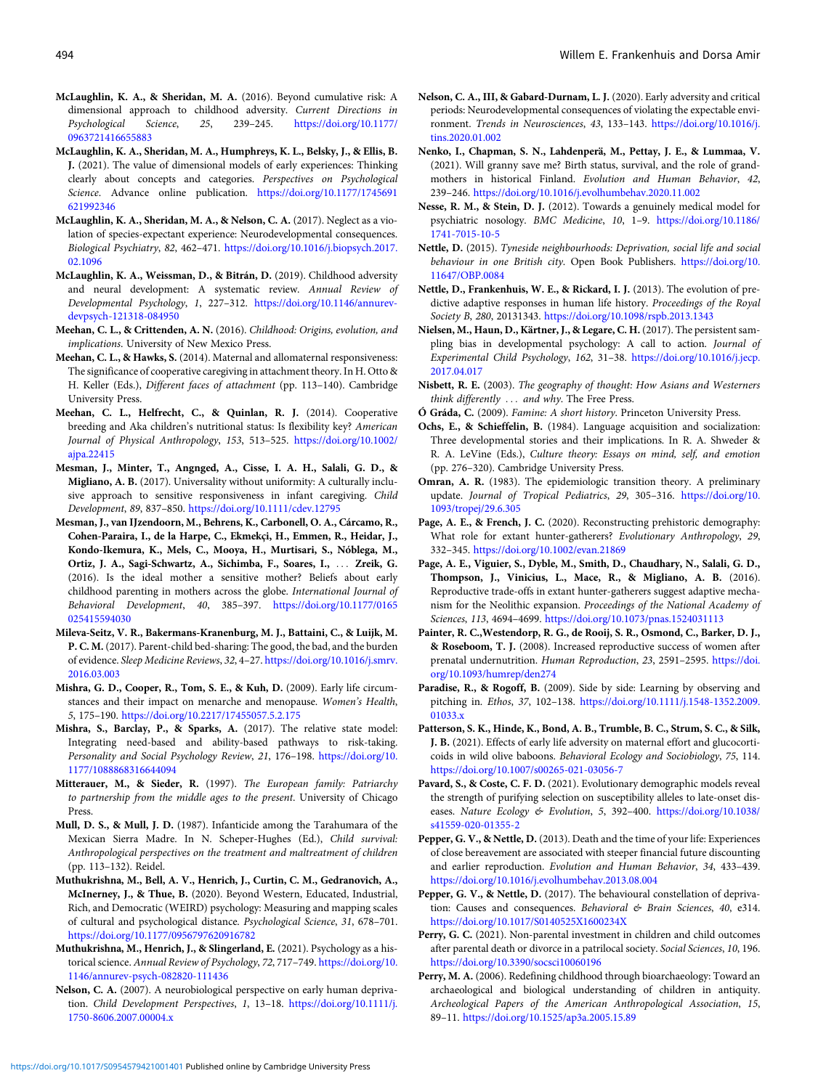- <span id="page-21-0"></span>McLaughlin, K. A., & Sheridan, M. A. (2016). Beyond cumulative risk: A dimensional approach to childhood adversity. Current Directions in Psychological Science, 25, 239–245. [https://doi.org/10.1177/](https://doi.org/10.1177/0963721416655883) [0963721416655883](https://doi.org/10.1177/0963721416655883)
- McLaughlin, K. A., Sheridan, M. A., Humphreys, K. L., Belsky, J., & Ellis, B. J. (2021). The value of dimensional models of early experiences: Thinking clearly about concepts and categories. Perspectives on Psychological Science. Advance online publication. [https://doi.org/10.1177/1745691](https://doi.org/10.1177/1745691621992346) [621992346](https://doi.org/10.1177/1745691621992346)
- McLaughlin, K. A., Sheridan, M. A., & Nelson, C. A. (2017). Neglect as a violation of species-expectant experience: Neurodevelopmental consequences. Biological Psychiatry, 82, 462–471. [https://doi.org/10.1016/j.biopsych.2017.](https://doi.org/10.1016/j.biopsych.2017.02.1096) [02.1096](https://doi.org/10.1016/j.biopsych.2017.02.1096)
- McLaughlin, K. A., Weissman, D., & Bitrán, D. (2019). Childhood adversity and neural development: A systematic review. Annual Review of Developmental Psychology, 1, 227–312. [https://doi.org/10.1146/annurev](https://doi.org/10.1146/annurev-devpsych-121318-084950)[devpsych-121318-084950](https://doi.org/10.1146/annurev-devpsych-121318-084950)
- Meehan, C. L., & Crittenden, A. N. (2016). Childhood: Origins, evolution, and implications. University of New Mexico Press.
- Meehan, C. L., & Hawks, S. (2014). Maternal and allomaternal responsiveness: The significance of cooperative caregiving in attachment theory. In H. Otto & H. Keller (Eds.), Different faces of attachment (pp. 113–140). Cambridge University Press.
- Meehan, C. L., Helfrecht, C., & Quinlan, R. J. (2014). Cooperative breeding and Aka children's nutritional status: Is flexibility key? American Journal of Physical Anthropology, 153, 513–525. [https://doi.org/10.1002/](https://doi.org/10.1002/ajpa.22415) [ajpa.22415](https://doi.org/10.1002/ajpa.22415)
- Mesman, J., Minter, T., Angnged, A., Cisse, I. A. H., Salali, G. D., & Migliano, A. B. (2017). Universality without uniformity: A culturally inclusive approach to sensitive responsiveness in infant caregiving. Child Development, 89, 837–850. <https://doi.org/10.1111/cdev.12795>
- Mesman, J., van IJzendoorn, M., Behrens, K., Carbonell, O. A., Cárcamo, R., Cohen-Paraira, I., de la Harpe, C., Ekmekçi, H., Emmen, R., Heidar, J., Kondo-Ikemura, K., Mels, C., Mooya, H., Murtisari, S., Nóblega, M., Ortiz, J. A., Sagi-Schwartz, A., Sichimba, F., Soares, I., ::: Zreik, G. (2016). Is the ideal mother a sensitive mother? Beliefs about early childhood parenting in mothers across the globe. International Journal of Behavioral Development, 40, 385–397. [https://doi.org/10.1177/0165](https://doi.org/10.1177/0165025415594030) [025415594030](https://doi.org/10.1177/0165025415594030)
- Mileva-Seitz, V. R., Bakermans-Kranenburg, M. J., Battaini, C., & Luijk, M. P. C. M. (2017). Parent-child bed-sharing: The good, the bad, and the burden of evidence. Sleep Medicine Reviews, 32, 4–27. [https://doi.org/10.1016/j.smrv.](https://doi.org/10.1016/j.smrv.2016.03.003) [2016.03.003](https://doi.org/10.1016/j.smrv.2016.03.003)
- Mishra, G. D., Cooper, R., Tom, S. E., & Kuh, D. (2009). Early life circumstances and their impact on menarche and menopause. Women's Health, 5, 175–190. <https://doi.org/10.2217/17455057.5.2.175>
- Mishra, S., Barclay, P., & Sparks, A. (2017). The relative state model: Integrating need-based and ability-based pathways to risk-taking. Personality and Social Psychology Review, 21, 176–198. [https://doi.org/10.](https://doi.org/10.1177/1088868316644094) [1177/1088868316644094](https://doi.org/10.1177/1088868316644094)
- Mitterauer, M., & Sieder, R. (1997). The European family: Patriarchy to partnership from the middle ages to the present. University of Chicago Press.
- Mull, D. S., & Mull, J. D. (1987). Infanticide among the Tarahumara of the Mexican Sierra Madre. In N. Scheper-Hughes (Ed.), Child survival: Anthropological perspectives on the treatment and maltreatment of children (pp. 113–132). Reidel.
- Muthukrishna, M., Bell, A. V., Henrich, J., Curtin, C. M., Gedranovich, A., McInerney, J., & Thue, B. (2020). Beyond Western, Educated, Industrial, Rich, and Democratic (WEIRD) psychology: Measuring and mapping scales of cultural and psychological distance. Psychological Science, 31, 678–701. <https://doi.org/10.1177/0956797620916782>
- Muthukrishna, M., Henrich, J., & Slingerland, E. (2021). Psychology as a historical science. Annual Review of Psychology, 72, 717–749. [https://doi.org/10.](https://doi.org/10.1146/annurev-psych-082820-111436) [1146/annurev-psych-082820-111436](https://doi.org/10.1146/annurev-psych-082820-111436)
- Nelson, C. A. (2007). A neurobiological perspective on early human deprivation. Child Development Perspectives, 1, 13–18. [https://doi.org/10.1111/j.](https://doi.org/10.1111/j.1750-8606.2007.00004.x) [1750-8606.2007.00004.x](https://doi.org/10.1111/j.1750-8606.2007.00004.x)
- Nelson, C. A., III, & Gabard-Durnam, L. J. (2020). Early adversity and critical periods: Neurodevelopmental consequences of violating the expectable environment. Trends in Neurosciences, 43, 133–143. [https://doi.org/10.1016/j.](https://doi.org/10.1016/j.tins.2020.01.002) [tins.2020.01.002](https://doi.org/10.1016/j.tins.2020.01.002)
- Nenko, I., Chapman, S. N., Lahdenperä, M., Pettay, J. E., & Lummaa, V. (2021). Will granny save me? Birth status, survival, and the role of grandmothers in historical Finland. Evolution and Human Behavior, 42, 239–246. <https://doi.org/10.1016/j.evolhumbehav.2020.11.002>
- Nesse, R. M., & Stein, D. J. (2012). Towards a genuinely medical model for psychiatric nosology. BMC Medicine, 10, 1–9. [https://doi.org/10.1186/](https://doi.org/10.1186/1741-7015-10-5) [1741-7015-10-5](https://doi.org/10.1186/1741-7015-10-5)
- Nettle, D. (2015). Tyneside neighbourhoods: Deprivation, social life and social behaviour in one British city. Open Book Publishers. [https://doi.org/10.](https://doi.org/10.11647/OBP.0084) [11647/OBP.0084](https://doi.org/10.11647/OBP.0084)
- Nettle, D., Frankenhuis, W. E., & Rickard, I. J. (2013). The evolution of predictive adaptive responses in human life history. Proceedings of the Royal Society B, 280, 20131343. <https://doi.org/10.1098/rspb.2013.1343>
- Nielsen, M., Haun, D., Kärtner, J., & Legare, C. H. (2017). The persistent sampling bias in developmental psychology: A call to action. Journal of Experimental Child Psychology, 162, 31–38. [https://doi.org/10.1016/j.jecp.](https://doi.org/10.1016/j.jecp.2017.04.017) [2017.04.017](https://doi.org/10.1016/j.jecp.2017.04.017)
- Nisbett, R. E. (2003). The geography of thought: How Asians and Westerners think differently ... and why. The Free Press.
- Ó Gráda, C. (2009). Famine: A short history. Princeton University Press.
- Ochs, E., & Schieffelin, B. (1984). Language acquisition and socialization: Three developmental stories and their implications. In R. A. Shweder & R. A. LeVine (Eds.), Culture theory: Essays on mind, self, and emotion (pp. 276–320). Cambridge University Press.
- Omran, A. R. (1983). The epidemiologic transition theory. A preliminary update. Journal of Tropical Pediatrics, 29, 305–316. [https://doi.org/10.](https://doi.org/10.1093/tropej/29.6.305) [1093/tropej/29.6.305](https://doi.org/10.1093/tropej/29.6.305)
- Page, A. E., & French, J. C. (2020). Reconstructing prehistoric demography: What role for extant hunter-gatherers? Evolutionary Anthropology, 29, 332–345. <https://doi.org/10.1002/evan.21869>
- Page, A. E., Viguier, S., Dyble, M., Smith, D., Chaudhary, N., Salali, G. D., Thompson, J., Vinicius, L., Mace, R., & Migliano, A. B. (2016). Reproductive trade-offs in extant hunter-gatherers suggest adaptive mechanism for the Neolithic expansion. Proceedings of the National Academy of Sciences, 113, 4694–4699. <https://doi.org/10.1073/pnas.1524031113>
- Painter, R. C.,Westendorp, R. G., de Rooij, S. R., Osmond, C., Barker, D. J., & Roseboom, T. J. (2008). Increased reproductive success of women after prenatal undernutrition. Human Reproduction, 23, 2591–2595. [https://doi.](https://doi.org/10.1093/humrep/den274) [org/10.1093/humrep/den274](https://doi.org/10.1093/humrep/den274)
- Paradise, R., & Rogoff, B. (2009). Side by side: Learning by observing and pitching in. Ethos, 37, 102–138. [https://doi.org/10.1111/j.1548-1352.2009.](https://doi.org/10.1111/j.1548-1352.2009.01033.x) [01033.x](https://doi.org/10.1111/j.1548-1352.2009.01033.x)
- Patterson, S. K., Hinde, K., Bond, A. B., Trumble, B. C., Strum, S. C., & Silk, J. B. (2021). Effects of early life adversity on maternal effort and glucocorticoids in wild olive baboons. Behavioral Ecology and Sociobiology, 75, 114. <https://doi.org/10.1007/s00265-021-03056-7>
- Pavard, S., & Coste, C. F. D. (2021). Evolutionary demographic models reveal the strength of purifying selection on susceptibility alleles to late-onset diseases. Nature Ecology & Evolution, 5, 392–400. [https://doi.org/10.1038/](https://doi.org/10.1038/s41559-020-01355-2) [s41559-020-01355-2](https://doi.org/10.1038/s41559-020-01355-2)
- Pepper, G. V., & Nettle, D. (2013). Death and the time of your life: Experiences of close bereavement are associated with steeper financial future discounting and earlier reproduction. Evolution and Human Behavior, 34, 433–439. <https://doi.org/10.1016/j.evolhumbehav.2013.08.004>
- Pepper, G. V., & Nettle, D. (2017). The behavioural constellation of deprivation: Causes and consequences. Behavioral & Brain Sciences, 40, e314. <https://doi.org/10.1017/S0140525X1600234X>
- Perry, G. C. (2021). Non-parental investment in children and child outcomes after parental death or divorce in a patrilocal society. Social Sciences, 10, 196. <https://doi.org/10.3390/socsci10060196>
- Perry, M. A. (2006). Redefining childhood through bioarchaeology: Toward an archaeological and biological understanding of children in antiquity. Archeological Papers of the American Anthropological Association, 15, 89–11. <https://doi.org/10.1525/ap3a.2005.15.89>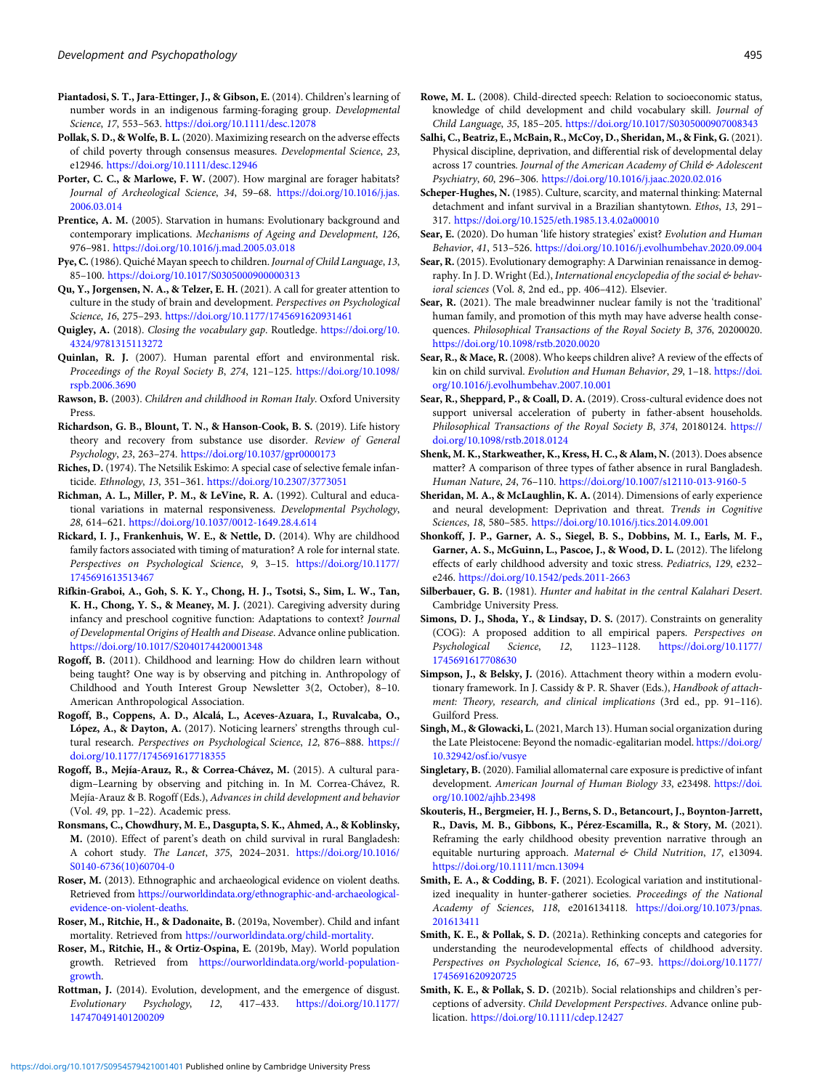- <span id="page-22-0"></span>Piantadosi, S. T., Jara-Ettinger, J., & Gibson, E. (2014). Children's learning of number words in an indigenous farming-foraging group. Developmental Science, 17, 553–563. <https://doi.org/10.1111/desc.12078>
- Pollak, S. D., & Wolfe, B. L. (2020). Maximizing research on the adverse effects of child poverty through consensus measures. Developmental Science, 23, e12946. <https://doi.org/10.1111/desc.12946>
- Porter, C. C., & Marlowe, F. W. (2007). How marginal are forager habitats? Journal of Archeological Science, 34, 59–68. [https://doi.org/10.1016/j.jas.](https://doi.org/10.1016/j.jas.2006.03.014) [2006.03.014](https://doi.org/10.1016/j.jas.2006.03.014)
- Prentice, A. M. (2005). Starvation in humans: Evolutionary background and contemporary implications. Mechanisms of Ageing and Development, 126, 976–981. <https://doi.org/10.1016/j.mad.2005.03.018>
- Pye, C. (1986). Quiché Mayan speech to children. Journal of Child Language, 13, 85–100. <https://doi.org/10.1017/S0305000900000313>
- Qu, Y., Jorgensen, N. A., & Telzer, E. H. (2021). A call for greater attention to culture in the study of brain and development. Perspectives on Psychological Science, 16, 275–293. <https://doi.org/10.1177/1745691620931461>
- Quigley, A. (2018). Closing the vocabulary gap. Routledge. [https://doi.org/10.](https://doi.org/10.4324/9781315113272) [4324/9781315113272](https://doi.org/10.4324/9781315113272)
- Quinlan, R. J. (2007). Human parental effort and environmental risk. Proceedings of the Royal Society B, 274, 121–125. [https://doi.org/10.1098/](https://doi.org/10.1098/rspb.2006.3690) [rspb.2006.3690](https://doi.org/10.1098/rspb.2006.3690)
- Rawson, B. (2003). Children and childhood in Roman Italy. Oxford University Press.
- Richardson, G. B., Blount, T. N., & Hanson-Cook, B. S. (2019). Life history theory and recovery from substance use disorder. Review of General Psychology, 23, 263–274. <https://doi.org/10.1037/gpr0000173>
- Riches, D. (1974). The Netsilik Eskimo: A special case of selective female infanticide. Ethnology, 13, 351–361. <https://doi.org/10.2307/3773051>
- Richman, A. L., Miller, P. M., & LeVine, R. A. (1992). Cultural and educational variations in maternal responsiveness. Developmental Psychology, 28, 614–621. <https://doi.org/10.1037/0012-1649.28.4.614>
- Rickard, I. J., Frankenhuis, W. E., & Nettle, D. (2014). Why are childhood family factors associated with timing of maturation? A role for internal state. Perspectives on Psychological Science, 9, 3–15. [https://doi.org/10.1177/](https://doi.org/10.1177/1745691613513467) [1745691613513467](https://doi.org/10.1177/1745691613513467)
- Rifkin-Graboi, A., Goh, S. K. Y., Chong, H. J., Tsotsi, S., Sim, L. W., Tan, K. H., Chong, Y. S., & Meaney, M. J. (2021). Caregiving adversity during infancy and preschool cognitive function: Adaptations to context? Journal of Developmental Origins of Health and Disease. Advance online publication. <https://doi.org/10.1017/S2040174420001348>
- Rogoff, B. (2011). Childhood and learning: How do children learn without being taught? One way is by observing and pitching in. Anthropology of Childhood and Youth Interest Group Newsletter 3(2, October), 8–10. American Anthropological Association.
- Rogoff, B., Coppens, A. D., Alcalá, L., Aceves-Azuara, I., Ruvalcaba, O., López, A., & Dayton, A. (2017). Noticing learners' strengths through cultural research. Perspectives on Psychological Science, 12, 876-888. [https://](https://doi.org/10.1177/1745691617718355) [doi.org/10.1177/1745691617718355](https://doi.org/10.1177/1745691617718355)
- Rogoff, B., Mejía-Arauz, R., & Correa-Chávez, M. (2015). A cultural paradigm–Learning by observing and pitching in. In M. Correa-Chávez, R. Mejía-Arauz & B. Rogoff (Eds.), Advances in child development and behavior (Vol. 49, pp. 1–22). Academic press.
- Ronsmans, C., Chowdhury, M. E., Dasgupta, S. K., Ahmed, A., & Koblinsky, M. (2010). Effect of parent's death on child survival in rural Bangladesh: A cohort study. The Lancet, 375, 2024–2031. [https://doi.org/10.1016/](https://doi.org/10.1016/S0140-6736(10)60704-0) [S0140-6736\(10\)60704-0](https://doi.org/10.1016/S0140-6736(10)60704-0)
- Roser, M. (2013). Ethnographic and archaeological evidence on violent deaths. Retrieved from [https://ourworldindata.org/ethnographic-and-archaeological](https://ourworldindata.org/ethnographic-and-archaeological-evidence-on-violent-deaths)[evidence-on-violent-deaths](https://ourworldindata.org/ethnographic-and-archaeological-evidence-on-violent-deaths).
- Roser, M., Ritchie, H., & Dadonaite, B. (2019a, November). Child and infant mortality. Retrieved from <https://ourworldindata.org/child-mortality>.
- Roser, M., Ritchie, H., & Ortiz-Ospina, E. (2019b, May). World population growth. Retrieved from [https://ourworldindata.org/world-population](https://ourworldindata.org/world-population-growth)[growth.](https://ourworldindata.org/world-population-growth)
- Rottman, J. (2014). Evolution, development, and the emergence of disgust. Evolutionary Psychology, 12, 417–433. [https://doi.org/10.1177/](https://doi.org/10.1177/147470491401200209) [147470491401200209](https://doi.org/10.1177/147470491401200209)
- Rowe, M. L. (2008). Child-directed speech: Relation to socioeconomic status, knowledge of child development and child vocabulary skill. Journal of Child Language, 35, 185–205. <https://doi.org/10.1017/S0305000907008343>
- Salhi, C., Beatriz, E., McBain, R., McCoy, D., Sheridan, M., & Fink, G. (2021). Physical discipline, deprivation, and differential risk of developmental delay across 17 countries. Journal of the American Academy of Child & Adolescent Psychiatry, 60, 296–306. <https://doi.org/10.1016/j.jaac.2020.02.016>
- Scheper-Hughes, N. (1985). Culture, scarcity, and maternal thinking: Maternal detachment and infant survival in a Brazilian shantytown. Ethos, 13, 291– 317. <https://doi.org/10.1525/eth.1985.13.4.02a00010>
- Sear, E. (2020). Do human 'life history strategies' exist? Evolution and Human Behavior, 41, 513–526. <https://doi.org/10.1016/j.evolhumbehav.2020.09.004>
- Sear, R. (2015). Evolutionary demography: A Darwinian renaissance in demography. In J. D. Wright (Ed.), International encyclopedia of the social & behavioral sciences (Vol. 8, 2nd ed., pp. 406–412). Elsevier.
- Sear, R. (2021). The male breadwinner nuclear family is not the 'traditional' human family, and promotion of this myth may have adverse health consequences. Philosophical Transactions of the Royal Society B, 376, 20200020. <https://doi.org/10.1098/rstb.2020.0020>
- Sear, R., & Mace, R. (2008). Who keeps children alive? A review of the effects of kin on child survival. Evolution and Human Behavior, 29, 1-18. [https://doi.](https://doi.org/10.1016/j.evolhumbehav.2007.10.001) [org/10.1016/j.evolhumbehav.2007.10.001](https://doi.org/10.1016/j.evolhumbehav.2007.10.001)
- Sear, R., Sheppard, P., & Coall, D. A. (2019). Cross-cultural evidence does not support universal acceleration of puberty in father-absent households. Philosophical Transactions of the Royal Society B, 374, 20180124. [https://](https://doi.org/10.1098/rstb.2018.0124) [doi.org/10.1098/rstb.2018.0124](https://doi.org/10.1098/rstb.2018.0124)
- Shenk, M. K., Starkweather, K., Kress, H. C., & Alam, N. (2013). Does absence matter? A comparison of three types of father absence in rural Bangladesh. Human Nature, 24, 76–110. <https://doi.org/10.1007/s12110-013-9160-5>
- Sheridan, M. A., & McLaughlin, K. A. (2014). Dimensions of early experience and neural development: Deprivation and threat. Trends in Cognitive Sciences, 18, 580–585. <https://doi.org/10.1016/j.tics.2014.09.001>
- Shonkoff, J. P., Garner, A. S., Siegel, B. S., Dobbins, M. I., Earls, M. F., Garner, A. S., McGuinn, L., Pascoe, J., & Wood, D. L. (2012). The lifelong effects of early childhood adversity and toxic stress. Pediatrics, 129, e232– e246. <https://doi.org/10.1542/peds.2011-2663>
- Silberbauer, G. B. (1981). Hunter and habitat in the central Kalahari Desert. Cambridge University Press.
- Simons, D. J., Shoda, Y., & Lindsay, D. S. (2017). Constraints on generality (COG): A proposed addition to all empirical papers. Perspectives on Psychological Science, 12, 1123–1128. [https://doi.org/10.1177/](https://doi.org/10.1177/1745691617708630) [1745691617708630](https://doi.org/10.1177/1745691617708630)
- Simpson, J., & Belsky, J. (2016). Attachment theory within a modern evolutionary framework. In J. Cassidy & P. R. Shaver (Eds.), Handbook of attachment: Theory, research, and clinical implications (3rd ed., pp. 91–116). Guilford Press.
- Singh, M., & Glowacki, L. (2021, March 13). Human social organization during the Late Pleistocene: Beyond the nomadic-egalitarian model. [https://doi.org/](https://doi.org/10.32942/osf.io/vusye) [10.32942/osf.io/vusye](https://doi.org/10.32942/osf.io/vusye)
- Singletary, B. (2020). Familial allomaternal care exposure is predictive of infant development. American Journal of Human Biology 33, e23498. [https://doi.](https://doi.org/10.1002/ajhb.23498) [org/10.1002/ajhb.23498](https://doi.org/10.1002/ajhb.23498)
- Skouteris, H., Bergmeier, H. J., Berns, S. D., Betancourt, J., Boynton-Jarrett, R., Davis, M. B., Gibbons, K., Pérez-Escamilla, R., & Story, M. (2021). Reframing the early childhood obesity prevention narrative through an equitable nurturing approach. Maternal & Child Nutrition, 17, e13094. <https://doi.org/10.1111/mcn.13094>
- Smith, E. A., & Codding, B. F. (2021). Ecological variation and institutionalized inequality in hunter-gatherer societies. Proceedings of the National Academy of Sciences, 118, e2016134118. [https://doi.org/10.1073/pnas.](https://doi.org/10.1073/pnas.201613411) [201613411](https://doi.org/10.1073/pnas.201613411)
- Smith, K. E., & Pollak, S. D. (2021a). Rethinking concepts and categories for understanding the neurodevelopmental effects of childhood adversity. Perspectives on Psychological Science, 16, 67–93. [https://doi.org/10.1177/](https://doi.org/10.1177/1745691620920725) [1745691620920725](https://doi.org/10.1177/1745691620920725)
- Smith, K. E., & Pollak, S. D. (2021b). Social relationships and children's perceptions of adversity. Child Development Perspectives. Advance online publication. <https://doi.org/10.1111/cdep.12427>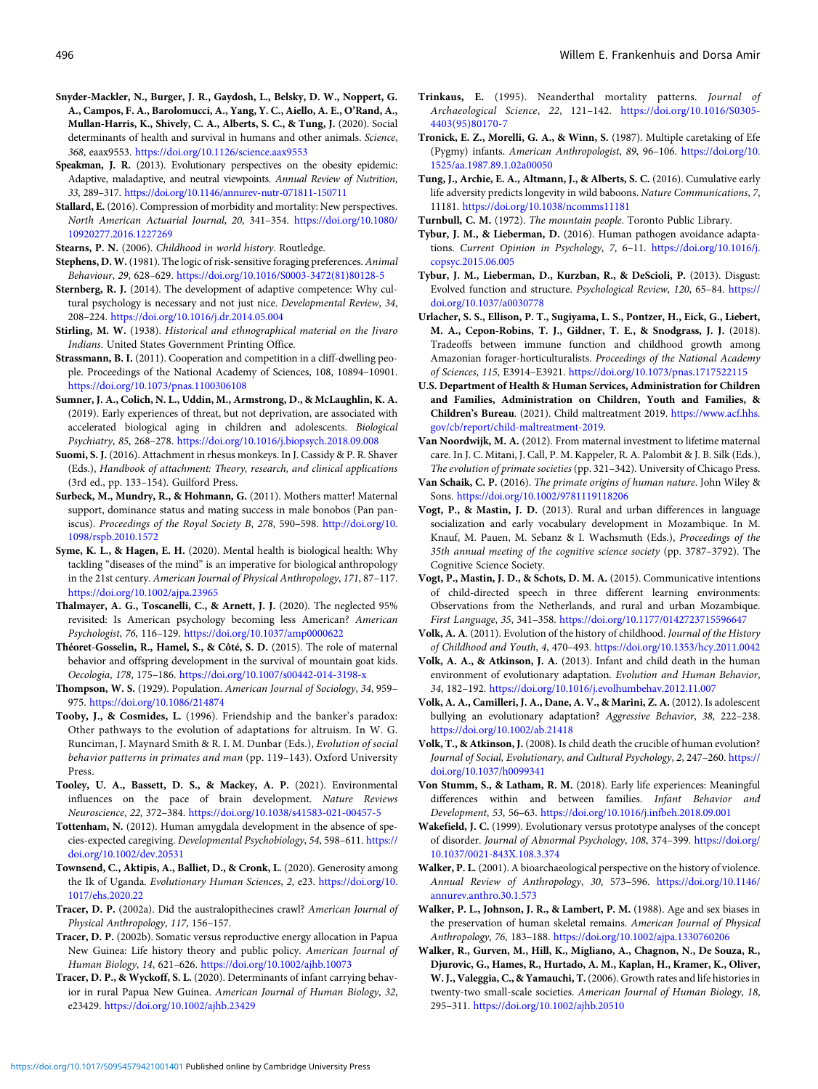- <span id="page-23-0"></span>Snyder-Mackler, N., Burger, J. R., Gaydosh, L., Belsky, D. W., Noppert, G. A., Campos, F. A., Barolomucci, A., Yang, Y. C., Aiello, A. E., O'Rand, A., Mullan-Harris, K., Shively, C. A., Alberts, S. C., & Tung, J. (2020). Social determinants of health and survival in humans and other animals. Science, 368, eaax9553. <https://doi.org/10.1126/science.aax9553>
- Speakman, J. R. (2013). Evolutionary perspectives on the obesity epidemic: Adaptive, maladaptive, and neutral viewpoints. Annual Review of Nutrition, 33, 289–317. <https://doi.org/10.1146/annurev-nutr-071811-150711>
- Stallard, E. (2016). Compression of morbidity and mortality: New perspectives. North American Actuarial Journal, 20, 341–354. [https://doi.org/10.1080/](https://doi.org/10.1080/10920277.2016.1227269) [10920277.2016.1227269](https://doi.org/10.1080/10920277.2016.1227269)
- Stearns, P. N. (2006). Childhood in world history. Routledge.
- Stephens, D. W.(1981). The logic of risk-sensitive foraging preferences. Animal Behaviour, 29, 628–629. [https://doi.org/10.1016/S0003-3472\(81\)80128-5](https://doi.org/10.1016/S0003-3472(81)80128-5)
- Sternberg, R. J. (2014). The development of adaptive competence: Why cultural psychology is necessary and not just nice. Developmental Review, 34, 208–224. <https://doi.org/10.1016/j.dr.2014.05.004>
- Stirling, M. W. (1938). Historical and ethnographical material on the Jivaro Indians. United States Government Printing Office.
- Strassmann, B. I. (2011). Cooperation and competition in a cliff-dwelling people. Proceedings of the National Academy of Sciences, 108, 10894–10901. <https://doi.org/10.1073/pnas.1100306108>
- Sumner, J. A., Colich, N. L., Uddin, M., Armstrong, D., & McLaughlin, K. A. (2019). Early experiences of threat, but not deprivation, are associated with accelerated biological aging in children and adolescents. Biological Psychiatry, 85, 268–278. <https://doi.org/10.1016/j.biopsych.2018.09.008>
- Suomi, S. J. (2016). Attachment in rhesus monkeys. In J. Cassidy & P. R. Shaver (Eds.), Handbook of attachment: Theory, research, and clinical applications (3rd ed., pp. 133–154). Guilford Press.
- Surbeck, M., Mundry, R., & Hohmann, G. (2011). Mothers matter! Maternal support, dominance status and mating success in male bonobos (Pan paniscus). Proceedings of the Royal Society B, 278, 590–598. [http://doi.org/10.](http://doi.org/10.1098/rspb.2010.1572) [1098/rspb.2010.1572](http://doi.org/10.1098/rspb.2010.1572)
- Syme, K. L., & Hagen, E. H. (2020). Mental health is biological health: Why tackling "diseases of the mind" is an imperative for biological anthropology in the 21st century. American Journal of Physical Anthropology, 171, 87–117. <https://doi.org/10.1002/ajpa.23965>
- Thalmayer, A. G., Toscanelli, C., & Arnett, J. J. (2020). The neglected 95% revisited: Is American psychology becoming less American? American Psychologist, 76, 116–129. <https://doi.org/10.1037/amp0000622>
- Théoret-Gosselin, R., Hamel, S., & Côté, S. D. (2015). The role of maternal behavior and offspring development in the survival of mountain goat kids. Oecologia, 178, 175–186. <https://doi.org/10.1007/s00442-014-3198-x>
- Thompson, W. S. (1929). Population. American Journal of Sociology, 34, 959– 975. <https://doi.org/10.1086/214874>
- Tooby, J., & Cosmides, L. (1996). Friendship and the banker's paradox: Other pathways to the evolution of adaptations for altruism. In W. G. Runciman, J. Maynard Smith & R. I. M. Dunbar (Eds.), Evolution of social behavior patterns in primates and man (pp. 119–143). Oxford University Press.
- Tooley, U. A., Bassett, D. S., & Mackey, A. P. (2021). Environmental influences on the pace of brain development. Nature Reviews Neuroscience, 22, 372–384. <https://doi.org/10.1038/s41583-021-00457-5>
- Tottenham, N. (2012). Human amygdala development in the absence of species-expected caregiving. Developmental Psychobiology, 54, 598–611. [https://](https://doi.org/10.1002/dev.20531) [doi.org/10.1002/dev.20531](https://doi.org/10.1002/dev.20531)
- Townsend, C., Aktipis, A., Balliet, D., & Cronk, L. (2020). Generosity among the Ik of Uganda. Evolutionary Human Sciences, 2, e23. [https://doi.org/10.](https://doi.org/10.1017/ehs.2020.22) [1017/ehs.2020.22](https://doi.org/10.1017/ehs.2020.22)
- Tracer, D. P. (2002a). Did the australopithecines crawl? American Journal of Physical Anthropology, 117, 156–157.
- Tracer, D. P. (2002b). Somatic versus reproductive energy allocation in Papua New Guinea: Life history theory and public policy. American Journal of Human Biology, 14, 621–626. <https://doi.org/10.1002/ajhb.10073>
- Tracer, D. P., & Wyckoff, S. L. (2020). Determinants of infant carrying behavior in rural Papua New Guinea. American Journal of Human Biology, 32, e23429. <https://doi.org/10.1002/ajhb.23429>
- Trinkaus, E. (1995). Neanderthal mortality patterns. Journal of Archaeological Science, 22, 121–142. [https://doi.org/10.1016/S0305-](https://doi.org/10.1016/S0305-4403(95)80170-7) [4403\(95\)80170-7](https://doi.org/10.1016/S0305-4403(95)80170-7)
- Tronick, E. Z., Morelli, G. A., & Winn, S. (1987). Multiple caretaking of Efe (Pygmy) infants. American Anthropologist, 89, 96–106. [https://doi.org/10.](https://doi.org/10.1525/aa.1987.89.1.02a00050) [1525/aa.1987.89.1.02a00050](https://doi.org/10.1525/aa.1987.89.1.02a00050)
- Tung, J., Archie, E. A., Altmann, J., & Alberts, S. C. (2016). Cumulative early life adversity predicts longevity in wild baboons. Nature Communications, 7, 11181. <https://doi.org/10.1038/ncomms11181>
- Turnbull, C. M. (1972). The mountain people. Toronto Public Library.
- Tybur, J. M., & Lieberman, D. (2016). Human pathogen avoidance adaptations. Current Opinion in Psychology, 7, 6-11. [https://doi.org/10.1016/j.](https://doi.org/10.1016/j.copsyc.2015.06.005) [copsyc.2015.06.005](https://doi.org/10.1016/j.copsyc.2015.06.005)
- Tybur, J. M., Lieberman, D., Kurzban, R., & DeScioli, P. (2013). Disgust: Evolved function and structure. Psychological Review, 120, 65–84. [https://](https://doi.org/10.1037/a0030778) [doi.org/10.1037/a0030778](https://doi.org/10.1037/a0030778)
- Urlacher, S. S., Ellison, P. T., Sugiyama, L. S., Pontzer, H., Eick, G., Liebert, M. A., Cepon-Robins, T. J., Gildner, T. E., & Snodgrass, J. J. (2018). Tradeoffs between immune function and childhood growth among Amazonian forager-horticulturalists. Proceedings of the National Academy of Sciences, 115, E3914–E3921. <https://doi.org/10.1073/pnas.1717522115>
- U.S. Department of Health & Human Services, Administration for Children and Families, Administration on Children, Youth and Families, & Children's Bureau. (2021). Child maltreatment 2019. [https://www.acf.hhs.](https://www.acf.hhs.gov/cb/report/child-maltreatment-2019) [gov/cb/report/child-maltreatment-2019](https://www.acf.hhs.gov/cb/report/child-maltreatment-2019).
- Van Noordwijk, M. A. (2012). From maternal investment to lifetime maternal care. In J. C. Mitani, J. Call, P. M. Kappeler, R. A. Palombit & J. B. Silk (Eds.), The evolution of primate societies (pp. 321–342). University of Chicago Press.
- Van Schaik, C. P. (2016). The primate origins of human nature. John Wiley & Sons. <https://doi.org/10.1002/9781119118206>
- Vogt, P., & Mastin, J. D. (2013). Rural and urban differences in language socialization and early vocabulary development in Mozambique. In M. Knauf, M. Pauen, M. Sebanz & I. Wachsmuth (Eds.), Proceedings of the 35th annual meeting of the cognitive science society (pp. 3787–3792). The Cognitive Science Society.
- Vogt, P., Mastin, J. D., & Schots, D. M. A. (2015). Communicative intentions of child-directed speech in three different learning environments: Observations from the Netherlands, and rural and urban Mozambique. First Language, 35, 341–358. <https://doi.org/10.1177/0142723715596647>
- Volk, A. A. (2011). Evolution of the history of childhood. Journal of the History of Childhood and Youth, 4, 470–493. <https://doi.org/10.1353/hcy.2011.0042>
- Volk, A. A., & Atkinson, J. A. (2013). Infant and child death in the human environment of evolutionary adaptation. Evolution and Human Behavior, 34, 182–192. <https://doi.org/10.1016/j.evolhumbehav.2012.11.007>
- Volk, A. A., Camilleri, J. A., Dane, A. V., & Marini, Z. A. (2012). Is adolescent bullying an evolutionary adaptation? Aggressive Behavior, 38, 222–238. <https://doi.org/10.1002/ab.21418>
- Volk, T., & Atkinson, J. (2008). Is child death the crucible of human evolution? Journal of Social, Evolutionary, and Cultural Psychology, 2, 247-260. [https://](https://doi.org/10.1037/h0099341) [doi.org/10.1037/h0099341](https://doi.org/10.1037/h0099341)
- Von Stumm, S., & Latham, R. M. (2018). Early life experiences: Meaningful differences within and between families. Infant Behavior and Development, 53, 56–63. <https://doi.org/10.1016/j.infbeh.2018.09.001>
- Wakefield, J. C. (1999). Evolutionary versus prototype analyses of the concept of disorder. Journal of Abnormal Psychology, 108, 374–399. [https://doi.org/](https://doi.org/10.1037/0021-843X.108.3.374) [10.1037/0021-843X.108.3.374](https://doi.org/10.1037/0021-843X.108.3.374)
- Walker, P. L. (2001). A bioarchaeological perspective on the history of violence. Annual Review of Anthropology, 30, 573–596. [https://doi.org/10.1146/](https://doi.org/10.1146/annurev.anthro.30.1.573) [annurev.anthro.30.1.573](https://doi.org/10.1146/annurev.anthro.30.1.573)
- Walker, P. L., Johnson, J. R., & Lambert, P. M. (1988). Age and sex biases in the preservation of human skeletal remains. American Journal of Physical Anthropology, 76, 183–188. <https://doi.org/10.1002/ajpa.1330760206>
- Walker, R., Gurven, M., Hill, K., Migliano, A., Chagnon, N., De Souza, R., Djurovic, G., Hames, R., Hurtado, A. M., Kaplan, H., Kramer, K., Oliver, W. J., Valeggia, C., & Yamauchi, T.(2006). Growth rates and life histories in twenty-two small-scale societies. American Journal of Human Biology, 18, 295–311. <https://doi.org/10.1002/ajhb.20510>